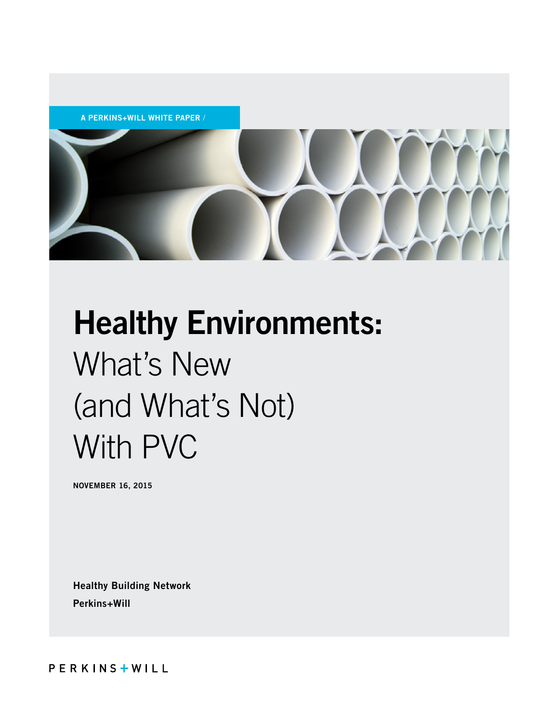

## **Healthy Environments:** What's New (and What's Not) With PVC

**NOVEMBER 16, 2015**

**Healthy Building Network Perkins+Will**

PERKINS + WILL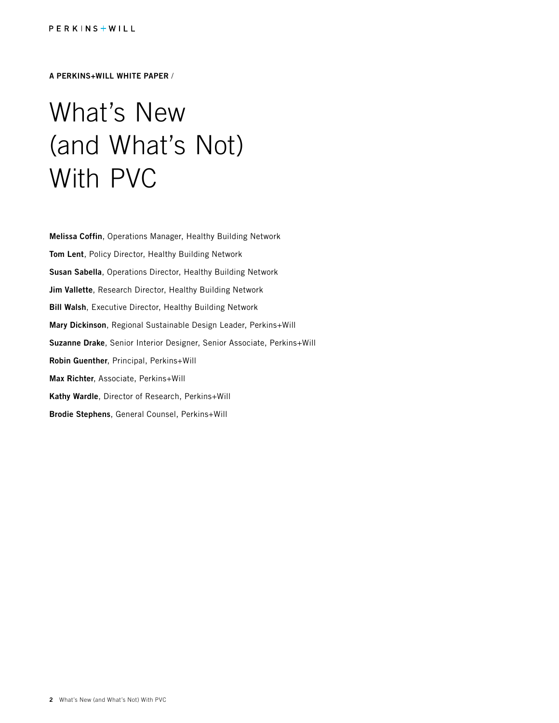## What's New (and What's Not) With PVC

**Melissa Coffin**, Operations Manager, Healthy Building Network **Tom Lent**, Policy Director, Healthy Building Network **Susan Sabella**, Operations Director, Healthy Building Network **Jim Vallette**, Research Director, Healthy Building Network **Bill Walsh**, Executive Director, Healthy Building Network **Mary Dickinson**, Regional Sustainable Design Leader, Perkins+Will **Suzanne Drake**, Senior Interior Designer, Senior Associate, Perkins+Will **Robin Guenther**, Principal, Perkins+Will **Max Richter**, Associate, Perkins+Will **Kathy Wardle**, Director of Research, Perkins+Will **Brodie Stephens**, General Counsel, Perkins+Will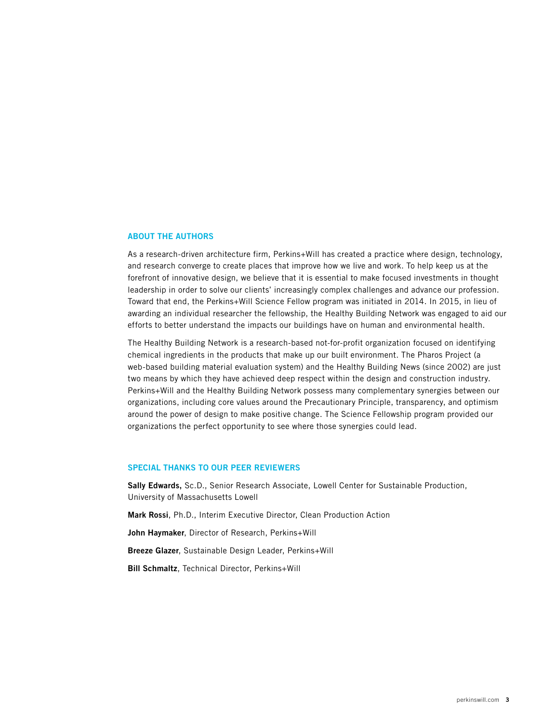#### **ABOUT THE AUTHORS**

As a research-driven architecture firm, Perkins+Will has created a practice where design, technology, and research converge to create places that improve how we live and work. To help keep us at the forefront of innovative design, we believe that it is essential to make focused investments in thought leadership in order to solve our clients' increasingly complex challenges and advance our profession. Toward that end, the Perkins+Will Science Fellow program was initiated in 2014. In 2015, in lieu of awarding an individual researcher the fellowship, the Healthy Building Network was engaged to aid our efforts to better understand the impacts our buildings have on human and environmental health.

The Healthy Building Network is a research-based not-for-profit organization focused on identifying chemical ingredients in the products that make up our built environment. The Pharos Project (a web-based building material evaluation system) and the Healthy Building News (since 2002) are just two means by which they have achieved deep respect within the design and construction industry. Perkins+Will and the Healthy Building Network possess many complementary synergies between our organizations, including core values around the Precautionary Principle, transparency, and optimism around the power of design to make positive change. The Science Fellowship program provided our organizations the perfect opportunity to see where those synergies could lead.

#### **SPECIAL THANKS TO OUR PEER REVIEWERS**

**Sally Edwards,** Sc.D., Senior Research Associate, Lowell Center for Sustainable Production, University of Massachusetts Lowell

**Mark Rossi**, Ph.D., Interim Executive Director, Clean Production Action

**John Haymaker**, Director of Research, Perkins+Will

**Breeze Glazer**, Sustainable Design Leader, Perkins+Will

**Bill Schmaltz**, Technical Director, Perkins+Will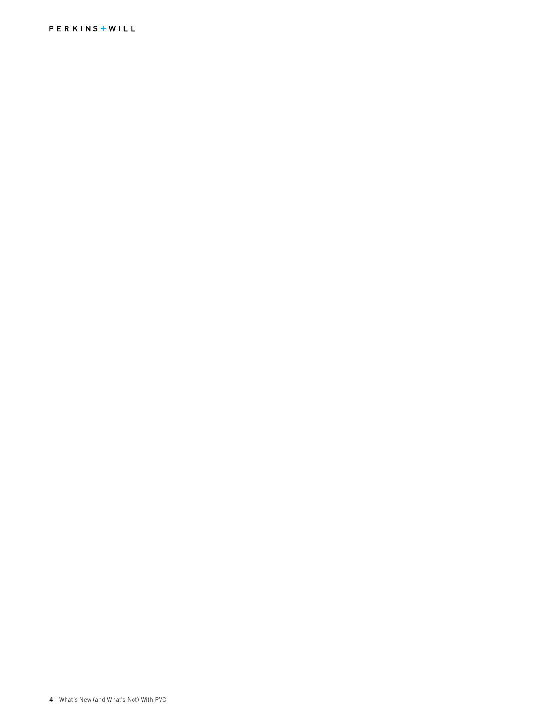PERKINS + WILL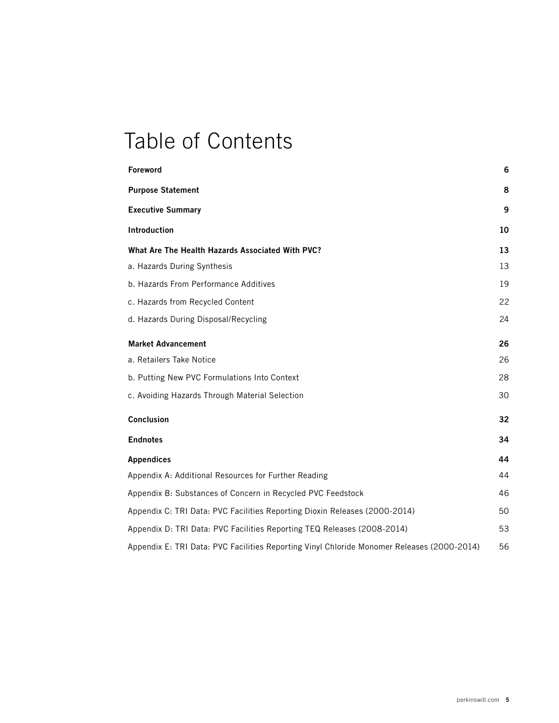## Table of Contents

| Foreword                                                                                   | 6  |
|--------------------------------------------------------------------------------------------|----|
| <b>Purpose Statement</b>                                                                   | 8  |
| <b>Executive Summary</b>                                                                   | 9  |
| Introduction                                                                               | 10 |
| What Are The Health Hazards Associated With PVC?                                           | 13 |
| a. Hazards During Synthesis                                                                | 13 |
| b. Hazards From Performance Additives                                                      | 19 |
| c. Hazards from Recycled Content                                                           | 22 |
| d. Hazards During Disposal/Recycling                                                       | 24 |
| <b>Market Advancement</b>                                                                  | 26 |
| a. Retailers Take Notice                                                                   | 26 |
| b. Putting New PVC Formulations Into Context                                               | 28 |
| c. Avoiding Hazards Through Material Selection                                             | 30 |
| <b>Conclusion</b>                                                                          | 32 |
| <b>Endnotes</b>                                                                            | 34 |
| <b>Appendices</b>                                                                          | 44 |
| Appendix A: Additional Resources for Further Reading                                       | 44 |
| Appendix B: Substances of Concern in Recycled PVC Feedstock                                | 46 |
| Appendix C: TRI Data: PVC Facilities Reporting Dioxin Releases (2000-2014)                 | 50 |
| Appendix D: TRI Data: PVC Facilities Reporting TEQ Releases (2008-2014)                    | 53 |
| Appendix E: TRI Data: PVC Facilities Reporting Vinyl Chloride Monomer Releases (2000-2014) | 56 |
|                                                                                            |    |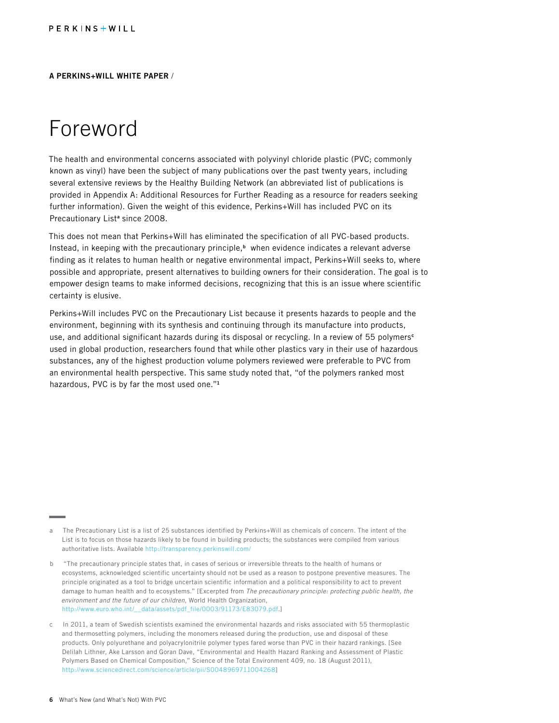### <span id="page-5-0"></span>Foreword

The health and environmental concerns associated with polyvinyl chloride plastic (PVC; commonly known as vinyl) have been the subject of many publications over the past twenty years, including several extensive reviews by the Healthy Building Network (an abbreviated list of publications is provided in Appendix A: Additional Resources for Further Reading as a resource for readers seeking further information). Given the weight of this evidence, Perkins+Will has included PVC on its Precautionary List<sup>a</sup> since 2008.

This does not mean that Perkins+Will has eliminated the specification of all PVC-based products. Instead, in keeping with the precautionary principle,**b** when evidence indicates a relevant adverse finding as it relates to human health or negative environmental impact, Perkins+Will seeks to, where possible and appropriate, present alternatives to building owners for their consideration. The goal is to empower design teams to make informed decisions, recognizing that this is an issue where scientific certainty is elusive.

Perkins+Will includes PVC on the Precautionary List because it presents hazards to people and the environment, beginning with its synthesis and continuing through its manufacture into products, use, and additional significant hazards during its disposal or recycling. In a review of 55 polymers**<sup>c</sup>** used in global production, researchers found that while other plastics vary in their use of hazardous substances, any of the highest production volume polymers reviewed were preferable to PVC from an environmental health perspective. This same study noted that, "of the polymers ranked most hazardous, PVC is by far the most used one."**<sup>1</sup>**

a The Precautionary List is a list of 25 substances identified by Perkins+Will as chemicals of concern. The intent of the List is to focus on those hazards likely to be found in building products; the substances were compiled from various authoritative lists. Available<http://transparency.perkinswill.com/>

b "The precautionary principle states that, in cases of serious or irreversible threats to the health of humans or ecosystems, acknowledged scientific uncertainty should not be used as a reason to postpone preventive measures. The principle originated as a tool to bridge uncertain scientific information and a political responsibility to act to prevent damage to human health and to ecosystems." [Excerpted from The precautionary principle: protecting public health, the environment and the future of our children, World Health Organization, http://www.euro.who.int/ data/assets/pdf\_file/0003/91173/E83079.pdf.]

c In 2011, a team of Swedish scientists examined the environmental hazards and risks associated with 55 thermoplastic and thermosetting polymers, including the monomers released during the production, use and disposal of these products. Only polyurethane and polyacrylonitrile polymer types fared worse than PVC in their hazard rankings. [See Delilah Lithner, Ake Larsson and Goran Dave, "Environmental and Health Hazard Ranking and Assessment of Plastic Polymers Based on Chemical Composition," Science of the Total Environment 409, no. 18 (August 2011), [http://www.sciencedirect.com/science/article/pii/S0048969711004268\]](http://www.sciencedirect.com/science/article/pii/S0048969711004268)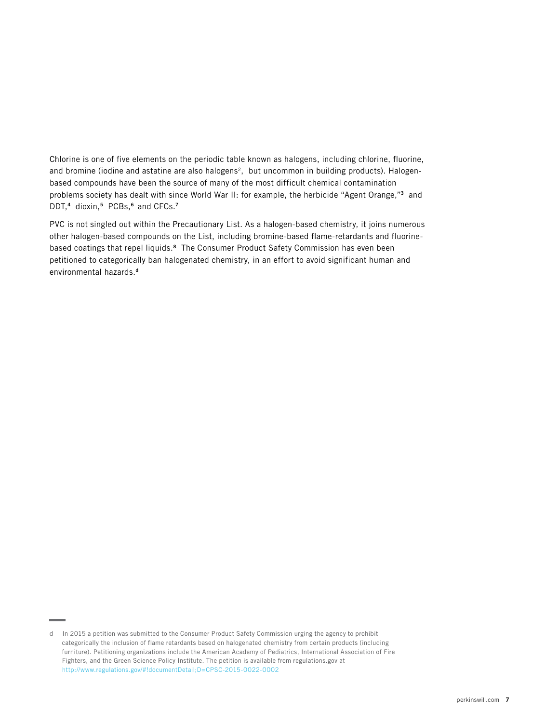Chlorine is one of five elements on the periodic table known as halogens, including chlorine, fluorine, and bromine (iodine and astatine are also halogens<sup>2</sup>, but uncommon in building products). Halogenbased compounds have been the source of many of the most difficult chemical contamination problems society has dealt with since World War II: for example, the herbicide "Agent Orange,"**3** and DDT,**4** dioxin,**5** PCBs,**6** and CFCs.**<sup>7</sup>**

PVC is not singled out within the Precautionary List. As a halogen-based chemistry, it joins numerous other halogen-based compounds on the List, including bromine-based flame-retardants and fluorinebased coatings that repel liquids.**8** The Consumer Product Safety Commission has even been petitioned to categorically ban halogenated chemistry, in an effort to avoid significant human and environmental hazards.**<sup>d</sup>**

d In 2015 a petition was submitted to the Consumer Product Safety Commission urging the agency to prohibit categorically the inclusion of flame retardants based on halogenated chemistry from certain products (including furniture). Petitioning organizations include the American Academy of Pediatrics, International Association of Fire Fighters, and the Green Science Policy Institute. The petition is available from regulations.gov at <http://www.regulations.gov/#!documentDetail;D=CPSC-2015-0022-0002>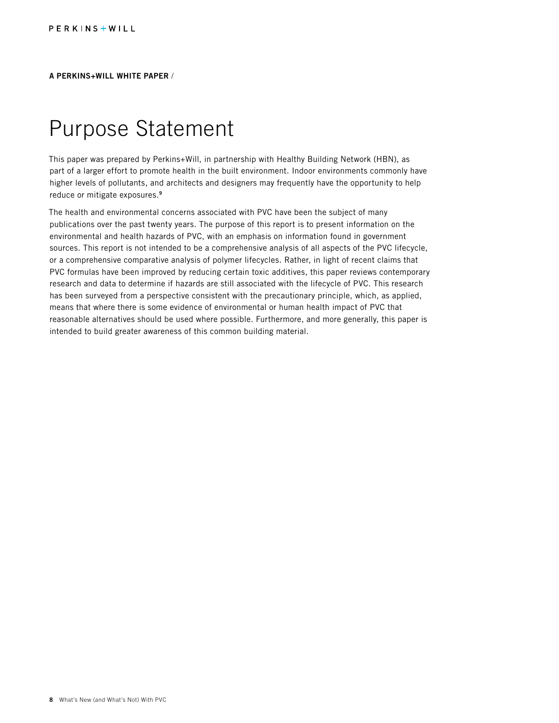### <span id="page-7-0"></span>Purpose Statement

This paper was prepared by Perkins+Will, in partnership with Healthy Building Network (HBN), as part of a larger effort to promote health in the built environment. Indoor environments commonly have higher levels of pollutants, and architects and designers may frequently have the opportunity to help reduce or mitigate exposures.**<sup>9</sup>**

The health and environmental concerns associated with PVC have been the subject of many publications over the past twenty years. The purpose of this report is to present information on the environmental and health hazards of PVC, with an emphasis on information found in government sources. This report is not intended to be a comprehensive analysis of all aspects of the PVC lifecycle, or a comprehensive comparative analysis of polymer lifecycles. Rather, in light of recent claims that PVC formulas have been improved by reducing certain toxic additives, this paper reviews contemporary research and data to determine if hazards are still associated with the lifecycle of PVC. This research has been surveyed from a perspective consistent with the precautionary principle, which, as applied, means that where there is some evidence of environmental or human health impact of PVC that reasonable alternatives should be used where possible. Furthermore, and more generally, this paper is intended to build greater awareness of this common building material.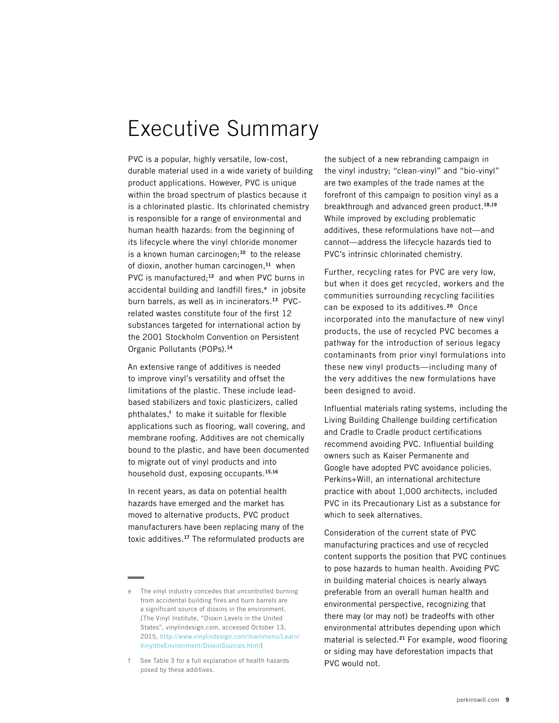### <span id="page-8-0"></span>Executive Summary

PVC is a popular, highly versatile, low-cost, durable material used in a wide variety of building product applications. However, PVC is unique within the broad spectrum of plastics because it is a chlorinated plastic. Its chlorinated chemistry is responsible for a range of environmental and human health hazards: from the beginning of its lifecycle where the vinyl chloride monomer is a known human carcinogen;**10** to the release of dioxin, another human carcinogen,**11** when PVC is manufactured;**12** and when PVC burns in accidental building and landfill fires,**<sup>e</sup>** in jobsite burn barrels, as well as in incinerators.**13** PVCrelated wastes constitute four of the first 12 substances targeted for international action by the 2001 Stockholm Convention on Persistent Organic Pollutants (POPs).**<sup>14</sup>**

An extensive range of additives is needed to improve vinyl's versatility and offset the limitations of the plastic. These include leadbased stabilizers and toxic plasticizers, called phthalates,**<sup>f</sup>** to make it suitable for flexible applications such as flooring, wall covering, and membrane roofing. Additives are not chemically bound to the plastic, and have been documented to migrate out of vinyl products and into household dust, exposing occupants.**15,16**

In recent years, as data on potential health hazards have emerged and the market has moved to alternative products, PVC product manufacturers have been replacing many of the toxic additives.**17** The reformulated products are the subject of a new rebranding campaign in the vinyl industry; "clean-vinyl" and "bio-vinyl" are two examples of the trade names at the forefront of this campaign to position vinyl as a breakthrough and advanced green product.**18,19** While improved by excluding problematic additives, these reformulations have not—and cannot—address the lifecycle hazards tied to PVC's intrinsic chlorinated chemistry.

Further, recycling rates for PVC are very low, but when it does get recycled, workers and the communities surrounding recycling facilities can be exposed to its additives.**20** Once incorporated into the manufacture of new vinyl products, the use of recycled PVC becomes a pathway for the introduction of serious legacy contaminants from prior vinyl formulations into these new vinyl products—including many of the very additives the new formulations have been designed to avoid.

Influential materials rating systems, including the Living Building Challenge building certification and Cradle to Cradle product certifications recommend avoiding PVC. Influential building owners such as Kaiser Permanente and Google have adopted PVC avoidance policies. Perkins+Will, an international architecture practice with about 1,000 architects, included PVC in its Precautionary List as a substance for which to seek alternatives.

Consideration of the current state of PVC manufacturing practices and use of recycled content supports the position that PVC continues to pose hazards to human health. Avoiding PVC in building material choices is nearly always preferable from an overall human health and environmental perspective, recognizing that there may (or may not) be tradeoffs with other environmental attributes depending upon which material is selected.**21** For example, wood flooring or siding may have deforestation impacts that PVC would not.

e The vinyl industry concedes that uncontrolled burning from accidental building fires and burn barrels are a significant source of dioxins in the environment. [The Vinyl Institute, "Dioxin Levels in the United States", vinylindesign.com, accessed October 13, 2015, [http://www.vinylindesign.com/mainmenu/Learn/](http://www.vinylindesign.com/mainmenu/Learn/VinyltheEnvironment/DioxinSources.html) [VinyltheEnvironment/DioxinSources.html](http://www.vinylindesign.com/mainmenu/Learn/VinyltheEnvironment/DioxinSources.html)]

See Table 3 for a full explanation of health hazards posed by these additives.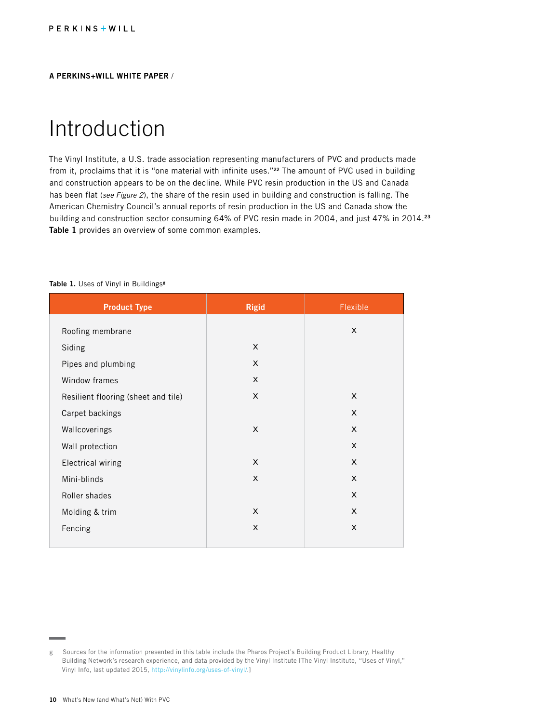### <span id="page-9-0"></span>Introduction

The Vinyl Institute, a U.S. trade association representing manufacturers of PVC and products made from it, proclaims that it is "one material with infinite uses."**22** The amount of PVC used in building and construction appears to be on the decline. While PVC resin production in the US and Canada has been flat (see Figure 2), the share of the resin used in building and construction is falling. The American Chemistry Council's annual reports of resin production in the US and Canada show the building and construction sector consuming 64% of PVC resin made in 2004, and just 47% in 2014.**<sup>23</sup> Table 1** provides an overview of some common examples.

| <b>Product Type</b>                 | <b>Rigid</b> | Flexible     |
|-------------------------------------|--------------|--------------|
| Roofing membrane                    |              | X            |
| Siding                              | $\times$     |              |
| Pipes and plumbing                  | X            |              |
| Window frames                       | X            |              |
| Resilient flooring (sheet and tile) | X            | X            |
| Carpet backings                     |              | X            |
| Wallcoverings                       | X            | X            |
| Wall protection                     |              | $\times$     |
| <b>Electrical wiring</b>            | X            | X            |
| Mini-blinds                         | X            | X            |
| Roller shades                       |              | X            |
| Molding & trim                      | X            | $\mathsf{x}$ |
| Fencing                             | X            | X            |
|                                     |              |              |

#### **Table 1.** Uses of Vinyl in Buildings**<sup>g</sup>**

g Sources for the information presented in this table include the Pharos Project's Building Product Library, Healthy Building Network's research experience, and data provided by the Vinyl Institute [The Vinyl Institute, "Uses of Vinyl," Vinyl Info, last updated 2015,<http://vinylinfo.org/uses-of-vinyl/>.]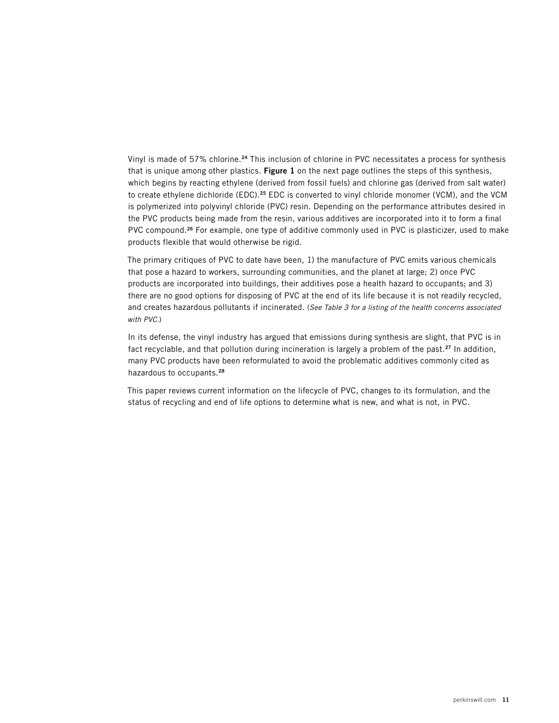Vinyl is made of 57% chlorine.**24** This inclusion of chlorine in PVC necessitates a process for synthesis that is unique among other plastics. **Figure 1** on the next page outlines the steps of this synthesis, which begins by reacting ethylene (derived from fossil fuels) and chlorine gas (derived from salt water) to create ethylene dichloride (EDC).**25** EDC is converted to vinyl chloride monomer (VCM), and the VCM is polymerized into polyvinyl chloride (PVC) resin. Depending on the performance attributes desired in the PVC products being made from the resin, various additives are incorporated into it to form a final PVC compound.**26** For example, one type of additive commonly used in PVC is plasticizer, used to make products flexible that would otherwise be rigid.

The primary critiques of PVC to date have been, 1) the manufacture of PVC emits various chemicals that pose a hazard to workers, surrounding communities, and the planet at large; 2) once PVC products are incorporated into buildings, their additives pose a health hazard to occupants; and 3) there are no good options for disposing of PVC at the end of its life because it is not readily recycled, and creates hazardous pollutants if incinerated. (See Table 3 for a listing of the health concerns associated with PVC.)

In its defense, the vinyl industry has argued that emissions during synthesis are slight, that PVC is in fact recyclable, and that pollution during incineration is largely a problem of the past.**27** In addition, many PVC products have been reformulated to avoid the problematic additives commonly cited as hazardous to occupants.**<sup>28</sup>**

This paper reviews current information on the lifecycle of PVC, changes to its formulation, and the status of recycling and end of life options to determine what is new, and what is not, in PVC.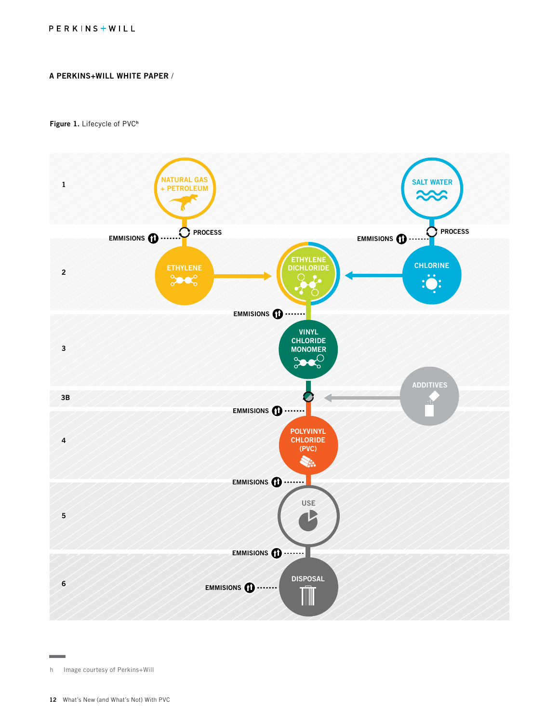**Figure 1.** Lifecycle of PVC**<sup>h</sup>**



h Image courtesy of Perkins+Will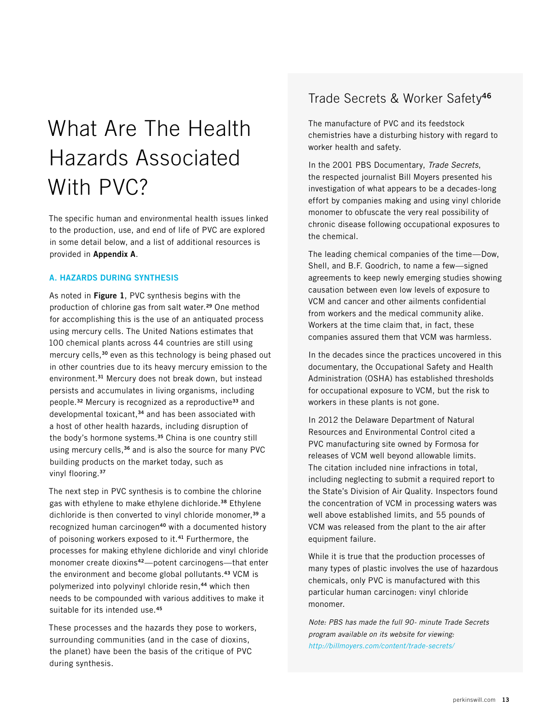## <span id="page-12-0"></span>What Are The Health Hazards Associated With PVC?

The specific human and environmental health issues linked to the production, use, and end of life of PVC are explored in some detail below, and a list of additional resources is provided in **Appendix A**.

#### **A. HAZARDS DURING SYNTHESIS**

As noted in **Figure 1**, PVC synthesis begins with the production of chlorine gas from salt water.**29** One method for accomplishing this is the use of an antiquated process using mercury cells. The United Nations estimates that 100 chemical plants across 44 countries are still using mercury cells,**30** even as this technology is being phased out in other countries due to its heavy mercury emission to the environment.**31** Mercury does not break down, but instead persists and accumulates in living organisms, including people.**32** Mercury is recognized as a reproductive**33** and developmental toxicant,**34** and has been associated with a host of other health hazards, including disruption of the body's hormone systems.**35** China is one country still using mercury cells,**36** and is also the source for many PVC building products on the market today, such as vinyl flooring.**<sup>37</sup>**

The next step in PVC synthesis is to combine the chlorine gas with ethylene to make ethylene dichloride.**38** Ethylene dichloride is then converted to vinyl chloride monomer,**39** a recognized human carcinogen**40** with a documented history of poisoning workers exposed to it.**41** Furthermore, the processes for making ethylene dichloride and vinyl chloride monomer create dioxins**42**—potent carcinogens—that enter the environment and become global pollutants.**43** VCM is polymerized into polyvinyl chloride resin,**44** which then needs to be compounded with various additives to make it suitable for its intended use.**<sup>45</sup>**

These processes and the hazards they pose to workers, surrounding communities (and in the case of dioxins, the planet) have been the basis of the critique of PVC during synthesis.

### Trade Secrets & Worker Safety**<sup>46</sup>**

The manufacture of PVC and its feedstock chemistries have a disturbing history with regard to worker health and safety.

In the 2001 PBS Documentary, Trade Secrets, the respected journalist Bill Moyers presented his investigation of what appears to be a decades-long effort by companies making and using vinyl chloride monomer to obfuscate the very real possibility of chronic disease following occupational exposures to the chemical.

The leading chemical companies of the time—Dow, Shell, and B.F. Goodrich, to name a few—signed agreements to keep newly emerging studies showing causation between even low levels of exposure to VCM and cancer and other ailments confidential from workers and the medical community alike. Workers at the time claim that, in fact, these companies assured them that VCM was harmless.

In the decades since the practices uncovered in this documentary, the Occupational Safety and Health Administration (OSHA) has established thresholds for occupational exposure to VCM, but the risk to workers in these plants is not gone.

In 2012 the Delaware Department of Natural Resources and Environmental Control cited a PVC manufacturing site owned by Formosa for releases of VCM well beyond allowable limits. The citation included nine infractions in total, including neglecting to submit a required report to the State's Division of Air Quality. Inspectors found the concentration of VCM in processing waters was well above established limits, and 55 pounds of VCM was released from the plant to the air after equipment failure.

While it is true that the production processes of many types of plastic involves the use of hazardous chemicals, only PVC is manufactured with this particular human carcinogen: vinyl chloride monomer.

Note: PBS has made the full 90- minute Trade Secrets program available on its website for viewing: <http://billmoyers.com/content/trade-secrets/>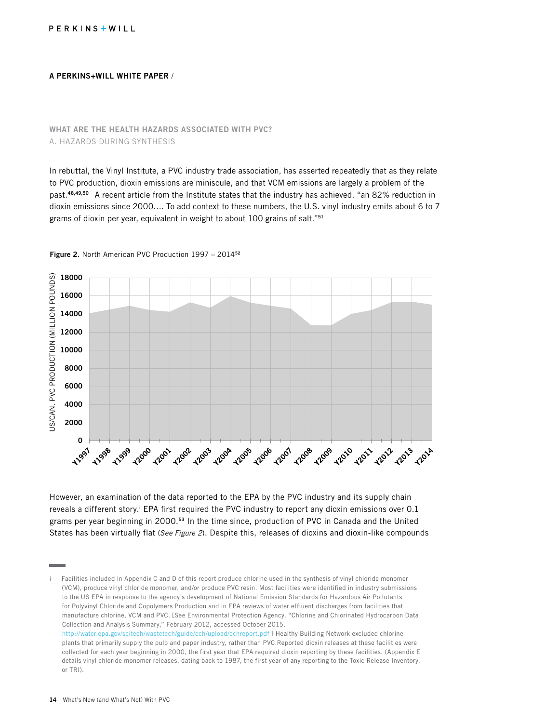#### **WHAT ARE THE HEALTH HAZARDS ASSOCIATED WITH PVC?**  A. HAZARDS DURING SYNTHESIS

In rebuttal, the Vinyl Institute, a PVC industry trade association, has asserted repeatedly that as they relate to PVC production, dioxin emissions are miniscule, and that VCM emissions are largely a problem of the past.**48,49,50** A recent article from the Institute states that the industry has achieved, "an 82% reduction in dioxin emissions since 2000…. To add context to these numbers, the U.S. vinyl industry emits about 6 to 7 grams of dioxin per year, equivalent in weight to about 100 grains of salt."**<sup>51</sup>**



**Figure 2.** North American PVC Production 1997 – 2014**<sup>52</sup> North American PVC Production**

However, an examination of the data reported to the EPA by the PVC industry and its supply chain reveals a different story.**<sup>i</sup>** EPA first required the PVC industry to report any dioxin emissions over 0.1 grams per year beginning in 2000.**53** In the time since, production of PVC in Canada and the United States has been virtually flat (See Figure 2). Despite this, releases of dioxins and dioxin-like compounds

Facilities included in Appendix C and D of this report produce chlorine used in the synthesis of vinyl chloride monomer (VCM), produce vinyl chloride monomer, and/or produce PVC resin. Most facilities were identified in industry submissions to the US EPA in response to the agency's development of National Emission Standards for Hazardous Air Pollutants for Polyvinyl Chloride and Copolymers Production and in EPA reviews of water effluent discharges from facilities that manufacture chlorine, VCM and PVC. [See Environmental Protection Agency, "Chlorine and Chlorinated Hydrocarbon Data Collection and Analysis Summary," February 2012, accessed October 2015,

<http://water.epa.gov/scitech/wastetech/guide/cch/upload/cchreport.pdf> ] Healthy Building Network excluded chlorine plants that primarily supply the pulp and paper industry, rather than PVC.Reported dioxin releases at these facilities were collected for each year beginning in 2000, the first year that EPA required dioxin reporting by these facilities. (Appendix E details vinyl chloride monomer releases, dating back to 1987, the first year of any reporting to the Toxic Release Inventory, or TRI).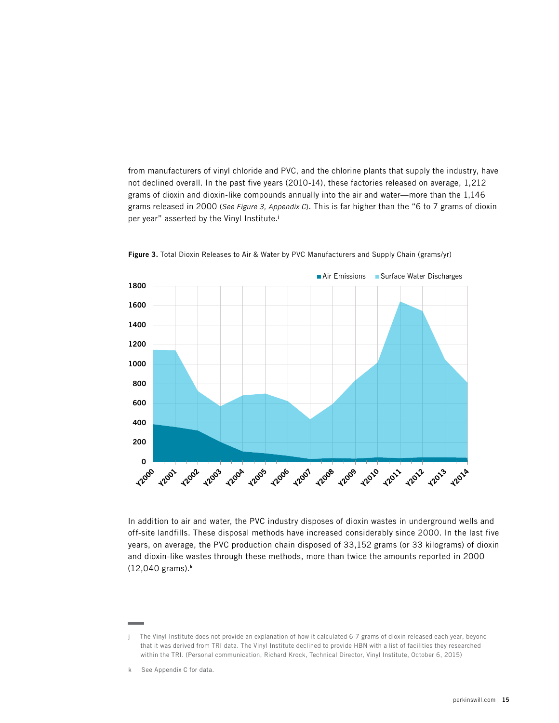from manufacturers of vinyl chloride and PVC, and the chlorine plants that supply the industry, have not declined overall. In the past five years (2010-14), these factories released on average, 1,212 grams of dioxin and dioxin-like compounds annually into the air and water—more than the 1,146 grams released in 2000 (See Figure 3, Appendix C). This is far higher than the "6 to 7 grams of dioxin per year" asserted by the Vinyl Institute.**<sup>j</sup>**



Figure 3. Total Dioxin Releases to Air & Water by PVC Manufacturers and Supply Chain (grams/yr)

In addition to air and water, the PVC industry disposes of dioxin wastes in underground wells and off-site landfills. These disposal methods have increased considerably since 2000. In the last five years, on average, the PVC production chain disposed of 33,152 grams (or 33 kilograms) of dioxin and dioxin-like wastes through these methods, more than twice the amounts reported in 2000 (12,040 grams).**<sup>k</sup>**

j The Vinyl Institute does not provide an explanation of how it calculated 6-7 grams of dioxin released each year, beyond that it was derived from TRI data. The Vinyl Institute declined to provide HBN with a list of facilities they researched within the TRI. (Personal communication, Richard Krock, Technical Director, Vinyl Institute, October 6, 2015)

k See Appendix C for data.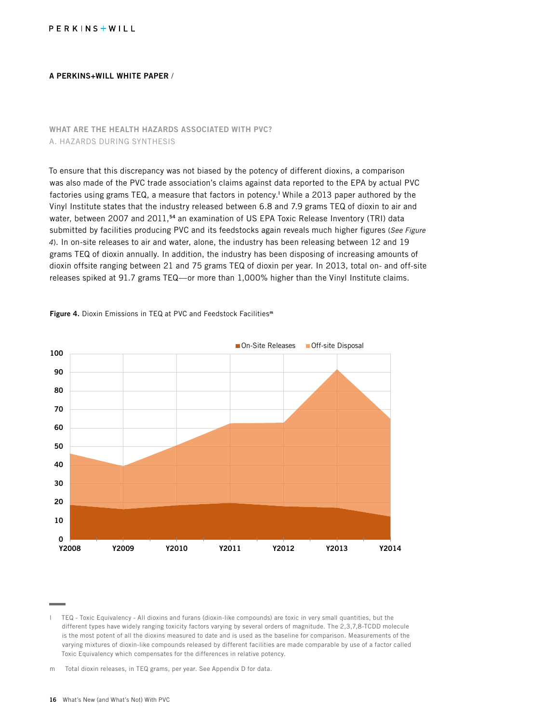#### **WHAT ARE THE HEALTH HAZARDS ASSOCIATED WITH PVC?**  A. HAZARDS DURING SYNTHESIS

To ensure that this discrepancy was not biased by the potency of different dioxins, a comparison was also made of the PVC trade association's claims against data reported to the EPA by actual PVC factories using grams TEQ, a measure that factors in potency.**<sup>l</sup>** While a 2013 paper authored by the Vinyl Institute states that the industry released between 6.8 and 7.9 grams TEQ of dioxin to air and water, between 2007 and 2011,**54** an examination of US EPA Toxic Release Inventory (TRI) data submitted by facilities producing PVC and its feedstocks again reveals much higher figures (See Figure 4). In on-site releases to air and water, alone, the industry has been releasing between 12 and 19 grams TEQ of dioxin annually. In addition, the industry has been disposing of increasing amounts of dioxin offsite ranging between 21 and 75 grams TEQ of dioxin per year. In 2013, total on- and off-site releases spiked at 91.7 grams TEQ—or more than 1,000% higher than the Vinyl Institute claims.



### **Figure 4.** Dioxin Emissions in TEQ at PVC and Feedstock Facilities**<sup>m</sup> Dioxin releases (grams toxicity equivalent)**

l TEQ - Toxic Equivalency - All dioxins and furans (dioxin-like compounds) are toxic in very small quantities, but the different types have widely ranging toxicity factors varying by several orders of magnitude. The 2,3,7,8-TCDD molecule is the most potent of all the dioxins measured to date and is used as the baseline for comparison. Measurements of the varying mixtures of dioxin-like compounds released by different facilities are made comparable by use of a factor called Toxic Equivalency which compensates for the differences in relative potency.

m Total dioxin releases, in TEQ grams, per year. See Appendix D for data.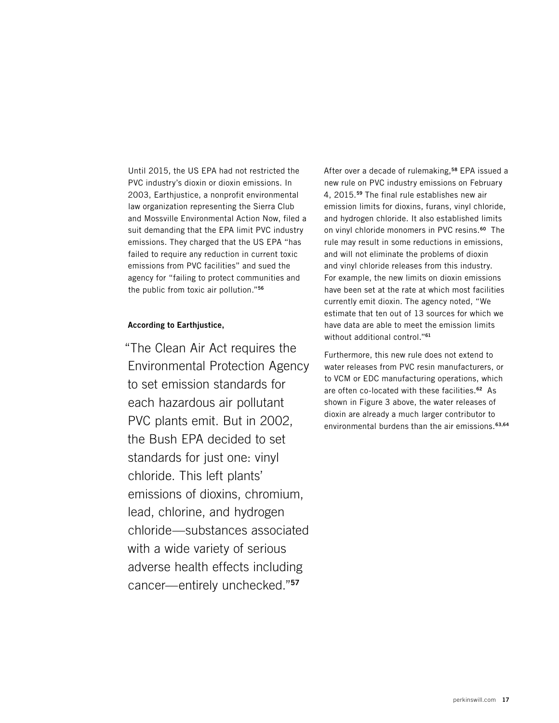Until 2015, the US EPA had not restricted the PVC industry's dioxin or dioxin emissions. In 2003, Earthjustice, a nonprofit environmental law organization representing the Sierra Club and Mossville Environmental Action Now, filed a suit demanding that the EPA limit PVC industry emissions. They charged that the US EPA "has failed to require any reduction in current toxic emissions from PVC facilities" and sued the agency for "failing to protect communities and the public from toxic air pollution."**<sup>56</sup>**

#### **According to Earthjustice,**

"The Clean Air Act requires the Environmental Protection Agency to set emission standards for each hazardous air pollutant PVC plants emit. But in 2002, the Bush EPA decided to set standards for just one: vinyl chloride. This left plants' emissions of dioxins, chromium, lead, chlorine, and hydrogen chloride—substances associated with a wide variety of serious adverse health effects including cancer—entirely unchecked."**<sup>57</sup>**

After over a decade of rulemaking,**58** EPA issued a new rule on PVC industry emissions on February 4, 2015.**59** The final rule establishes new air emission limits for dioxins, furans, vinyl chloride, and hydrogen chloride. It also established limits on vinyl chloride monomers in PVC resins.**60** The rule may result in some reductions in emissions, and will not eliminate the problems of dioxin and vinyl chloride releases from this industry. For example, the new limits on dioxin emissions have been set at the rate at which most facilities currently emit dioxin. The agency noted, "We estimate that ten out of 13 sources for which we have data are able to meet the emission limits without additional control."**<sup>61</sup>**

Furthermore, this new rule does not extend to water releases from PVC resin manufacturers, or to VCM or EDC manufacturing operations, which are often co-located with these facilities.**62** As shown in Figure 3 above, the water releases of dioxin are already a much larger contributor to environmental burdens than the air emissions.**63,64**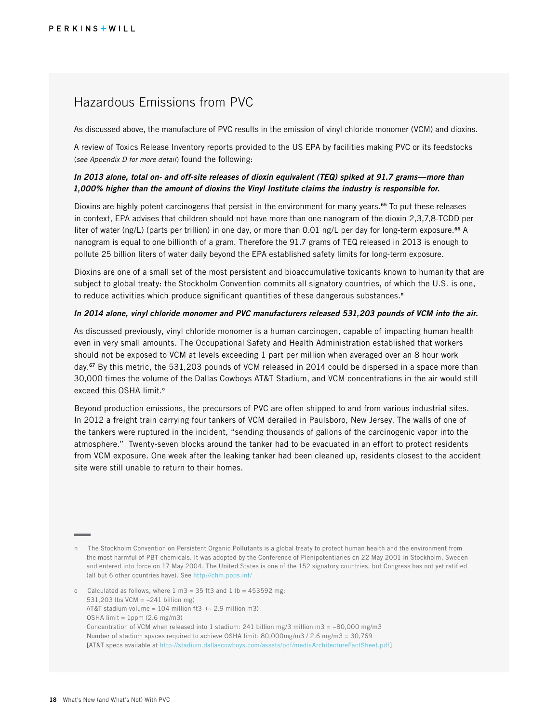### Hazardous Emissions from PVC

As discussed above, the manufacture of PVC results in the emission of vinyl chloride monomer (VCM) and dioxins.

A review of Toxics Release Inventory reports provided to the US EPA by facilities making PVC or its feedstocks (see Appendix D for more detail) found the following:

#### **In 2013 alone, total on- and off-site releases of dioxin equivalent (TEQ) spiked at 91.7 grams—more than 1,000% higher than the amount of dioxins the Vinyl Institute claims the industry is responsible for.**

Dioxins are highly potent carcinogens that persist in the environment for many years.**65** To put these releases in context, EPA advises that children should not have more than one nanogram of the dioxin 2,3,7,8-TCDD per liter of water (ng/L) (parts per trillion) in one day, or more than 0.01 ng/L per day for long-term exposure.**66** A nanogram is equal to one billionth of a gram. Therefore the 91.7 grams of TEQ released in 2013 is enough to pollute 25 billion liters of water daily beyond the EPA established safety limits for long-term exposure.

Dioxins are one of a small set of the most persistent and bioaccumulative toxicants known to humanity that are subject to global treaty: the Stockholm Convention commits all signatory countries, of which the U.S. is one, to reduce activities which produce significant quantities of these dangerous substances.**<sup>n</sup>**

#### **In 2014 alone, vinyl chloride monomer and PVC manufacturers released 531,203 pounds of VCM into the air.**

As discussed previously, vinyl chloride monomer is a human carcinogen, capable of impacting human health even in very small amounts. The Occupational Safety and Health Administration established that workers should not be exposed to VCM at levels exceeding 1 part per million when averaged over an 8 hour work day.**67** By this metric, the 531,203 pounds of VCM released in 2014 could be dispersed in a space more than 30,000 times the volume of the Dallas Cowboys AT&T Stadium, and VCM concentrations in the air would still exceed this OSHA limit.**<sup>o</sup>**

Beyond production emissions, the precursors of PVC are often shipped to and from various industrial sites. In 2012 a freight train carrying four tankers of VCM derailed in Paulsboro, New Jersey. The walls of one of the tankers were ruptured in the incident, "sending thousands of gallons of the carcinogenic vapor into the atmosphere." Twenty-seven blocks around the tanker had to be evacuated in an effort to protect residents from VCM exposure. One week after the leaking tanker had been cleaned up, residents closest to the accident site were still unable to return to their homes.

o Calculated as follows, where  $1 \text{ m}3 = 35 \text{ ft}3$  and  $1 \text{ lb} = 453592 \text{ mg}$ : 531,203 lbs  $VCM = -241$  billion mg) AT&T stadium volume =  $104$  million ft3 (~ 2.9 million m3)  $OSHA$  limit = 1ppm (2.6 mg/m3) Concentration of VCM when released into 1 stadium: 241 billion mg/3 million m3 = ~80,000 mg/m3 Number of stadium spaces required to achieve OSHA limit: 80,000mg/m3 / 2.6 mg/m3 = 30,769 [AT&T specs available at<http://stadium.dallascowboys.com/assets/pdf/mediaArchitectureFactSheet.pdf>]

n The Stockholm Convention on Persistent Organic Pollutants is a global treaty to protect human health and the environment from the most harmful of PBT chemicals. It was adopted by the Conference of Plenipotentiaries on 22 May 2001 in Stockholm, Sweden and entered into force on 17 May 2004. The United States is one of the 152 signatory countries, but Congress has not yet ratified (all but 6 other countries have). See <http://chm.pops.int/>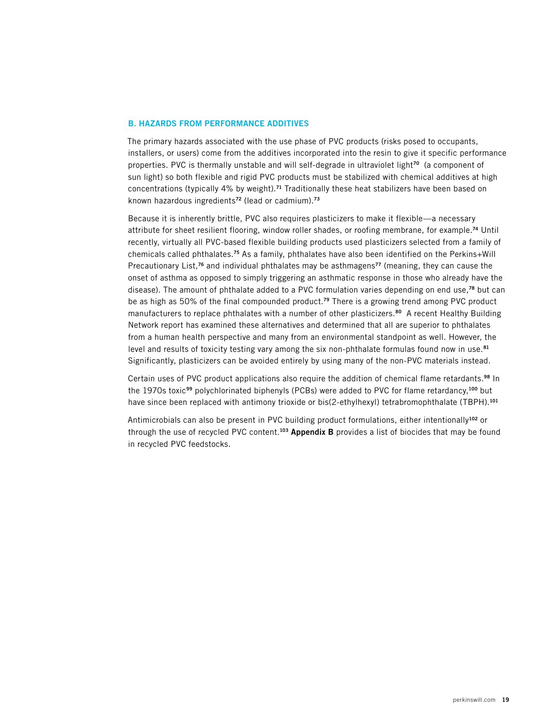#### <span id="page-18-0"></span>**B. HAZARDS FROM PERFORMANCE ADDITIVES**

The primary hazards associated with the use phase of PVC products (risks posed to occupants, installers, or users) come from the additives incorporated into the resin to give it specific performance properties. PVC is thermally unstable and will self-degrade in ultraviolet light**70** (a component of sun light) so both flexible and rigid PVC products must be stabilized with chemical additives at high concentrations (typically 4% by weight).**71** Traditionally these heat stabilizers have been based on known hazardous ingredients**72** (lead or cadmium).**<sup>73</sup>**

Because it is inherently brittle, PVC also requires plasticizers to make it flexible—a necessary attribute for sheet resilient flooring, window roller shades, or roofing membrane, for example.**74** Until recently, virtually all PVC-based flexible building products used plasticizers selected from a family of chemicals called phthalates.**75** As a family, phthalates have also been identified on the Perkins+Will Precautionary List,**76** and individual phthalates may be asthmagens**77** (meaning, they can cause the onset of asthma as opposed to simply triggering an asthmatic response in those who already have the disease). The amount of phthalate added to a PVC formulation varies depending on end use,**78** but can be as high as 50% of the final compounded product.**79** There is a growing trend among PVC product manufacturers to replace phthalates with a number of other plasticizers.**80** A recent Healthy Building Network report has examined these alternatives and determined that all are superior to phthalates from a human health perspective and many from an environmental standpoint as well. However, the level and results of toxicity testing vary among the six non-phthalate formulas found now in use.**<sup>81</sup>** Significantly, plasticizers can be avoided entirely by using many of the non-PVC materials instead.

Certain uses of PVC product applications also require the addition of chemical flame retardants.**98** In the 1970s toxic**99** polychlorinated biphenyls (PCBs) were added to PVC for flame retardancy,**100** but have since been replaced with antimony trioxide or bis(2-ethylhexyl) tetrabromophthalate (TBPH).**<sup>101</sup>**

Antimicrobials can also be present in PVC building product formulations, either intentionally**102** or through the use of recycled PVC content.**<sup>103</sup> Appendix B** provides a list of biocides that may be found in recycled PVC feedstocks.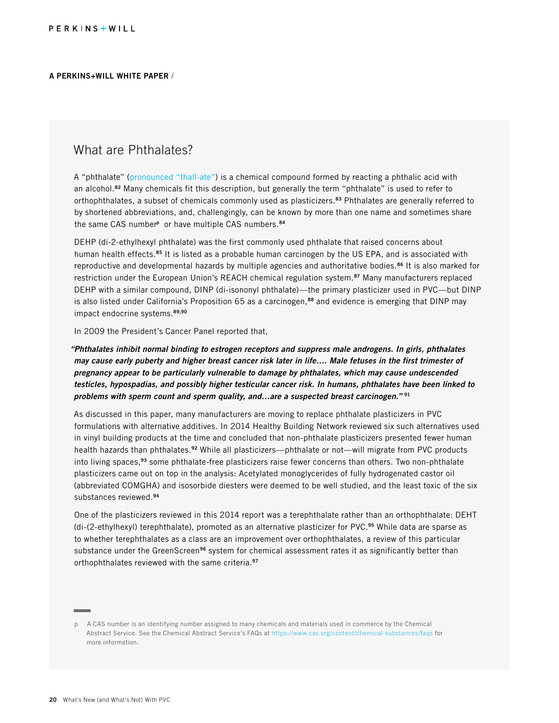### What are Phthalates?

A "phthalate" [\(pronounced "thall-ate"\)](http://media.merriam-webster.com/soundc11/p/phtha01m.wav) is a chemical compound formed by reacting a phthalic acid with an alcohol.**82** Many chemicals fit this description, but generally the term "phthalate" is used to refer to orthophthalates, a subset of chemicals commonly used as plasticizers.**83** Phthalates are generally referred to by shortened abbreviations, and, challengingly, can be known by more than one name and sometimes share the same CAS number**p** or have multiple CAS numbers.**<sup>84</sup>**

DEHP (di-2-ethylhexyl phthalate) was the first commonly used phthalate that raised concerns about human health effects.**85** It is listed as a probable human carcinogen by the US EPA, and is associated with reproductive and developmental hazards by multiple agencies and authoritative bodies.**86** It is also marked for restriction under the European Union's REACH chemical regulation system.**87** Many manufacturers replaced DEHP with a similar compound, DINP (di-isononyl phthalate)—the primary plasticizer used in PVC—but DINP is also listed under California's Proposition 65 as a carcinogen,**88** and evidence is emerging that DINP may impact endocrine systems.**89,90**

In 2009 the President's Cancer Panel reported that,

**"Phthalates inhibit normal binding to estrogen receptors and suppress male androgens. In girls, phthalates may cause early puberty and higher breast cancer risk later in life…. Male fetuses in the first trimester of pregnancy appear to be particularly vulnerable to damage by phthalates, which may cause undescended testicles, hypospadias, and possibly higher testicular cancer risk. In humans, phthalates have been linked to problems with sperm count and sperm quality, and…are a suspected breast carcinogen." <sup>91</sup>**

As discussed in this paper, many manufacturers are moving to replace phthalate plasticizers in PVC formulations with alternative additives. In 2014 Healthy Building Network reviewed six such alternatives used in vinyl building products at the time and concluded that non-phthalate plasticizers presented fewer human health hazards than phthalates.**92** While all plasticizers—phthalate or not—will migrate from PVC products into living spaces,**93** some phthalate-free plasticizers raise fewer concerns than others. Two non-phthalate plasticizers came out on top in the analysis: Acetylated monoglycerides of fully hydrogenated castor oil (abbreviated COMGHA) and isosorbide diesters were deemed to be well studied, and the least toxic of the six substances reviewed.**<sup>94</sup>**

One of the plasticizers reviewed in this 2014 report was a terephthalate rather than an orthophthalate: DEHT (di-(2-ethylhexyl) terephthalate), promoted as an alternative plasticizer for PVC.**95** While data are sparse as to whether terephthalates as a class are an improvement over orthophthalates, a review of this particular substance under the GreenScreen**96** system for chemical assessment rates it as significantly better than orthophthalates reviewed with the same criteria.**<sup>97</sup>**

p A CAS number is an identifying number assigned to many chemicals and materials used in commerce by the Chemical Abstract Service. See the Chemical Abstract Service's FAQs at <https://www.cas.org/content/chemical-substances/faqs> for more information.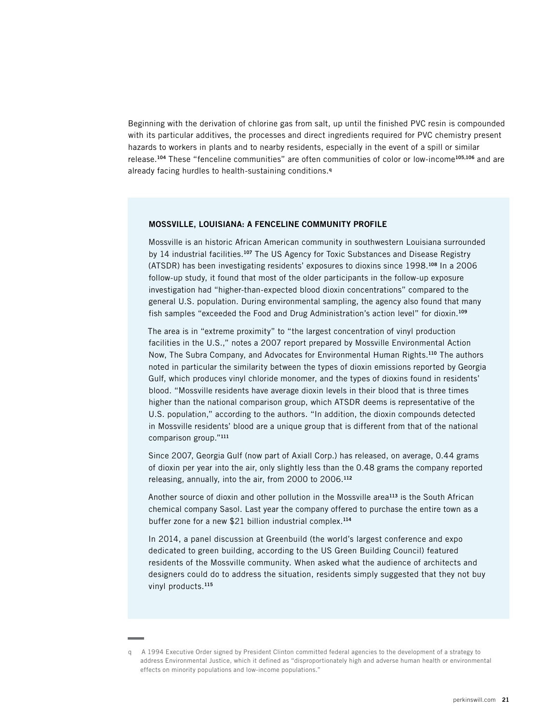Beginning with the derivation of chlorine gas from salt, up until the finished PVC resin is compounded with its particular additives, the processes and direct ingredients required for PVC chemistry present hazards to workers in plants and to nearby residents, especially in the event of a spill or similar release.**104** These "fenceline communities" are often communities of color or low-income**105,106** and are already facing hurdles to health-sustaining conditions.**<sup>q</sup>**

#### **MOSSVILLE, LOUISIANA: A FENCELINE COMMUNITY PROFILE**

Mossville is an historic African American community in southwestern Louisiana surrounded by 14 industrial facilities.**107** The US Agency for Toxic Substances and Disease Registry (ATSDR) has been investigating residents' exposures to dioxins since 1998.**108** In a 2006 follow-up study, it found that most of the older participants in the follow-up exposure investigation had "higher-than-expected blood dioxin concentrations" compared to the general U.S. population. During environmental sampling, the agency also found that many fish samples "exceeded the Food and Drug Administration's action level" for dioxin.**<sup>109</sup>**

The area is in "extreme proximity" to "the largest concentration of vinyl production facilities in the U.S.," notes a 2007 report prepared by Mossville Environmental Action Now, The Subra Company, and Advocates for Environmental Human Rights.**110** The authors noted in particular the similarity between the types of dioxin emissions reported by Georgia Gulf, which produces vinyl chloride monomer, and the types of dioxins found in residents' blood. "Mossville residents have average dioxin levels in their blood that is three times higher than the national comparison group, which ATSDR deems is representative of the U.S. population," according to the authors. "In addition, the dioxin compounds detected in Mossville residents' blood are a unique group that is different from that of the national comparison group."**<sup>111</sup>**

Since 2007, Georgia Gulf (now part of Axiall Corp.) has released, on average, 0.44 grams of dioxin per year into the air, only slightly less than the 0.48 grams the company reported releasing, annually, into the air, from 2000 to 2006.**<sup>112</sup>**

Another source of dioxin and other pollution in the Mossville area**113** is the South African chemical company Sasol. Last year the company offered to purchase the entire town as a buffer zone for a new \$21 billion industrial complex.**<sup>114</sup>**

In 2014, a panel discussion at Greenbuild (the world's largest conference and expo dedicated to green building, according to the US Green Building Council) featured residents of the Mossville community. When asked what the audience of architects and designers could do to address the situation, residents simply suggested that they not buy vinyl products.**115**

q A 1994 Executive Order signed by President Clinton committed federal agencies to the development of a strategy to address Environmental Justice, which it defined as "disproportionately high and adverse human health or environmental effects on minority populations and low-income populations."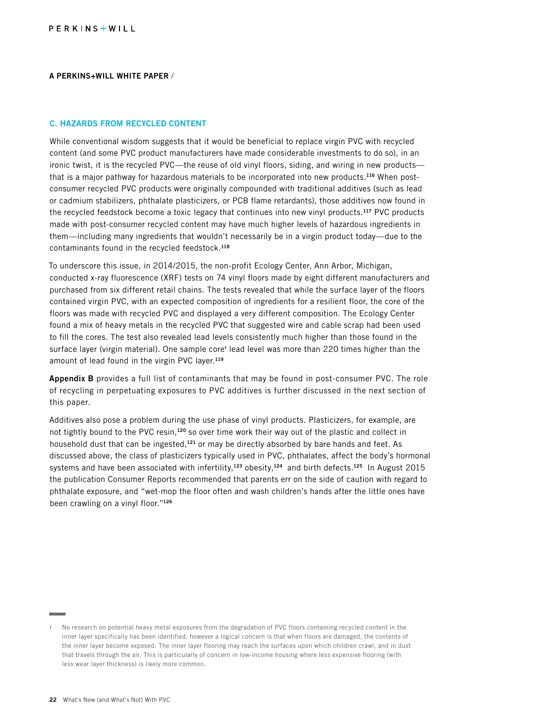#### <span id="page-21-0"></span>**C. HAZARDS FROM RECYCLED CONTENT**

While conventional wisdom suggests that it would be beneficial to replace virgin PVC with recycled content (and some PVC product manufacturers have made considerable investments to do so), in an ironic twist, it is the recycled PVC—the reuse of old vinyl floors, siding, and wiring in new products that is a major pathway for hazardous materials to be incorporated into new products.**116** When postconsumer recycled PVC products were originally compounded with traditional additives (such as lead or cadmium stabilizers, phthalate plasticizers, or PCB flame retardants), those additives now found in the recycled feedstock become a toxic legacy that continues into new vinyl products.**117** PVC products made with post-consumer recycled content may have much higher levels of hazardous ingredients in them—including many ingredients that wouldn't necessarily be in a virgin product today—due to the contaminants found in the recycled feedstock.**<sup>118</sup>**

To underscore this issue, in 2014/2015, the non-profit Ecology Center, Ann Arbor, Michigan, conducted x-ray fluorescence (XRF) tests on 74 vinyl floors made by eight different manufacturers and purchased from six different retail chains. The tests revealed that while the surface layer of the floors contained virgin PVC, with an expected composition of ingredients for a resilient floor, the core of the floors was made with recycled PVC and displayed a very different composition. The Ecology Center found a mix of heavy metals in the recycled PVC that suggested wire and cable scrap had been used to fill the cores. The test also revealed lead levels consistently much higher than those found in the surface layer (virgin material). One sample core**<sup>r</sup>** lead level was more than 220 times higher than the amount of lead found in the virgin PVC layer.**<sup>119</sup>**

**Appendix B** provides a full list of contaminants that may be found in post-consumer PVC. The role of recycling in perpetuating exposures to PVC additives is further discussed in the next section of this paper.

Additives also pose a problem during the use phase of vinyl products. Plasticizers, for example, are not tightly bound to the PVC resin,**120** so over time work their way out of the plastic and collect in household dust that can be ingested,**121** or may be directly absorbed by bare hands and feet. As discussed above, the class of plasticizers typically used in PVC, phthalates, affect the body's hormonal systems and have been associated with infertility,**123** obesity,**124** and birth defects.**125** In August 2015 the publication Consumer Reports recommended that parents err on the side of caution with regard to phthalate exposure, and "wet-mop the floor often and wash children's hands after the little ones have been crawling on a vinyl floor."**<sup>126</sup>**

r No research on potential heavy metal exposures from the degradation of PVC floors containing recycled content in the inner layer specifically has been identified, however a logical concern is that when floors are damaged, the contents of the inner layer become exposed. The inner layer flooring may reach the surfaces upon which children crawl, and in dust that travels through the air. This is particularly of concern in low-income housing where less expensive flooring (with less wear layer thickness) is likely more common.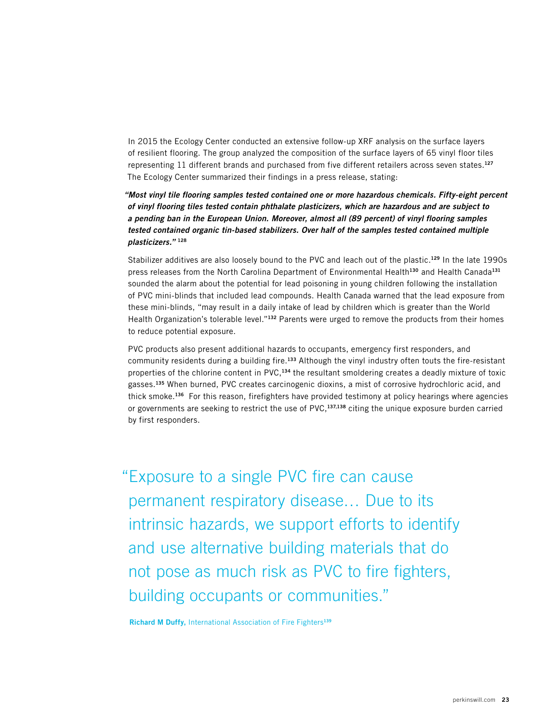In 2015 the Ecology Center conducted an extensive follow-up XRF analysis on the surface layers of resilient flooring. The group analyzed the composition of the surface layers of 65 vinyl floor tiles representing 11 different brands and purchased from five different retailers across seven states.**<sup>127</sup>** The Ecology Center summarized their findings in a press release, stating:

**"Most vinyl tile flooring samples tested contained one or more hazardous chemicals. Fifty-eight percent of vinyl flooring tiles tested contain phthalate plasticizers, which are hazardous and are subject to a pending ban in the European Union. Moreover, almost all (89 percent) of vinyl flooring samples tested contained organic tin-based stabilizers. Over half of the samples tested contained multiple plasticizers." <sup>128</sup>**

Stabilizer additives are also loosely bound to the PVC and leach out of the plastic.**129** In the late 1990s press releases from the North Carolina Department of Environmental Health**130** and Health Canada**<sup>131</sup>** sounded the alarm about the potential for lead poisoning in young children following the installation of PVC mini-blinds that included lead compounds. Health Canada warned that the lead exposure from these mini-blinds, "may result in a daily intake of lead by children which is greater than the World Health Organization's tolerable level."**132** Parents were urged to remove the products from their homes to reduce potential exposure.

PVC products also present additional hazards to occupants, emergency first responders, and community residents during a building fire.**133** Although the vinyl industry often touts the fire-resistant properties of the chlorine content in PVC,**134** the resultant smoldering creates a deadly mixture of toxic gasses.**135** When burned, PVC creates carcinogenic dioxins, a mist of corrosive hydrochloric acid, and thick smoke.**136** For this reason, firefighters have provided testimony at policy hearings where agencies or governments are seeking to restrict the use of PVC,**137,138** citing the unique exposure burden carried by first responders.

"Exposure to a single PVC fire can cause permanent respiratory disease… Due to its intrinsic hazards, we support efforts to identify and use alternative building materials that do not pose as much risk as PVC to fire fighters, building occupants or communities."

**Richard M Duffy,** International Association of Fire Fighters**139**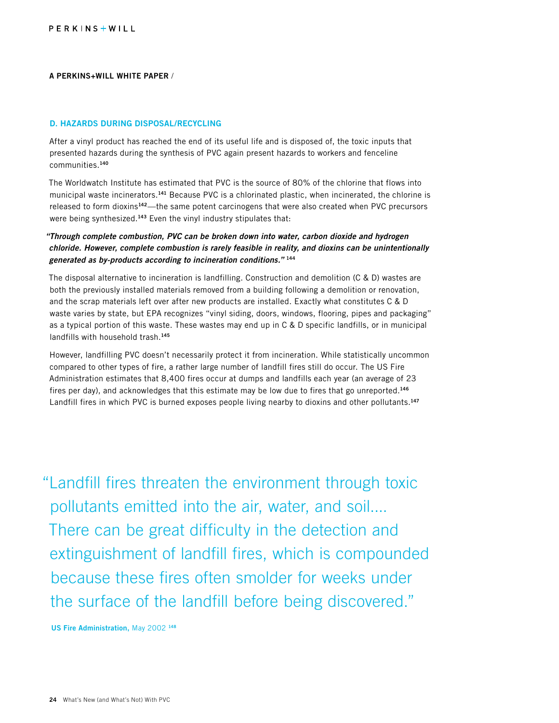#### <span id="page-23-0"></span>**D. HAZARDS DURING DISPOSAL/RECYCLING**

After a vinyl product has reached the end of its useful life and is disposed of, the toxic inputs that presented hazards during the synthesis of PVC again present hazards to workers and fenceline communities.**<sup>140</sup>**

The Worldwatch Institute has estimated that PVC is the source of 80% of the chlorine that flows into municipal waste incinerators.**141** Because PVC is a chlorinated plastic, when incinerated, the chlorine is released to form dioxins**142**—the same potent carcinogens that were also created when PVC precursors were being synthesized.**143** Even the vinyl industry stipulates that:

#### **"Through complete combustion, PVC can be broken down into water, carbon dioxide and hydrogen chloride. However, complete combustion is rarely feasible in reality, and dioxins can be unintentionally generated as by-products according to incineration conditions." <sup>144</sup>**

The disposal alternative to incineration is landfilling. Construction and demolition (C & D) wastes are both the previously installed materials removed from a building following a demolition or renovation, and the scrap materials left over after new products are installed. Exactly what constitutes C & D waste varies by state, but EPA recognizes "vinyl siding, doors, windows, flooring, pipes and packaging" as a typical portion of this waste. These wastes may end up in C & D specific landfills, or in municipal landfills with household trash.**<sup>145</sup>**

However, landfilling PVC doesn't necessarily protect it from incineration. While statistically uncommon compared to other types of fire, a rather large number of landfill fires still do occur. The US Fire Administration estimates that 8,400 fires occur at dumps and landfills each year (an average of 23 fires per day), and acknowledges that this estimate may be low due to fires that go unreported.**<sup>146</sup>** Landfill fires in which PVC is burned exposes people living nearby to dioxins and other pollutants.**<sup>147</sup>**

"Landfill fires threaten the environment through toxic pollutants emitted into the air, water, and soil.... There can be great difficulty in the detection and extinguishment of landfill fires, which is compounded because these fires often smolder for weeks under the surface of the landfill before being discovered."

**US Fire Administration,** May 2002 **<sup>148</sup>**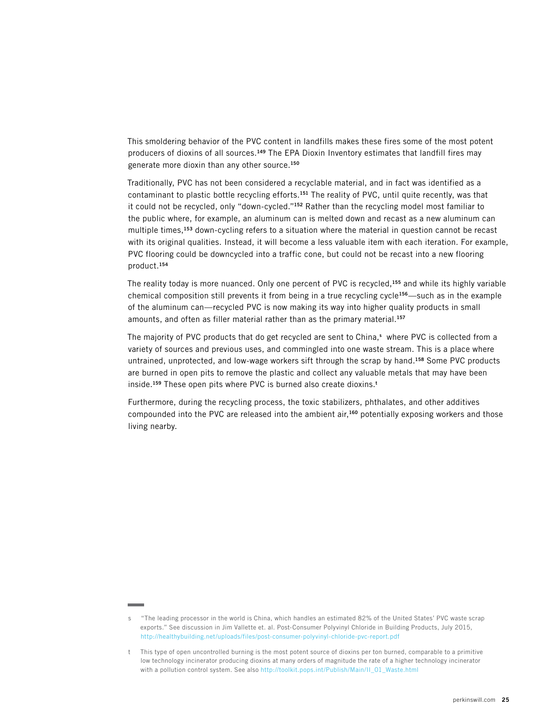This smoldering behavior of the PVC content in landfills makes these fires some of the most potent producers of dioxins of all sources.**149** The EPA Dioxin Inventory estimates that landfill fires may generate more dioxin than any other source.**<sup>150</sup>**

Traditionally, PVC has not been considered a recyclable material, and in fact was identified as a contaminant to plastic bottle recycling efforts.**151** The reality of PVC, until quite recently, was that it could not be recycled, only "down-cycled."**152** Rather than the recycling model most familiar to the public where, for example, an aluminum can is melted down and recast as a new aluminum can multiple times,**153** down-cycling refers to a situation where the material in question cannot be recast with its original qualities. Instead, it will become a less valuable item with each iteration. For example, PVC flooring could be downcycled into a traffic cone, but could not be recast into a new flooring product.**<sup>154</sup>**

The reality today is more nuanced. Only one percent of PVC is recycled,**155** and while its highly variable chemical composition still prevents it from being in a true recycling cycle**156**—such as in the example of the aluminum can—recycled PVC is now making its way into higher quality products in small amounts, and often as filler material rather than as the primary material.**<sup>157</sup>**

The majority of PVC products that do get recycled are sent to China,**<sup>s</sup>** where PVC is collected from a variety of sources and previous uses, and commingled into one waste stream. This is a place where untrained, unprotected, and low-wage workers sift through the scrap by hand.**158** Some PVC products are burned in open pits to remove the plastic and collect any valuable metals that may have been inside.**159** These open pits where PVC is burned also create dioxins.**<sup>t</sup>**

Furthermore, during the recycling process, the toxic stabilizers, phthalates, and other additives compounded into the PVC are released into the ambient air,**160** potentially exposing workers and those living nearby.

s "The leading processor in the world is China, which handles an estimated 82% of the United States' PVC waste scrap exports." See discussion in Jim Vallette et. al. Post-Consumer Polyvinyl Chloride in Building Products, July 2015, <http://healthybuilding.net/uploads/files/post-consumer-polyvinyl-chloride-pvc-report.pdf>

t This type of open uncontrolled burning is the most potent source of dioxins per ton burned, comparable to a primitive low technology incinerator producing dioxins at many orders of magnitude the rate of a higher technology incinerator with a pollution control system. See also [http://toolkit.pops.int/Publish/Main/II\\_01\\_Waste.html](http://toolkit.pops.int/Publish/Main/II_01_Waste.html)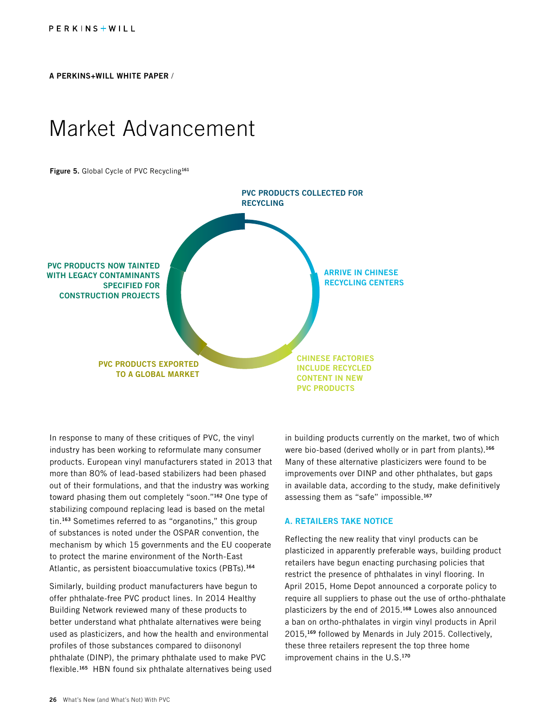### <span id="page-25-0"></span>Market Advancement

**Figure 5.** Global Cycle of PVC Recycling**<sup>161</sup>**



In response to many of these critiques of PVC, the vinyl industry has been working to reformulate many consumer products. European vinyl manufacturers stated in 2013 that more than 80% of lead-based stabilizers had been phased out of their formulations, and that the industry was working toward phasing them out completely "soon."**162** One type of stabilizing compound replacing lead is based on the metal tin.**163** Sometimes referred to as "organotins," this group of substances is noted under the OSPAR convention, the mechanism by which 15 governments and the EU cooperate to protect the marine environment of the North-East Atlantic, as persistent bioaccumulative toxics (PBTs).**<sup>164</sup>**

Similarly, building product manufacturers have begun to offer phthalate-free PVC product lines. In 2014 Healthy Building Network reviewed many of these products to better understand what phthalate alternatives were being used as plasticizers, and how the health and environmental profiles of those substances compared to diisononyl phthalate (DINP), the primary phthalate used to make PVC flexible.**165** HBN found six phthalate alternatives being used in building products currently on the market, two of which were bio-based (derived wholly or in part from plants).**<sup>166</sup>** Many of these alternative plasticizers were found to be improvements over DINP and other phthalates, but gaps in available data, according to the study, make definitively assessing them as "safe" impossible.**<sup>167</sup>**

#### **A. RETAILERS TAKE NOTICE**

Reflecting the new reality that vinyl products can be plasticized in apparently preferable ways, building product retailers have begun enacting purchasing policies that restrict the presence of phthalates in vinyl flooring. In April 2015, Home Depot announced a corporate policy to require all suppliers to phase out the use of ortho-phthalate plasticizers by the end of 2015.**168** Lowes also announced a ban on ortho-phthalates in virgin vinyl products in April 2015,**169** followed by Menards in July 2015. Collectively, these three retailers represent the top three home improvement chains in the U.S.**<sup>170</sup>**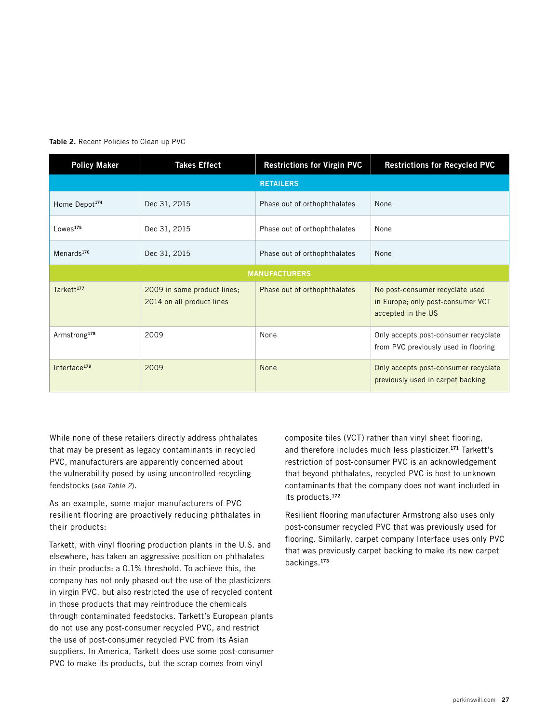|  | Table 2. Recent Policies to Clean up PVC |  |  |
|--|------------------------------------------|--|--|
|  |                                          |  |  |

| <b>Policy Maker</b>       | <b>Takes Effect</b>                                      | <b>Restrictions for Virgin PVC</b> | <b>Restrictions for Recycled PVC</b>                                                       |
|---------------------------|----------------------------------------------------------|------------------------------------|--------------------------------------------------------------------------------------------|
|                           |                                                          | <b>RETAILERS</b>                   |                                                                                            |
| Home Depot <sup>174</sup> | Dec 31, 2015                                             | Phase out of orthophthalates       | <b>None</b>                                                                                |
| Lowes <sup>175</sup>      | Dec 31, 2015                                             | Phase out of orthophthalates       | <b>None</b>                                                                                |
| Menards <sup>176</sup>    | Dec 31, 2015                                             | Phase out of orthophthalates       | None                                                                                       |
|                           |                                                          | <b>MANUFACTURERS</b>               |                                                                                            |
| Tarkett <sup>177</sup>    | 2009 in some product lines;<br>2014 on all product lines | Phase out of orthophthalates       | No post-consumer recyclate used<br>in Europe; only post-consumer VCT<br>accepted in the US |
| Armstrong <sup>178</sup>  | 2009                                                     | None                               | Only accepts post-consumer recyclate<br>from PVC previously used in flooring               |
| Interface <sup>179</sup>  | 2009                                                     | None                               | Only accepts post-consumer recyclate<br>previously used in carpet backing                  |

While none of these retailers directly address phthalates that may be present as legacy contaminants in recycled PVC, manufacturers are apparently concerned about the vulnerability posed by using uncontrolled recycling feedstocks (see Table 2).

As an example, some major manufacturers of PVC resilient flooring are proactively reducing phthalates in their products:

Tarkett, with vinyl flooring production plants in the U.S. and elsewhere, has taken an aggressive position on phthalates in their products: a 0.1% threshold. To achieve this, the company has not only phased out the use of the plasticizers in virgin PVC, but also restricted the use of recycled content in those products that may reintroduce the chemicals through contaminated feedstocks. Tarkett's European plants do not use any post-consumer recycled PVC, and restrict the use of post-consumer recycled PVC from its Asian suppliers. In America, Tarkett does use some post-consumer PVC to make its products, but the scrap comes from vinyl

composite tiles (VCT) rather than vinyl sheet flooring, and therefore includes much less plasticizer.**171** Tarkett's restriction of post-consumer PVC is an acknowledgement that beyond phthalates, recycled PVC is host to unknown contaminants that the company does not want included in its products.**<sup>172</sup>**

Resilient flooring manufacturer Armstrong also uses only post-consumer recycled PVC that was previously used for flooring. Similarly, carpet company Interface uses only PVC that was previously carpet backing to make its new carpet backings.**<sup>173</sup>**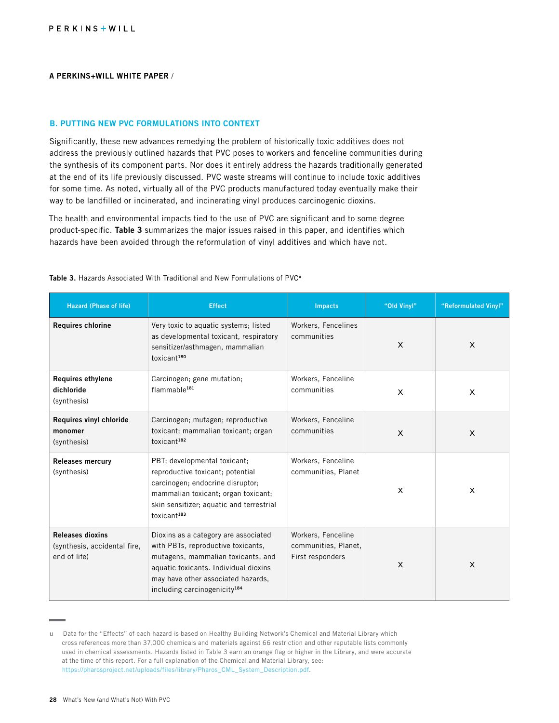#### <span id="page-27-0"></span>**B. PUTTING NEW PVC FORMULATIONS INTO CONTEXT**

Significantly, these new advances remedying the problem of historically toxic additives does not address the previously outlined hazards that PVC poses to workers and fenceline communities during the synthesis of its component parts. Nor does it entirely address the hazards traditionally generated at the end of its life previously discussed. PVC waste streams will continue to include toxic additives for some time. As noted, virtually all of the PVC products manufactured today eventually make their way to be landfilled or incinerated, and incinerating vinyl produces carcinogenic dioxins.

The health and environmental impacts tied to the use of PVC are significant and to some degree product-specific. **Table 3** summarizes the major issues raised in this paper, and identifies which hazards have been avoided through the reformulation of vinyl additives and which have not.

| <b>Hazard (Phase of life)</b>                                           | <b>Effect</b>                                                                                                                                                                                                                               | <b>Impacts</b>                                                 | "Old Vinyl" | "Reformulated Vinyl" |
|-------------------------------------------------------------------------|---------------------------------------------------------------------------------------------------------------------------------------------------------------------------------------------------------------------------------------------|----------------------------------------------------------------|-------------|----------------------|
| <b>Requires chlorine</b>                                                | Very toxic to aquatic systems; listed<br>as developmental toxicant, respiratory<br>sensitizer/asthmagen, mammalian<br>toxicant <sup>180</sup>                                                                                               | Workers, Fencelines<br>communities                             | $\times$    | X                    |
| <b>Requires ethylene</b><br>dichloride<br>(synthesis)                   | Carcinogen; gene mutation;<br>flammable <sup>181</sup>                                                                                                                                                                                      | Workers, Fenceline<br>communities                              | X           | X                    |
| Requires vinyl chloride<br>monomer<br>(synthesis)                       | Carcinogen; mutagen; reproductive<br>toxicant; mammalian toxicant; organ<br>toxicant <sup>182</sup>                                                                                                                                         | Workers, Fenceline<br>communities                              | $\times$    | X                    |
| <b>Releases mercury</b><br>(synthesis)                                  | PBT; developmental toxicant;<br>reproductive toxicant; potential<br>carcinogen; endocrine disruptor;<br>mammalian toxicant; organ toxicant;<br>skin sensitizer; aquatic and terrestrial<br>toxicant <sup>183</sup>                          | Workers, Fenceline<br>communities, Planet                      | X           | X                    |
| <b>Releases dioxins</b><br>(synthesis, accidental fire,<br>end of life) | Dioxins as a category are associated<br>with PBTs, reproductive toxicants,<br>mutagens, mammalian toxicants, and<br>aquatic toxicants. Individual dioxins<br>may have other associated hazards,<br>including carcinogenicity <sup>184</sup> | Workers, Fenceline<br>communities, Planet,<br>First responders | $\times$    | X                    |

**Table 3.** Hazards Associated With Traditional and New Formulations of PVC**<sup>u</sup>**

u Data for the "Effects" of each hazard is based on Healthy Building Network's Chemical and Material Library which cross references more than 37,000 chemicals and materials against 66 restriction and other reputable lists commonly used in chemical assessments. Hazards listed in Table 3 earn an orange flag or higher in the Library, and were accurate at the time of this report. For a full explanation of the Chemical and Material Library, see: [https://pharosproject.net/uploads/files/library/Pharos\\_CML\\_System\\_Description.pdf.](https://pharosproject.net/uploads/files/library/Pharos_CML_System_Description.pdf)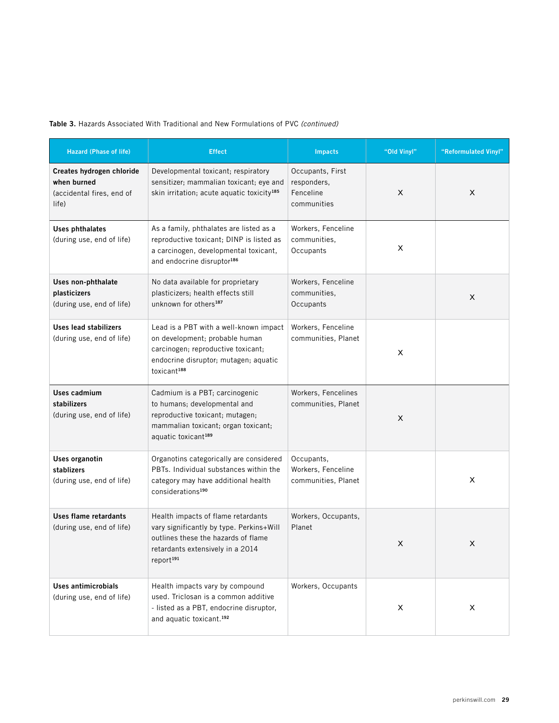#### **Table 3.** Hazards Associated With Traditional and New Formulations of PVC (continued)

| <b>Hazard (Phase of life)</b>                                                  | <b>Effect</b>                                                                                                                                                                      | <b>Impacts</b>                                              | "Old Vinyl" | "Reformulated Vinyl" |
|--------------------------------------------------------------------------------|------------------------------------------------------------------------------------------------------------------------------------------------------------------------------------|-------------------------------------------------------------|-------------|----------------------|
| Creates hydrogen chloride<br>when burned<br>(accidental fires, end of<br>life) | Developmental toxicant; respiratory<br>sensitizer; mammalian toxicant; eye and<br>skin irritation; acute aquatic toxicity <sup>185</sup>                                           | Occupants, First<br>responders,<br>Fenceline<br>communities | X           | Χ                    |
| <b>Uses phthalates</b><br>(during use, end of life)                            | As a family, phthalates are listed as a<br>reproductive toxicant; DINP is listed as<br>a carcinogen, developmental toxicant,<br>and endocrine disruptor <sup>186</sup>             | Workers, Fenceline<br>communities,<br>Occupants             | X           |                      |
| Uses non-phthalate<br>plasticizers<br>(during use, end of life)                | No data available for proprietary<br>plasticizers; health effects still<br>unknown for others <sup>187</sup>                                                                       | Workers, Fenceline<br>communities,<br>Occupants             |             | X                    |
| Uses lead stabilizers<br>(during use, end of life)                             | Lead is a PBT with a well-known impact<br>on development; probable human<br>carcinogen; reproductive toxicant;<br>endocrine disruptor; mutagen; aquatic<br>toxicant <sup>188</sup> | Workers, Fenceline<br>communities, Planet                   | X           |                      |
| Uses cadmium<br>stabilizers<br>(during use, end of life)                       | Cadmium is a PBT; carcinogenic<br>to humans; developmental and<br>reproductive toxicant; mutagen;<br>mammalian toxicant; organ toxicant;<br>aquatic toxicant <sup>189</sup>        | Workers, Fencelines<br>communities, Planet                  | X           |                      |
| Uses organotin<br>stablizers<br>(during use, end of life)                      | Organotins categorically are considered<br>PBTs. Individual substances within the<br>category may have additional health<br>considerations <sup>190</sup>                          | Occupants,<br>Workers, Fenceline<br>communities, Planet     |             | X                    |
| Uses flame retardants<br>(during use, end of life)                             | Health impacts of flame retardants<br>vary significantly by type. Perkins+Will<br>outlines these the hazards of flame<br>retardants extensively in a 2014<br>report <sup>191</sup> | Workers, Occupants,<br>Planet                               | X           | Χ                    |
| Uses antimicrobials<br>(during use, end of life)                               | Health impacts vary by compound<br>used. Triclosan is a common additive<br>- listed as a PBT, endocrine disruptor,<br>and aquatic toxicant. <sup>192</sup>                         | Workers, Occupants                                          | X           | X                    |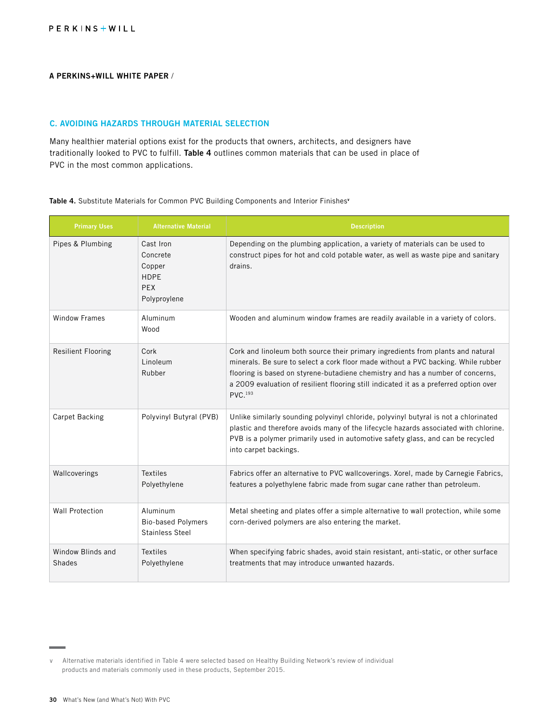#### <span id="page-29-0"></span>**C. AVOIDING HAZARDS THROUGH MATERIAL SELECTION**

Many healthier material options exist for the products that owners, architects, and designers have traditionally looked to PVC to fulfill. **Table 4** outlines common materials that can be used in place of PVC in the most common applications.

#### **Table 4.** Substitute Materials for Common PVC Building Components and Interior Finishes**<sup>v</sup>**

| <b>Primary Uses</b>         | <b>Alternative Material</b>                                                  | <b>Description</b>                                                                                                                                                                                                                                                                                                                                                     |
|-----------------------------|------------------------------------------------------------------------------|------------------------------------------------------------------------------------------------------------------------------------------------------------------------------------------------------------------------------------------------------------------------------------------------------------------------------------------------------------------------|
| Pipes & Plumbing            | Cast Iron<br>Concrete<br>Copper<br><b>HDPE</b><br><b>PEX</b><br>Polyproylene | Depending on the plumbing application, a variety of materials can be used to<br>construct pipes for hot and cold potable water, as well as waste pipe and sanitary<br>drains.                                                                                                                                                                                          |
| <b>Window Frames</b>        | Aluminum<br>Wood                                                             | Wooden and aluminum window frames are readily available in a variety of colors.                                                                                                                                                                                                                                                                                        |
| <b>Resilient Flooring</b>   | Cork<br>Linoleum<br>Rubber                                                   | Cork and linoleum both source their primary ingredients from plants and natural<br>minerals. Be sure to select a cork floor made without a PVC backing. While rubber<br>flooring is based on styrene-butadiene chemistry and has a number of concerns,<br>a 2009 evaluation of resilient flooring still indicated it as a preferred option over<br>PVC. <sup>193</sup> |
| <b>Carpet Backing</b>       | Polyvinyl Butyral (PVB)                                                      | Unlike similarly sounding polyvinyl chloride, polyvinyl butyral is not a chlorinated<br>plastic and therefore avoids many of the lifecycle hazards associated with chlorine.<br>PVB is a polymer primarily used in automotive safety glass, and can be recycled<br>into carpet backings.                                                                               |
| Wallcoverings               | <b>Textiles</b><br>Polyethylene                                              | Fabrics offer an alternative to PVC wallcoverings. Xorel, made by Carnegie Fabrics,<br>features a polyethylene fabric made from sugar cane rather than petroleum.                                                                                                                                                                                                      |
| <b>Wall Protection</b>      | Aluminum<br><b>Bio-based Polymers</b><br>Stainless Steel                     | Metal sheeting and plates offer a simple alternative to wall protection, while some<br>corn-derived polymers are also entering the market.                                                                                                                                                                                                                             |
| Window Blinds and<br>Shades | <b>Textiles</b><br>Polyethylene                                              | When specifying fabric shades, avoid stain resistant, anti-static, or other surface<br>treatments that may introduce unwanted hazards.                                                                                                                                                                                                                                 |

v Alternative materials identified in Table 4 were selected based on Healthy Building Network's review of individual products and materials commonly used in these products, September 2015.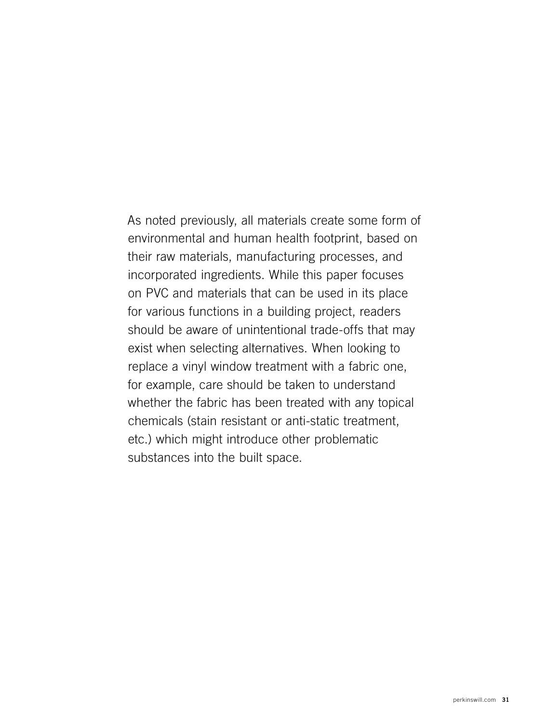As noted previously, all materials create some form of environmental and human health footprint, based on their raw materials, manufacturing processes, and incorporated ingredients. While this paper focuses on PVC and materials that can be used in its place for various functions in a building project, readers should be aware of unintentional trade-offs that may exist when selecting alternatives. When looking to replace a vinyl window treatment with a fabric one, for example, care should be taken to understand whether the fabric has been treated with any topical chemicals (stain resistant or anti-static treatment, etc.) which might introduce other problematic substances into the built space.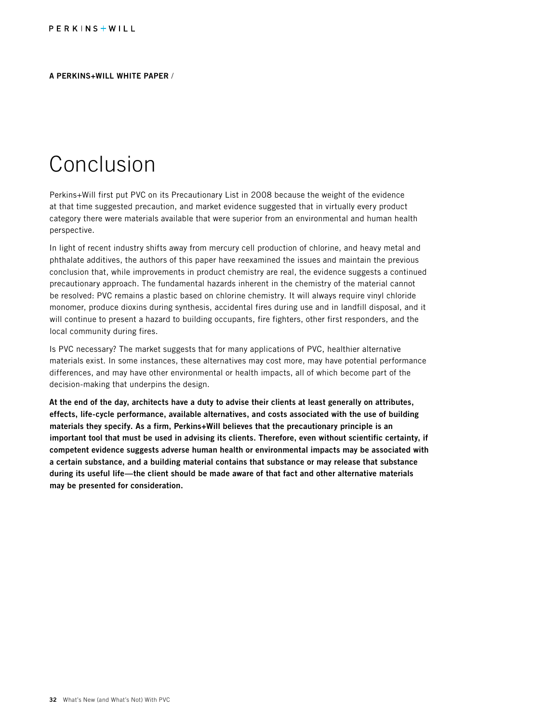### <span id="page-31-0"></span>Conclusion

Perkins+Will first put PVC on its Precautionary List in 2008 because the weight of the evidence at that time suggested precaution, and market evidence suggested that in virtually every product category there were materials available that were superior from an environmental and human health perspective.

In light of recent industry shifts away from mercury cell production of chlorine, and heavy metal and phthalate additives, the authors of this paper have reexamined the issues and maintain the previous conclusion that, while improvements in product chemistry are real, the evidence suggests a continued precautionary approach. The fundamental hazards inherent in the chemistry of the material cannot be resolved: PVC remains a plastic based on chlorine chemistry. It will always require vinyl chloride monomer, produce dioxins during synthesis, accidental fires during use and in landfill disposal, and it will continue to present a hazard to building occupants, fire fighters, other first responders, and the local community during fires.

Is PVC necessary? The market suggests that for many applications of PVC, healthier alternative materials exist. In some instances, these alternatives may cost more, may have potential performance differences, and may have other environmental or health impacts, all of which become part of the decision-making that underpins the design.

**At the end of the day, architects have a duty to advise their clients at least generally on attributes, effects, life-cycle performance, available alternatives, and costs associated with the use of building materials they specify. As a firm, Perkins+Will believes that the precautionary principle is an important tool that must be used in advising its clients. Therefore, even without scientific certainty, if competent evidence suggests adverse human health or environmental impacts may be associated with a certain substance, and a building material contains that substance or may release that substance during its useful life—the client should be made aware of that fact and other alternative materials may be presented for consideration.**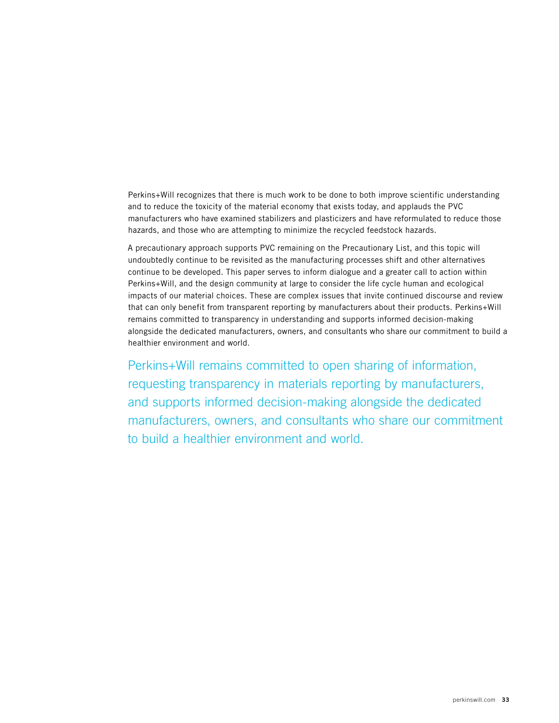Perkins+Will recognizes that there is much work to be done to both improve scientific understanding and to reduce the toxicity of the material economy that exists today, and applauds the PVC manufacturers who have examined stabilizers and plasticizers and have reformulated to reduce those hazards, and those who are attempting to minimize the recycled feedstock hazards.

A precautionary approach supports PVC remaining on the Precautionary List, and this topic will undoubtedly continue to be revisited as the manufacturing processes shift and other alternatives continue to be developed. This paper serves to inform dialogue and a greater call to action within Perkins+Will, and the design community at large to consider the life cycle human and ecological impacts of our material choices. These are complex issues that invite continued discourse and review that can only benefit from transparent reporting by manufacturers about their products. Perkins+Will remains committed to transparency in understanding and supports informed decision-making alongside the dedicated manufacturers, owners, and consultants who share our commitment to build a healthier environment and world.

Perkins+Will remains committed to open sharing of information, requesting transparency in materials reporting by manufacturers, and supports informed decision-making alongside the dedicated manufacturers, owners, and consultants who share our commitment to build a healthier environment and world.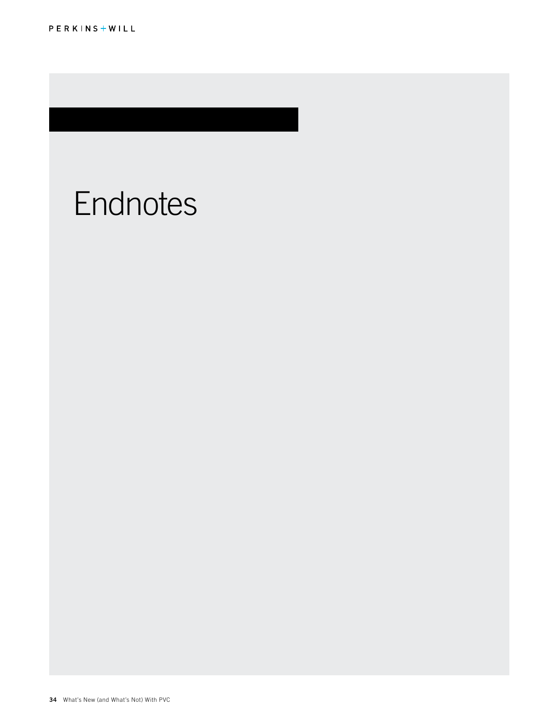## **Endnotes**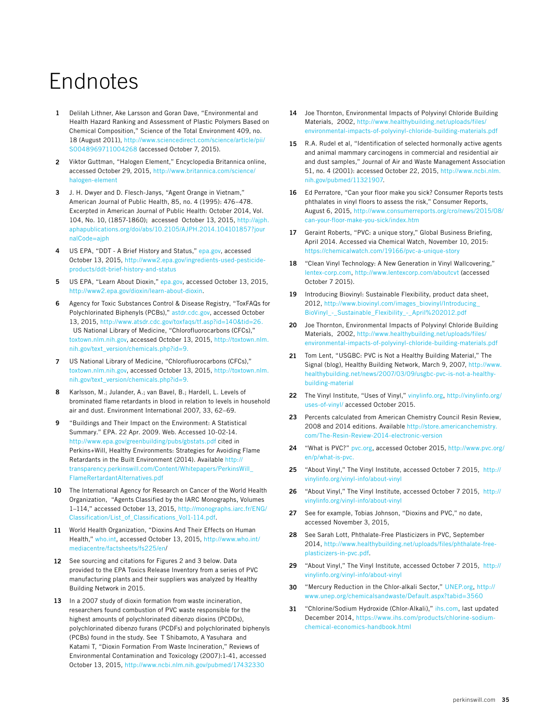## <span id="page-34-0"></span>**Endnotes**

- **1** Delilah Lithner, Ake Larsson and Goran Dave, "Environmental and Health Hazard Ranking and Assessment of Plastic Polymers Based on Chemical Composition," Science of the Total Environment 409, no. 18 (August 2011), [http://www.sciencedirect.com/science/article/pii/](http://www.sciencedirect.com/science/article/pii/S0048969711004268) [S0048969711004268](http://www.sciencedirect.com/science/article/pii/S0048969711004268) (accessed October 7, 2015).
- **2** Viktor Guttman, "Halogen Element," Encyclopedia Britannica online, accessed October 29, 2015, [http://www.britannica.com/science/](http://www.britannica.com/science/halogen-element  ) [halogen-element](http://www.britannica.com/science/halogen-element  )
- **3** J. H. Dwyer and D. Flesch-Janys, "Agent Orange in Vietnam," American Journal of Public Health, 85, no. 4 (1995): 476–478. Excerpted in American Journal of Public Health: October 2014, Vol. 104, No. 10, (1857-1860); accessed October 13, 2015, [http://ajph.](http://ajph.aphapublications.org/doi/abs/10.2105/AJPH.2014.104101857?journalCode=ajph) [aphapublications.org/doi/abs/10.2105/AJPH.2014.104101857?jour](http://ajph.aphapublications.org/doi/abs/10.2105/AJPH.2014.104101857?journalCode=ajph) [nalCode=ajph](http://ajph.aphapublications.org/doi/abs/10.2105/AJPH.2014.104101857?journalCode=ajph)
- **4** US EPA, "DDT A Brief History and Status," [epa.gov,](epa.gov) accessed October 13, 2015, [http://www2.epa.gov/ingredients-used-pesticide]( http://www2.epa.gov/ingredients-used-pesticide-products/ddt-brief-history-and-status )[products/ddt-brief-history-and-status]( http://www2.epa.gov/ingredients-used-pesticide-products/ddt-brief-history-and-status )
- **5** US EPA, "Learn About Dioxin," [epa.gov,](epa.gov) accessed October 13, 2015, [http://www2.epa.gov/dioxin/learn-about-dioxin.](http://www2.epa.gov/dioxin/learn-about-dioxin)
- **6** Agency for Toxic Substances Control & Disease Registry, "ToxFAQs for Polychlorinated Biphenyls (PCBs)," [astdr.cdc.gov,](astdr.cdc.gov) accessed October 13, 2015,<http://www.atsdr.cdc.gov/toxfaqs/tf.asp?id=140&tid=26.> US National Library of Medicine, "Chlorofluorocarbons (CFCs)," [toxtown.nlm.nih.gov,](toxtown.nlm.nih.gov) accessed October 13, 2015, [http://toxtown.nlm.](http://toxtown.nlm.nih.gov/text_version/chemicals.php?id=9.) [nih.gov/text\\_version/chemicals.php?id=9.](http://toxtown.nlm.nih.gov/text_version/chemicals.php?id=9.)
- **7** US National Library of Medicine, "Chlorofluorocarbons (CFCs)," [toxtown.nlm.nih.gov,](toxtown.nlm.nih.gov) accessed October 13, 2015, [http://toxtown.nlm.](http://toxtown.nlm.nih.gov/text_version/chemicals.php?id=9.) [nih.gov/text\\_version/chemicals.php?id=9.](http://toxtown.nlm.nih.gov/text_version/chemicals.php?id=9.)
- **8** Karlsson, M.; Julander, A.; van Bavel, B.; Hardell, L. Levels of brominated flame retardants in blood in relation to levels in household air and dust. Environment International 2007, 33, 62–69.
- **9** "Buildings and Their Impact on the Environment: A Statistical Summary." EPA. 22 Apr. 2009. Web. Accessed 10-02-14. <http://www.epa.gov/greenbuilding/pubs/gbstats.pdf>cited in Perkins+Will, Healthy Environments: Strategies for Avoiding Flame Retardants in the Built Environment (2014). Available [http://](http://transparency.perkinswill.com/Content/Whitepapers/PerkinsWill_FlameRertardantAlternatives.pdf) [transparency.perkinswill.com/Content/Whitepapers/PerkinsWill\\_](http://transparency.perkinswill.com/Content/Whitepapers/PerkinsWill_FlameRertardantAlternatives.pdf) [FlameRertardantAlternatives.pdf](http://transparency.perkinswill.com/Content/Whitepapers/PerkinsWill_FlameRertardantAlternatives.pdf)
- **10** The International Agency for Research on Cancer of the World Health Organization, "Agents Classified by the IARC Monographs, Volumes 1–114," accessed October 13, 2015, [http://monographs.iarc.fr/ENG/](http://monographs.iarc.fr/ENG/Classification/List_of_Classifications_Vol1-114.pdf) [Classification/List\\_of\\_Classifications\\_Vol1-114.pdf.](http://monographs.iarc.fr/ENG/Classification/List_of_Classifications_Vol1-114.pdf)
- **11** World Health Organization, "Dioxins And Their Effects on Human Health,"<who.int>, accessed October 13, 2015, [http://www.who.int/](http://www.who.int/mediacentre/factsheets/fs225/en) [mediacentre/factsheets/fs225/en](http://www.who.int/mediacentre/factsheets/fs225/en)/
- **12** See sourcing and citations for Figures 2 and 3 below. Data provided to the EPA Toxics Release Inventory from a series of PVC manufacturing plants and their suppliers was analyzed by Healthy Building Network in 2015.
- **13** In a 2007 study of dioxin formation from waste incineration, researchers found combustion of PVC waste responsible for the highest amounts of polychlorinated dibenzo dioxins (PCDDs), polychlorinated dibenzo furans (PCDFs) and polychlorinated biphenyls (PCBs) found in the study. See T Shibamoto, A Yasuhara and Katami T, "Dioxin Formation From Waste Incineration," Reviews of Environmental Contamination and Toxicology (2007):1-41, accessed October 13, 2015, <http://www.ncbi.nlm.nih.gov/pubmed/17432330>
- **14** Joe Thornton, Environmental Impacts of Polyvinyl Chloride Building Materials, 2002, [http://www.healthybuilding.net/uploads/files/](http://www.healthybuilding.net/uploads/files/environmental-impacts-of-polyvinyl-chloride-building-materials.pdf) [environmental-impacts-of-polyvinyl-chloride-building-materials.pdf](http://www.healthybuilding.net/uploads/files/environmental-impacts-of-polyvinyl-chloride-building-materials.pdf)
- **15** R.A. Rudel et al, "Identification of selected hormonally active agents and animal mammary carcinogens in commercial and residential air and dust samples," Journal of Air and Waste Management Association 51, no. 4 (2001): accessed October 22, 2015, [http://www.ncbi.nlm.](http://www.ncbi.nlm.nih.gov/pubmed/11321907) [nih.gov/pubmed/11321907](http://www.ncbi.nlm.nih.gov/pubmed/11321907).
- **16** Ed Perratore, "Can your floor make you sick? Consumer Reports tests phthalates in vinyl floors to assess the risk," Consumer Reports, August 6, 2015, [http://www.consumerreports.org/cro/news/2015/08/](http://www.consumerreports.org/cro/news/2015/08/can-your-floor-make-you-sick/index.htm) [can-your-floor-make-you-sick/index.htm](http://www.consumerreports.org/cro/news/2015/08/can-your-floor-make-you-sick/index.htm)
- **17** Geraint Roberts, "PVC: a unique story," Global Business Briefing, April 2014. Accessed via Chemical Watch, November 10, 2015: [https://chemicalwatch.com/19166/pvc-a-unique-story](https://chemicalwatch.com/19166/pvc-a-unique-story )
- **18** "Clean Vinyl Technology: A New Generation in Vinyl Wallcovering," [lentex-corp.com,](lentex-corp.com)<http://www.lentexcorp.com/aboutcvt>(accessed October 7 2015).
- **19** Introducing Biovinyl: Sustainable Flexibility, product data sheet, 2012, http://www.biovinyl.com/images\_biovinyl/Introducing [BioVinyl\\_-\\_Sustainable\\_Flexibility\\_-\\_April%202012.pdf](http://www.biovinyl.com/images_biovinyl/Introducing_BioVinyl_-_Sustainable_Flexibility_-_April%202012.pdf )
- **20** Joe Thornton, Environmental Impacts of Polyvinyl Chloride Building Materials, 2002, [http://www.healthybuilding.net/uploads/files/](http://www.healthybuilding.net/uploads/files/environmental-impacts-of-polyvinyl-chloride-building-materials.pdf) [environmental-impacts-of-polyvinyl-chloride-building-materials.pdf](http://www.healthybuilding.net/uploads/files/environmental-impacts-of-polyvinyl-chloride-building-materials.pdf)
- **21** Tom Lent, "USGBC: PVC is Not a Healthy Building Material," The Signal (blog), Healthy Building Network, March 9, 2007, [http://www.](http://www.healthybuilding.net/news/2007/03/09/usgbc-pvc-is-not-a-healthy-building-material ) [healthybuilding.net/news/2007/03/09/usgbc-pvc-is-not-a-healthy](http://www.healthybuilding.net/news/2007/03/09/usgbc-pvc-is-not-a-healthy-building-material )[building-material](http://www.healthybuilding.net/news/2007/03/09/usgbc-pvc-is-not-a-healthy-building-material )
- **22** The Vinyl Institute, "Uses of Vinyl,"<vinylinfo.org>, [http://vinylinfo.org/](http://vinylinfo.org/uses-of-vinyl/ ) [uses-of-vinyl/](http://vinylinfo.org/uses-of-vinyl/ ) accessed October 2015.
- **23** Percents calculated from American Chemistry Council Resin Review, 2008 and 2014 editions. Available [http://store.americanchemistry.](http://store.americanchemistry.com/The-Resin-Review-2014-electronic-version ) [com/The-Resin-Review-2014-electronic-version](http://store.americanchemistry.com/The-Resin-Review-2014-electronic-version )
- **24** "What is PVC?" [pvc.org,](pvc.org) accessed October 2015, [http://www.pvc.org/](http://www.pvc.org/en/p/what-is-pvc.) [en/p/what-is-pvc.](http://www.pvc.org/en/p/what-is-pvc.)
- **25** "About Vinyl," The Vinyl Institute, accessed October 7 2015, [http://]( http://vinylinfo.org/vinyl-info/about-vinyl ) [vinylinfo.org/vinyl-info/about-vinyl]( http://vinylinfo.org/vinyl-info/about-vinyl )
- **26** "About Vinyl," The Vinyl Institute, accessed October 7 2015, [http://]( http://vinylinfo.org/vinyl-info/about-vinyl ) [vinylinfo.org/vinyl-info/about-vinyl]( http://vinylinfo.org/vinyl-info/about-vinyl )
- **27** See for example, Tobias Johnson, "Dioxins and PVC," no date, accessed November 3, 2015,
- **28** See Sarah Lott, Phthalate-Free Plasticizers in PVC, September 2014, [http://www.healthybuilding.net/uploads/files/phthalate-free](http://www.healthybuilding.net/uploads/files/phthalate-free-plasticizers-in-pvc.pdf)[plasticizers-in-pvc.pdf](http://www.healthybuilding.net/uploads/files/phthalate-free-plasticizers-in-pvc.pdf).
- **29** "About Vinyl," The Vinyl Institute, accessed October 7 2015, [http://]( http://vinylinfo.org/vinyl-info/about-vinyl ) [vinylinfo.org/vinyl-info/about-vinyl]( http://vinylinfo.org/vinyl-info/about-vinyl )
- **30** "Mercury Reduction in the Chlor-alkali Sector,"<UNEP.org>, [http://](http://www.unep.org/chemicalsandwaste/Default.aspx?tabid=3560) [www.unep.org/chemicalsandwaste/Default.aspx?tabid=3560](http://www.unep.org/chemicalsandwaste/Default.aspx?tabid=3560)
- **31** "Chlorine/Sodium Hydroxide (Chlor-Alkali)," [ihs.com,](ihs.com) last updated December 2014, [https://www.ihs.com/products/chlorine-sodium](https://www.ihs.com/products/chlorine-sodium-chemical-economics-handbook.html)[chemical-economics-handbook.html](https://www.ihs.com/products/chlorine-sodium-chemical-economics-handbook.html)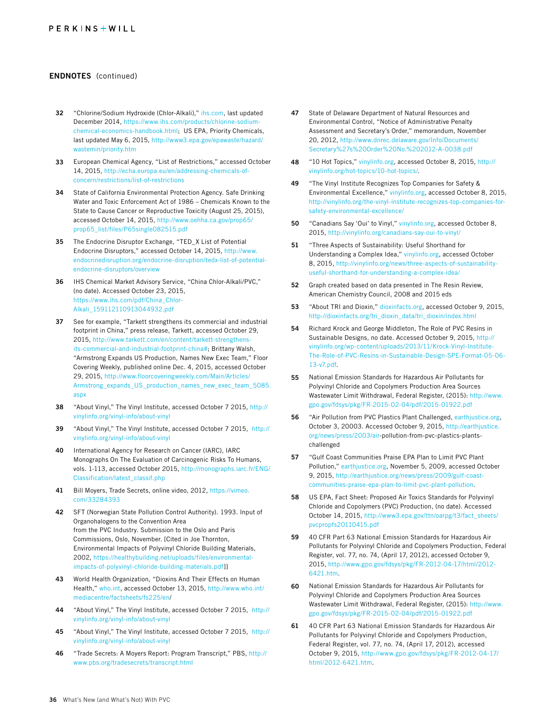- **32** "Chlorine/Sodium Hydroxide (Chlor-Alkali)," [ihs.com,](ihs.com) last updated December 2014, [https://www.ihs.com/products/chlorine-sodium](https://www.ihs.com/products/chlorine-sodium-chemical-economics-handbook.html)[chemical-economics-handbook.html;](https://www.ihs.com/products/chlorine-sodium-chemical-economics-handbook.html) US EPA, Priority Chemicals, last updated May 6, 2015, [http://www3.epa.gov/epawaste/hazard/](http://www3.epa.gov/epawaste/hazard/wastemin/priority.htm) [wastemin/priority.htm](http://www3.epa.gov/epawaste/hazard/wastemin/priority.htm)
- **33** European Chemical Agency, "List of Restrictions," accessed October 14, 2015, [http://echa.europa.eu/en/addressing-chemicals-of](http://echa.europa.eu/en/addressing-chemicals-of-concern/restrictions/list-of-restrictions  )[concern/restrictions/list-of-restrictions](http://echa.europa.eu/en/addressing-chemicals-of-concern/restrictions/list-of-restrictions  )
- **34** State of California Environmental Protection Agency. Safe Drinking Water and Toxic Enforcement Act of 1986 – Chemicals Known to the State to Cause Cancer or Reproductive Toxicity (August 25, 2015), accessed October 14, 2015, [http://www.oehha.ca.gov/prop65/](http://www.oehha.ca.gov/prop65/prop65_list/files/P65single082515.pdf) [prop65\\_list/files/P65single082515.pdf](http://www.oehha.ca.gov/prop65/prop65_list/files/P65single082515.pdf)
- **35** The Endocrine Disruptor Exchange, "TED\_X List of Potential Endocrine Disruptors," accessed October 14, 2015, [http://www.](http://www.endocrinedisruption.org/endocrine-disruption/tedx-list-of-potential-endocrine-disruptors/overview) [endocrinedisruption.org/endocrine-disruption/tedx-list-of-potential](http://www.endocrinedisruption.org/endocrine-disruption/tedx-list-of-potential-endocrine-disruptors/overview)[endocrine-disruptors/overview](http://www.endocrinedisruption.org/endocrine-disruption/tedx-list-of-potential-endocrine-disruptors/overview)
- **36** IHS Chemical Market Advisory Service, "China Chlor-Alkali/PVC," (no date). Accessed October 23, 2015, [https://www.ihs.com/pdf/China\\_Chlor-](https://www.ihs.com/pdf/China_Chlor-Alkali_159112110913044932.pdf)[Alkali\\_159112110913044932.pdf](https://www.ihs.com/pdf/China_Chlor-Alkali_159112110913044932.pdf)
- **37** See for example, "Tarkett strengthens its commercial and industrial footprint in China," press release, Tarkett, accessed October 29, 2015, [http://www.tarkett.com/en/content/tarkett-strengthens](http://www.tarkett.com/en/content/tarkett-strengthens-its-commercial-and-industrial-footprint-china#)[its-commercial-and-industrial-footprint-china#;](http://www.tarkett.com/en/content/tarkett-strengthens-its-commercial-and-industrial-footprint-china#) Brittany Walsh, "Armstrong Expands US Production, Names New Exec Team," Floor Covering Weekly, published online Dec. 4, 2015, accessed October 29, 2015, [http://www.floorcoveringweekly.com/Main/Articles/](http://www.floorcoveringweekly.com/Main/Articles/Armstrong_expands_US_production_names_new_exec_team_5085.aspx) [Armstrong\\_expands\\_US\\_production\\_names\\_new\\_exec\\_team\\_5085.](http://www.floorcoveringweekly.com/Main/Articles/Armstrong_expands_US_production_names_new_exec_team_5085.aspx) [aspx](http://www.floorcoveringweekly.com/Main/Articles/Armstrong_expands_US_production_names_new_exec_team_5085.aspx)
- **38** "About Vinyl," The Vinyl Institute, accessed October 7 2015, [http://](http://vinylinfo.org/vinyl-info/about-vinyl ) [vinylinfo.org/vinyl-info/about-vinyl](http://vinylinfo.org/vinyl-info/about-vinyl )
- **39** "About Vinyl," The Vinyl Institute, accessed October 7 2015, [http://]( http://vinylinfo.org/vinyl-info/about-vinyl ) [vinylinfo.org/vinyl-info/about-vinyl]( http://vinylinfo.org/vinyl-info/about-vinyl )
- **40** International Agency for Research on Cancer (IARC), IARC Monographs On The Evaluation of Carcinogenic Risks To Humans, vols. 1-113, accessed October 2015, [http://monographs.iarc.fr/ENG/](http://monographs.iarc.fr/ENG/Classification/latest_classif.php) [Classification/latest\\_classif.php](http://monographs.iarc.fr/ENG/Classification/latest_classif.php)
- **41** Bill Moyers, Trade Secrets, online video, 2012, [https://vimeo.](https://vimeo.com/33284393) [com/33284393](https://vimeo.com/33284393)
- **42** SFT (Norwegian State Pollution Control Authority). 1993. Input of Organohalogens to the Convention Area from the PVC Industry. Submission to the Oslo and Paris Commissions, Oslo, November. [Cited in Joe Thornton, Environmental Impacts of Polyvinyl Chloride Building Materials, 2002, [https://healthybuilding.net/uploads/files/environmental](https://healthybuilding.net/uploads/files/environmental-impacts-of-polyvinyl-chloride-building-materials.pdf)[impacts-of-polyvinyl-chloride-building-materials.pdf](https://healthybuilding.net/uploads/files/environmental-impacts-of-polyvinyl-chloride-building-materials.pdf)]]
- **43** World Health Organization, "Dioxins And Their Effects on Human Health," [who.int,](who.int) accessed October 13, 2015, [http://www.who.int/](http://www.who.int/mediacentre/factsheets/fs225/en) [mediacentre/factsheets/fs225/en/](http://www.who.int/mediacentre/factsheets/fs225/en)
- **44** "About Vinyl," The Vinyl Institute, accessed October 7 2015, [http://]( http://vinylinfo.org/vinyl-info/about-vinyl ) [vinylinfo.org/vinyl-info/about-vinyl]( http://vinylinfo.org/vinyl-info/about-vinyl )
- **45** "About Vinyl," The Vinyl Institute, accessed October 7 2015, [http://]( http://vinylinfo.org/vinyl-info/about-vinyl ) [vinylinfo.org/vinyl-info/about-vinyl]( http://vinylinfo.org/vinyl-info/about-vinyl )
- **46** "Trade Secrets: A Moyers Report: Program Transcript," PBS, [http://](http://www.pbs.org/tradesecrets/transcript.html) [www.pbs.org/tradesecrets/transcript.html](http://www.pbs.org/tradesecrets/transcript.html)
- **47** State of Delaware Department of Natural Resources and Environmental Control, "Notice of Administrative Penalty Assessment and Secretary's Order," memorandum, November 20, 2012, [http://www.dnrec.delaware.gov/Info/Documents/]( http://www.dnrec.delaware.gov/Info/Documents/Secretary%27s%20Order%20No.%202012-A-0038.pdf) [Secretary%27s%20Order%20No.%202012-A-0038.pdf]( http://www.dnrec.delaware.gov/Info/Documents/Secretary%27s%20Order%20No.%202012-A-0038.pdf)
- **48** "10 Hot Topics,"<vinylinfo.org>, accessed October 8, 2015, [http://](http://vinylinfo.org/hot-topics/10-hot-topics/) [vinylinfo.org/hot-topics/10-hot-topics/.](http://vinylinfo.org/hot-topics/10-hot-topics/)
- **49** "The Vinyl Institute Recognizes Top Companies for Safety & Environmental Excellence,"<vinylinfo.org>, accessed October 8, 2015, [http://vinylinfo.org/the-vinyl-institute-recognizes-top-companies-for](http://vinylinfo.org/the-vinyl-institute-recognizes-top-companies-for-safety-environmental-excellence/ )[safety-environmental-excellence/](http://vinylinfo.org/the-vinyl-institute-recognizes-top-companies-for-safety-environmental-excellence/ )
- **50** "Canadians Say 'Oui' to Vinyl,"<vinylinfo.org>, accessed October 8, 2015, [http://vinylinfo.org/canadians-say-oui-to-vinyl/](http://vinylinfo.org/canadians-say-oui-to-vinyl/   )
- **51** "Three Aspects of Sustainability: Useful Shorthand for Understanding a Complex Idea," [vinylinfo.org,](vinylinfo.org) accessed October 8, 2015[, http://vinylinfo.org/news/three-aspects-of-sustainability]( http://vinylinfo.org/news/three-aspects-of-sustainability-useful-shorthand-for-understanding-a-complex-idea/ )[useful-shorthand-for-understanding-a-complex-idea/]( http://vinylinfo.org/news/three-aspects-of-sustainability-useful-shorthand-for-understanding-a-complex-idea/ )
- **52** Graph created based on data presented in The Resin Review, American Chemistry Council, 2008 and 2015 eds
- **53** "About TRI and Dioxin," [dioxinfacts.org,](dioxinfacts.org) accessed October 9, 2015, [http://dioxinfacts.org/tri\\_dioxin\\_data/tri\\_dioxin/index.html](http://dioxinfacts.org/tri_dioxin_data/tri_dioxin/index.html)
- **54** Richard Krock and George Middleton, The Role of PVC Resins in Sustainable Designs, no date. Accessed October 9, 2015, [http://](http://vinylinfo.org/wp-content/uploads/2013/11/Krock-Vinyl-Institute-The-Role-of-PVC-Resins-in-Sustainable-Design-SPE-Format-05-06-13-v7.pdf) [vinylinfo.org/wp-content/uploads/2013/11/Krock-Vinyl-Institute-](http://vinylinfo.org/wp-content/uploads/2013/11/Krock-Vinyl-Institute-The-Role-of-PVC-Resins-in-Sustainable-Design-SPE-Format-05-06-13-v7.pdf)[The-Role-of-PVC-Resins-in-Sustainable-Design-SPE-Format-05-06-](http://vinylinfo.org/wp-content/uploads/2013/11/Krock-Vinyl-Institute-The-Role-of-PVC-Resins-in-Sustainable-Design-SPE-Format-05-06-13-v7.pdf)  $13-v7$ .pdf
- **55** National Emission Standards for Hazardous Air Pollutants for Polyvinyl Chloride and Copolymers Production Area Sources Wastewater Limit Withdrawal, Federal Register, (2015): [http://www.](http://www.gpo.gov/fdsys/pkg/FR-2015-02-04/pdf/2015-01922.pdf) [gpo.gov/fdsys/pkg/FR-2015-02-04/pdf/2015-01922.pdf](http://www.gpo.gov/fdsys/pkg/FR-2015-02-04/pdf/2015-01922.pdf)
- **56** "Air Pollution from PVC Plastics Plant Challenged,<earthjustice.org>, October 3, 20003. Accessed October 9, 2015, [http://earthjustice.](http://earthjustice.org/news/press/2003/air) [org/news/press/2003/air-](http://earthjustice.org/news/press/2003/air)pollution-from-pvc-plastics-plantschallenged
- **57** "Gulf Coast Communities Praise EPA Plan to Limit PVC Plant Pollution," <earthjustice.org>, November 5, 2009, accessed October 9, 2015[, http://earthjustice.org/news/press/2009/gulf-coast]( http://earthjustice.org/news/press/2009/gulf-coast-communities-praise-epa-plan-to-limit-pvc-plant-pollution)[communities-praise-epa-plan-to-limit-pvc-plant-pollution.]( http://earthjustice.org/news/press/2009/gulf-coast-communities-praise-epa-plan-to-limit-pvc-plant-pollution)
- **58** US EPA, Fact Sheet: Proposed Air Toxics Standards for Polyvinyl Chloride and Copolymers (PVC) Production, (no date). Accessed October 14, 2015, [http://www3.epa.gov/ttn/oarpg/t3/fact\\_sheets/](http://www3.epa.gov/ttn/oarpg/t3/fact_sheets/pvcpropfs20110415.pdf) [pvcpropfs20110415.pdf](http://www3.epa.gov/ttn/oarpg/t3/fact_sheets/pvcpropfs20110415.pdf)
- **59** 40 CFR Part 63 National Emission Standards for Hazardous Air Pollutants for Polyvinyl Chloride and Copolymers Production, Federal Register, vol. 77, no. 74, (April 17, 2012), accessed October 9, 2015, [http://www.gpo.gov/fdsys/pkg/FR-2012-04-17/html/2012-](http://www.gpo.gov/fdsys/pkg/FR-2012-04-17/html/2012-6421.htm) [6421.htm](http://www.gpo.gov/fdsys/pkg/FR-2012-04-17/html/2012-6421.htm).
- **60** National Emission Standards for Hazardous Air Pollutants for Polyvinyl Chloride and Copolymers Production Area Sources Wastewater Limit Withdrawal, Federal Register, (2015): [http://www.](http://www.gpo.gov/fdsys/pkg/FR-2015-02-04/pdf/2015-01922.pdf) [gpo.gov/fdsys/pkg/FR-2015-02-04/pdf/2015-01922.pdf](http://www.gpo.gov/fdsys/pkg/FR-2015-02-04/pdf/2015-01922.pdf)
- **61** 40 CFR Part 63 National Emission Standards for Hazardous Air Pollutants for Polyvinyl Chloride and Copolymers Production, Federal Register, vol. 77, no. 74, (April 17, 2012), accessed October 9, 2015, [http://www.gpo.gov/fdsys/pkg/FR-2012-04-17/](http://www.gpo.gov/fdsys/pkg/FR-2012-04-17/html/2012-6421.htm) [html/2012-6421.htm.](http://www.gpo.gov/fdsys/pkg/FR-2012-04-17/html/2012-6421.htm)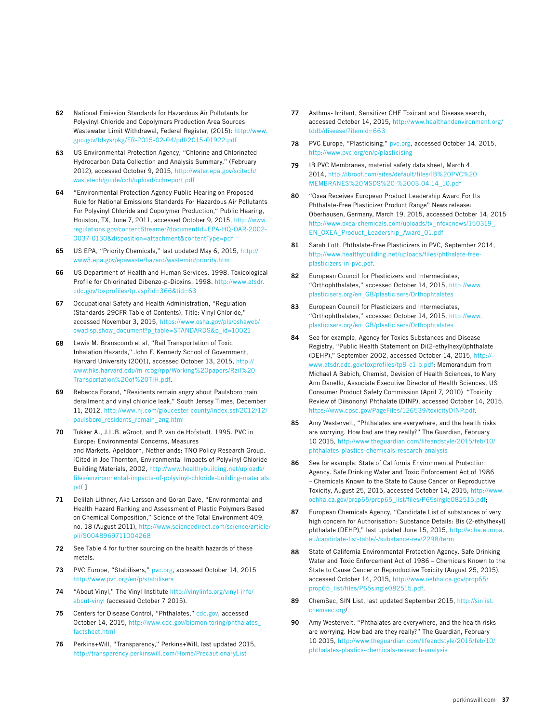- **62** National Emission Standards for Hazardous Air Pollutants for Polyvinyl Chloride and Copolymers Production Area Sources Wastewater Limit Withdrawal, Federal Register, (2015): [http://www.](http://www.gpo.gov/fdsys/pkg/FR-2015-02-04/pdf/2015-01922.pdf) [gpo.gov/fdsys/pkg/FR-2015-02-04/pdf/2015-01922.pdf](http://www.gpo.gov/fdsys/pkg/FR-2015-02-04/pdf/2015-01922.pdf)
- **63** US Environmental Protection Agency, "Chlorine and Chlorinated Hydrocarbon Data Collection and Analysis Summary," (February 2012), accessed October 9, 2015, [http://water.epa.gov/scitech/](http://water.epa.gov/scitech/wastetech/guide/cch/upload/cchreport.pdf) [wastetech/guide/cch/upload/cchreport.pdf](http://water.epa.gov/scitech/wastetech/guide/cch/upload/cchreport.pdf)
- **64** "Environmental Protection Agency Public Hearing on Proposed Rule for National Emissions Standards For Hazardous Air Pollutants For Polyvinyl Chloride and Copolymer Production," Public Hearing, Houston, TX, June 7, 2011, accessed October 9, 2015, [http://www.](http://www.regulations.gov/contentStreamer?documentId=EPA-HQ-OAR-2002-0037-0130&disposition=attachment&contentType=pdf) [regulations.gov/contentStreamer?documentId=EPA-HQ-OAR-2002-](http://www.regulations.gov/contentStreamer?documentId=EPA-HQ-OAR-2002-0037-0130&disposition=attachment&contentType=pdf) [0037-0130&disposition=attachment&contentType=pdf](http://www.regulations.gov/contentStreamer?documentId=EPA-HQ-OAR-2002-0037-0130&disposition=attachment&contentType=pdf)
- **65** US EPA, "Priority Chemicals," last updated May 6, 2015, [http://](http://www3.epa.gov/epawaste/hazard/wastemin/priority.htm) [www3.epa.gov/epawaste/hazard/wastemin/priority.htm](http://www3.epa.gov/epawaste/hazard/wastemin/priority.htm)
- **66** US Department of Health and Human Services. 1998. Toxicological Profile for Chlorinated Dibenzo-p-Dioxins, 1998. [http://www.atsdr.](http://www.atsdr.cdc.gov/toxprofiles/tp.asp?id=366&tid=63) [cdc.gov/toxprofiles/tp.asp?id=366&tid=63](http://www.atsdr.cdc.gov/toxprofiles/tp.asp?id=366&tid=63)
- **67** Occupational Safety and Health Administration, "Regulation (Standards-29CFR Table of Contents), Title: Vinyl Chloride," accessed November 3, 2015, [https://www.osha.gov/pls/oshaweb/](https://www.osha.gov/pls/oshaweb/owadisp.show_document?p_table=STANDARDS&p_id=10021) [owadisp.show\\_document?p\\_table=STANDARDS&p\\_id=10021](https://www.osha.gov/pls/oshaweb/owadisp.show_document?p_table=STANDARDS&p_id=10021)
- **68** Lewis M. Branscomb et al, "Rail Transportation of Toxic Inhalation Hazards," John F. Kennedy School of Government, Harvard University (2001), accessed October 13, 2015, [http://](http://www.hks.harvard.edu/m-rcbg/rpp/Working%20papers/Rail%20Transportation%20of%20TIH.pdf) [www.hks.harvard.edu/m-rcbg/rpp/Working%20papers/Rail%20](http://www.hks.harvard.edu/m-rcbg/rpp/Working%20papers/Rail%20Transportation%20of%20TIH.pdf) [Transportation%20of%20TIH.pdf.](http://www.hks.harvard.edu/m-rcbg/rpp/Working%20papers/Rail%20Transportation%20of%20TIH.pdf)
- **69** Rebecca Forand, "Residents remain angry about Paulsboro train derailment and vinyl chloride leak," South Jersey Times, December 11, 2012, [http://www.nj.com/gloucester-county/index.ssf/2012/12/](http://www.nj.com/gloucester-county/index.ssf/2012/12/paulsboro_residents_remain_ang.html) [paulsboro\\_residents\\_remain\\_ang.html](http://www.nj.com/gloucester-county/index.ssf/2012/12/paulsboro_residents_remain_ang.html)
- **70** Tukker A., J.L.B. eGroot, and P. van de Hofstadt. 1995. PVC in Europe: Environmental Concerns, Measures and Markets. Apeldoorn, Netherlands: TNO Policy Research Group. [Cited in Joe Thornton, Environmental Impacts of Polyvinyl Chloride Building Materials, 2002, [http://www.healthybuilding.net/uploads/](http://www.healthybuilding.net/uploads/files/environmental-impacts-of-polyvinyl-chloride-building-materials.pdf) [files/environmental-impacts-of-polyvinyl-chloride-building-materials.](http://www.healthybuilding.net/uploads/files/environmental-impacts-of-polyvinyl-chloride-building-materials.pdf) [pdf](http://www.healthybuilding.net/uploads/files/environmental-impacts-of-polyvinyl-chloride-building-materials.pdf) ]
- **71** Delilah Lithner, Ake Larsson and Goran Dave, "Environmental and Health Hazard Ranking and Assessment of Plastic Polymers Based on Chemical Composition," Science of the Total Environment 409, no. 18 (August 2011), [http://www.sciencedirect.com/science/article/](http://www.sciencedirect.com/science/article/pii/S0048969711004268) [pii/S0048969711004268](http://www.sciencedirect.com/science/article/pii/S0048969711004268)
- **72** See Table 4 for further sourcing on the health hazards of these metals.
- **73** PVC Europe, "Stabilisers,"<pvc.org>, accessed October 14, 2015 <http://www.pvc.org/en/p/stabilisers>
- **74** "About Vinyl," The Vinyl Institute [http://vinylinfo.org/vinyl-info/](http://vinylinfo.org/vinyl-info/about-vinyl) [about-vinyl](http://vinylinfo.org/vinyl-info/about-vinyl) (accessed October 7 2015).
- 75 Centers for Disease Control, "Phthalates," [cdc.gov,](cdc.gov) accessed October 14, 2015, [http://www.cdc.gov/biomonitoring/phthalates\\_](http://www.cdc.gov/biomonitoring/phthalates_factsheet.html) [factsheet.html](http://www.cdc.gov/biomonitoring/phthalates_factsheet.html)
- **76** Perkins+Will, "Transparency," Perkins+Will, last updated 2015, <http://transparency.perkinswill.com/Home/PrecautionaryList>
- **77** Asthma- Irritant, Sensitizer CHE Toxicant and Disease search, accessed October 14, 2015, [http://www.healthandenvironment.org/](http://www.healthandenvironment.org/tddb/disease/?itemid=663) [tddb/disease/?itemid=663](http://www.healthandenvironment.org/tddb/disease/?itemid=663)
- **78** PVC Europe, "Plasticising," [pvc.org,](pvc.org) accessed October 14, 2015, <http://www.pvc.org/en/p/plasticising>
- **79** IB PVC Membranes, material safety data sheet, March 4, 2014, [http://ibroof.com/sites/default/files/IB%20PVC%20]( http://ibroof.com/sites/default/files/IB%20PVC%20MEMBRANES%20MSDS%20-%2003.04.14_10.pdf ) [MEMBRANES%20MSDS%20-%2003.04.14\\_10.pdf]( http://ibroof.com/sites/default/files/IB%20PVC%20MEMBRANES%20MSDS%20-%2003.04.14_10.pdf )
- **80** "Oxea Receives European Product Leadership Award For Its Phthalate-Free Plasticizer Product Range" News release: Oberhausen, Germany, March 19, 2015, accessed October 14, 2015 [http://www.oxea-chemicals.com/uploads/tx\\_nfoxcnews/150319\\_](http://www.oxea-chemicals.com/uploads/tx_nfoxcnews/150319_EN_OXEA_Product_Leadership_Award_01.pdf) [EN\\_OXEA\\_Product\\_Leadership\\_Award\\_01.pdf](http://www.oxea-chemicals.com/uploads/tx_nfoxcnews/150319_EN_OXEA_Product_Leadership_Award_01.pdf)
- **81** Sarah Lott, Phthalate-Free Plasticizers in PVC, September 2014, [http://www.healthybuilding.net/uploads/files/phthalate-free](http://www.healthybuilding.net/uploads/files/phthalate-free-plasticizers-in-pvc.pdf)[plasticizers-in-pvc.pdf.](http://www.healthybuilding.net/uploads/files/phthalate-free-plasticizers-in-pvc.pdf)
- **82** European Council for Plasticizers and Intermediates, "Orthophthalates," accessed October 14, 2015, [http://www.](http://www.plasticisers.org/en_GB/plasticisers/Orthophtalates) [plasticisers.org/en\\_GB/plasticisers/Orthophtalates](http://www.plasticisers.org/en_GB/plasticisers/Orthophtalates)
- **83** European Council for Plasticizers and Intermediates, "Orthophthalates," accessed October 14, 2015, [http://www.](http://www.plasticisers.org/en_GB/plasticisers/Orthophtalates) [plasticisers.org/en\\_GB/plasticisers/Orthophtalates](http://www.plasticisers.org/en_GB/plasticisers/Orthophtalates)
- **84** See for example, Agency for Toxics Substances and Disease Registry, "Public Health Statement on Di(2-ethylhexyl)phthalate (DEHP)," September 2002, accessed October 14, 2015, [http://](http://www.atsdr.cdc.gov/toxprofiles/tp9-c1-b.pdf) [www.atsdr.cdc.gov/toxprofiles/tp9-c1-b.pdf;](http://www.atsdr.cdc.gov/toxprofiles/tp9-c1-b.pdf) Memorandum from Michael A Babich, Chemist, Devision of Health Sciences, to Mary Ann Danello, Associate Executive Director of Health Sciences, US Consumer Product Safety Commission (April 7, 2010) "Toxicity Review of Diisononyl Phthalate (DINP), accessed October 14, 2015, <https://www.cpsc.gov/PageFiles/126539/toxicityDINP.pdf>.
- **85** Amy Westervelt, "Phthalates are everywhere, and the health risks are worrying. How bad are they really?" The Guardian, February 10 2015, [http://www.theguardian.com/lifeandstyle/2015/feb/10/](http://www.theguardian.com/lifeandstyle/2015/feb/10/phthalates-plastics-chemicals-research-analysis) [phthalates-plastics-chemicals-research-analysis](http://www.theguardian.com/lifeandstyle/2015/feb/10/phthalates-plastics-chemicals-research-analysis)
- **86** See for example: State of California Environmental Protection Agency. Safe Drinking Water and Toxic Enforcement Act of 1986 – Chemicals Known to the State to Cause Cancer or Reproductive Toxicity, August 25, 2015, accessed October 14, 2015, [http://www.](http://www.oehha.ca.gov/prop65/prop65_list/files/P65single082515.pdf) [oehha.ca.gov/prop65/prop65\\_list/files/P65single082515.pdf](http://www.oehha.ca.gov/prop65/prop65_list/files/P65single082515.pdf);
- **87** European Chemicals Agency, "Candidate List of substances of very high concern for Authorisation: Substance Details: Bis (2-ethylhexyl) phthalate (DEHP)," last updated June 15, 2015, [http://echa.europa.](http://echa.europa.eu/candidate-list-table/-/substance-rev/2298/term) [eu/candidate-list-table/-/substance-rev/2298/term](http://echa.europa.eu/candidate-list-table/-/substance-rev/2298/term)
- **88** State of California Environmental Protection Agency. Safe Drinking Water and Toxic Enforcement Act of 1986 – Chemicals Known to the State to Cause Cancer or Reproductive Toxicity (August 25, 2015), accessed October 14, 2015, [http://www.oehha.ca.gov/prop65/](http://www.oehha.ca.gov/prop65/prop65_list/files/P65single082515.pdf) [prop65\\_list/files/P65single082515.pdf.](http://www.oehha.ca.gov/prop65/prop65_list/files/P65single082515.pdf)
- **89** ChemSec, SIN List, last updated September 2015, [http://sinlist.](http://sinlist.chemsec.org) [chemsec.org/](http://sinlist.chemsec.org)
- **90** Amy Westervelt, "Phthalates are everywhere, and the health risks are worrying. How bad are they really?" The Guardian, February 10 2015, [http://www.theguardian.com/lifeandstyle/2015/feb/10/](http://www.theguardian.com/lifeandstyle/2015/feb/10/phthalates-plastics-chemicals-research-analysis ) [phthalates-plastics-chemicals-research-analysis](http://www.theguardian.com/lifeandstyle/2015/feb/10/phthalates-plastics-chemicals-research-analysis )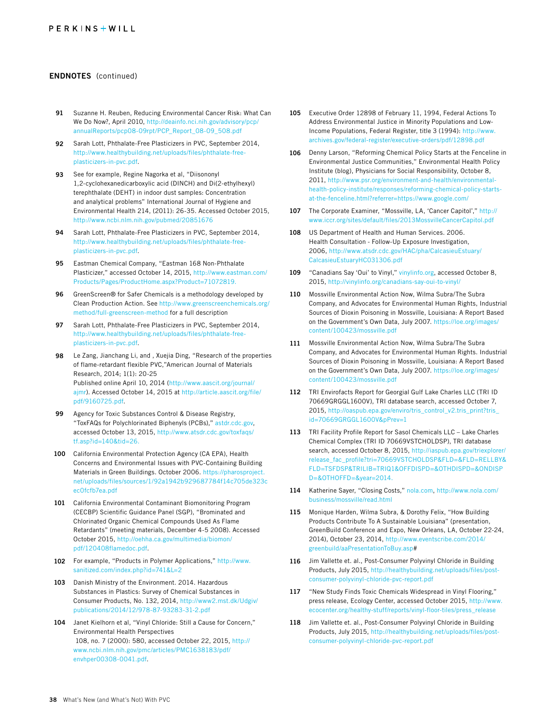- **91** Suzanne H. Reuben, Reducing Environmental Cancer Risk: What Can We Do Now?, April 2010, [http://deainfo.nci.nih.gov/advisory/pcp/](http://deainfo.nci.nih.gov/advisory/pcp/annualReports/pcp08-09rpt/PCP_Report_08-09_508.pdf) [annualReports/pcp08-09rpt/PCP\\_Report\\_08-09\\_508.pdf](http://deainfo.nci.nih.gov/advisory/pcp/annualReports/pcp08-09rpt/PCP_Report_08-09_508.pdf)
- **92** Sarah Lott, Phthalate-Free Plasticizers in PVC, September 2014, [http://www.healthybuilding.net/uploads/files/phthalate-free](http://www.healthybuilding.net/uploads/files/phthalate-free-plasticizers-in-pvc.pdf)[plasticizers-in-pvc.pdf.](http://www.healthybuilding.net/uploads/files/phthalate-free-plasticizers-in-pvc.pdf)
- **93** See for example, Regine Nagorka et al, "Diisononyl 1,2-cyclohexanedicarboxylic acid (DINCH) and Di(2-ethylhexyl) terephthalate (DEHT) in indoor dust samples: Concentration and analytical problems" International Journal of Hygiene and Environmental Health 214, (2011): 26-35. Accessed October 2015, <http://www.ncbi.nlm.nih.gov/pubmed/20851676>
- **94** Sarah Lott, Phthalate-Free Plasticizers in PVC, September 2014, [http://www.healthybuilding.net/uploads/files/phthalate-free](http://www.healthybuilding.net/uploads/files/phthalate-free-plasticizers-in-pvc.pdf)[plasticizers-in-pvc.pdf.](http://www.healthybuilding.net/uploads/files/phthalate-free-plasticizers-in-pvc.pdf)
- **95** Eastman Chemical Company, "Eastman 168 Non-Phthalate Plasticizer," accessed October 14, 2015, [http://www.eastman.com/](http://www.eastman.com/Products/Pages/ProductHome.aspx?Product=71072819.) [Products/Pages/ProductHome.aspx?Product=71072819.](http://www.eastman.com/Products/Pages/ProductHome.aspx?Product=71072819.)
- **96** GreenScreen® for Safer Chemicals is a methodology developed by Clean Production Action. See [http://www.greenscreenchemicals.org/](http://www.greenscreenchemicals.org/method/full-greenscreen-method) [method/full-greenscreen-method](http://www.greenscreenchemicals.org/method/full-greenscreen-method) for a full description
- **97** Sarah Lott, Phthalate-Free Plasticizers in PVC, September 2014, [http://www.healthybuilding.net/uploads/files/phthalate-free](http://www.healthybuilding.net/uploads/files/phthalate-free-plasticizers-in-pvc.pdf)[plasticizers-in-pvc.pdf.](http://www.healthybuilding.net/uploads/files/phthalate-free-plasticizers-in-pvc.pdf)
- **98** Le Zang, Jianchang Li, and , Xuejia Ding, "Research of the properties of flame-retardant flexible PVC,"American Journal of Materials Research, 2014; 1(1): 20-25 Published online April 10, 2014 [\(http://www.aascit.org/journal/](http://www.aascit.org/journal/ajmr) [ajmr](http://www.aascit.org/journal/ajmr)). Accessed October 14, 2015 at [http://article.aascit.org/file/](http://article.aascit.org/file/pdf/9160725.pdf) [pdf/9160725.pdf](http://article.aascit.org/file/pdf/9160725.pdf).
- **99** Agency for Toxic Substances Control & Disease Registry, "ToxFAQs for Polychlorinated Biphenyls (PCBs)," <astdr.cdc.gov>, accessed October 13, 2015, [http://www.atsdr.cdc.gov/toxfaqs/](http://www.atsdr.cdc.gov/toxfaqs/tf.asp?id=140&tid=26.) [tf.asp?id=140&tid=26.](http://www.atsdr.cdc.gov/toxfaqs/tf.asp?id=140&tid=26.)
- **100** California Environmental Protection Agency (CA EPA), Health Concerns and Environmental Issues with PVC-Containing Building Materials in Green Buildings. October 2006. [https://pharosproject.](https://pharosproject.net/uploads/files/sources/1/92a1942b929687784f14c705de323cec0fcfb7ea.pdf) [net/uploads/files/sources/1/92a1942b929687784f14c705de323c](https://pharosproject.net/uploads/files/sources/1/92a1942b929687784f14c705de323cec0fcfb7ea.pdf) [ec0fcfb7ea.pdf](https://pharosproject.net/uploads/files/sources/1/92a1942b929687784f14c705de323cec0fcfb7ea.pdf)
- **101** California Environmental Contaminant Biomonitoring Program (CECBP) Scientific Guidance Panel (SGP), "Brominated and Chlorinated Organic Chemical Compounds Used As Flame Retardants" (meeting materials, December 4-5 2008). Accessed October 2015, [http://oehha.ca.gov/multimedia/biomon/](http://oehha.ca.gov/multimedia/biomon/pdf/120408flamedoc.pdf) [pdf/120408flamedoc.pdf](http://oehha.ca.gov/multimedia/biomon/pdf/120408flamedoc.pdf).
- **102** For example, "Products in Polymer Applications," [http://www.](http://www.sanitized.com/index.php?id=741&L=2) [sanitized.com/index.php?id=741&L=2](http://www.sanitized.com/index.php?id=741&L=2)
- **103** Danish Ministry of the Environment. 2014. Hazardous Substances in Plastics: Survey of Chemical Substances in Consumer Products, No. 132, 2014, [http://www2.mst.dk/Udgiv/](http://www2.mst.dk/Udgiv/publications/2014/12/978-87-93283-31-2.pdf) [publications/2014/12/978-87-93283-31-2.pdf](http://www2.mst.dk/Udgiv/publications/2014/12/978-87-93283-31-2.pdf)
- **104** Janet Kielhorn et al, "Vinyl Chloride: Still a Cause for Concern," Environmental Health Perspectives 108, no. 7 (2000): 580, accessed October 22, 2015, [http://](http://www.ncbi.nlm.nih.gov/pmc/articles/PMC1638183/pdf/envhper00308-0041.pdf) [www.ncbi.nlm.nih.gov/pmc/articles/PMC1638183/pdf/](http://www.ncbi.nlm.nih.gov/pmc/articles/PMC1638183/pdf/envhper00308-0041.pdf) [envhper00308-0041.pdf.](http://www.ncbi.nlm.nih.gov/pmc/articles/PMC1638183/pdf/envhper00308-0041.pdf)
- **105** Executive Order 12898 of February 11, 1994, Federal Actions To Address Environmental Justice in Minority Populations and Low-Income Populations, Federal Register, title 3 (1994): [http://www.](http://www.archives.gov/federal-register/executive-orders/pdf/12898.pdf) [archives.gov/federal-register/executive-orders/pdf/12898.pdf](http://www.archives.gov/federal-register/executive-orders/pdf/12898.pdf)
- **106** Denny Larson, "Reforming Chemical Policy Starts at the Fenceline in Environmental Justice Communities," Environmental Health Policy Institute (blog), Physicians for Social Responsibility, October 8, 2011, [http://www.psr.org/environment-and-health/environmental](http://www.psr.org/environment-and-health/environmental-health-policy-institute/responses/reforming-chemical-policy-starts-at-the-fenceline.html?referrer=https://www.google.com/ )[health-policy-institute/responses/reforming-chemical-policy-starts](http://www.psr.org/environment-and-health/environmental-health-policy-institute/responses/reforming-chemical-policy-starts-at-the-fenceline.html?referrer=https://www.google.com/ )[at-the-fenceline.html?referrer=https://www.google.com/](http://www.psr.org/environment-and-health/environmental-health-policy-institute/responses/reforming-chemical-policy-starts-at-the-fenceline.html?referrer=https://www.google.com/ )
- **107** The Corporate Examiner, "Mossville, LA, 'Cancer Capitol'," [http://](http://www.iccr.org/sites/default/files/2013MossvilleCancerCapitol.pdf) [www.iccr.org/sites/default/files/2013MossvilleCancerCapitol.pdf](http://www.iccr.org/sites/default/files/2013MossvilleCancerCapitol.pdf)
- **108** US Department of Health and Human Services. 2006. Health Consultation - Follow-Up Exposure Investigation, 2006, [http://www.atsdr.cdc.gov/HAC/pha/CalcasieuEstuary/](http://www.atsdr.cdc.gov/HAC/pha/CalcasieuEstuary/CalcasieuEstuaryHC031306.pdf) [CalcasieuEstuaryHC031306.pdf](http://www.atsdr.cdc.gov/HAC/pha/CalcasieuEstuary/CalcasieuEstuaryHC031306.pdf)
- **109** "Canadians Say 'Oui' to Vinyl,"<vinylinfo.org>, accessed October 8, 2015, [http://vinylinfo.org/canadians-say-oui-to-vinyl/]( http://vinylinfo.org/canadians-say-oui-to-vinyl/   )
- **110** Mossville Environmental Action Now, Wilma Subra/The Subra Company, and Advocates for Environmental Human Rights, Industrial Sources of Dioxin Poisoning in Mossville, Louisiana: A Report Based on the Government's Own Data, July 2007. [https://loe.org/images/](https://loe.org/images/content/100423/mossville.pdf) [content/100423/mossville.pdf](https://loe.org/images/content/100423/mossville.pdf)
- **111** Mossville Environmental Action Now, Wilma Subra/The Subra Company, and Advocates for Environmental Human Rights. Industrial Sources of Dioxin Poisoning in Mossville, Louisiana: A Report Based on the Government's Own Data, July 2007. [https://loe.org/images/](https://loe.org/images/content/100423/mossville.pdf) [content/100423/mossville.pdf](https://loe.org/images/content/100423/mossville.pdf)
- **112** TRI Envirofacts Report for Georgial Gulf Lake Charles LLC (TRI ID 70669GRGGL1600V), TRI database search, accessed October 7, 2015, [http://oaspub.epa.gov/enviro/tris\\_control\\_v2.tris\\_print?tris\\_](http://oaspub.epa.gov/enviro/tris_control_v2.tris_print?tris_id=70669GRGGL1600V&pPrev=1) [id=70669GRGGL1600V&pPrev=1](http://oaspub.epa.gov/enviro/tris_control_v2.tris_print?tris_id=70669GRGGL1600V&pPrev=1)
- **113** TRI Facility Profile Report for Sasol Chemicals LLC Lake Charles Chemical Complex (TRI ID 70669VSTCHOLDSP), TRI database search, accessed October 8, 2015, [http://iaspub.epa.gov/triexplorer/](http://iaspub.epa.gov/triexplorer/release_fac_profile?tri=70669VSTCHOLDSP&FLD=&FLD=RELLBY&FLD=TSFDSP&TRILIB=TRIQ1&OFFDISPD=&OTHDISPD=&ONDISPD=&OTHOFFD=&year=2014.) [release\\_fac\\_profile?tri=70669VSTCHOLDSP&FLD=&FLD=RELLBY&](http://iaspub.epa.gov/triexplorer/release_fac_profile?tri=70669VSTCHOLDSP&FLD=&FLD=RELLBY&FLD=TSFDSP&TRILIB=TRIQ1&OFFDISPD=&OTHDISPD=&ONDISPD=&OTHOFFD=&year=2014.) [FLD=TSFDSP&TRILIB=TRIQ1&OFFDISPD=&OTHDISPD=&ONDISP](http://iaspub.epa.gov/triexplorer/release_fac_profile?tri=70669VSTCHOLDSP&FLD=&FLD=RELLBY&FLD=TSFDSP&TRILIB=TRIQ1&OFFDISPD=&OTHDISPD=&ONDISPD=&OTHOFFD=&year=2014.) [D=&OTHOFFD=&year=2014.](http://iaspub.epa.gov/triexplorer/release_fac_profile?tri=70669VSTCHOLDSP&FLD=&FLD=RELLBY&FLD=TSFDSP&TRILIB=TRIQ1&OFFDISPD=&OTHDISPD=&ONDISPD=&OTHOFFD=&year=2014.)
- **114** Katherine Sayer, "Closing Costs," <nola.com>, [http://www.nola.com/](http://www.nola.com/business/mossville/read.html) [business/mossville/read.html](http://www.nola.com/business/mossville/read.html)
- **115** Monique Harden, Wilma Subra, & Dorothy Felix, "How Building Products Contribute To A Sustainable Louisiana" (presentation, GreenBuild Conference and Expo, New Orleans, LA, October 22-24, 2014), October 23, 2014, [http://www.eventscribe.com/2014/](http://www.eventscribe.com/2014/greenbuild/aaPresentationToBuy.asp) [greenbuild/aaPresentationToBuy.asp#](http://www.eventscribe.com/2014/greenbuild/aaPresentationToBuy.asp)
- **116** Jim Vallette et. al., Post-Consumer Polyvinyl Chloride in Building Products, July 2015, [http://healthybuilding.net/uploads/files/post](http://healthybuilding.net/uploads/files/post-consumer-polyvinyl-chloride-pvc-report.pdf)[consumer-polyvinyl-chloride-pvc-report.pdf](http://healthybuilding.net/uploads/files/post-consumer-polyvinyl-chloride-pvc-report.pdf)
- **117** "New Study Finds Toxic Chemicals Widespread in Vinyl Flooring," press release, Ecology Center, accessed October 2015, [http://www.](http://www.ecocenter.org/healthy-stuff/reports/vinyl-floor-tiles/press_release) [ecocenter.org/healthy-stuff/reports/vinyl-floor-tiles/press\\_release](http://www.ecocenter.org/healthy-stuff/reports/vinyl-floor-tiles/press_release)
- **118** Jim Vallette et. al., Post-Consumer Polyvinyl Chloride in Building Products, July 2015, [http://healthybuilding.net/uploads/files/post](http://healthybuilding.net/uploads/files/post-consumer-polyvinyl-chloride-pvc-report.pdf)[consumer-polyvinyl-chloride-pvc-report.pdf](http://healthybuilding.net/uploads/files/post-consumer-polyvinyl-chloride-pvc-report.pdf)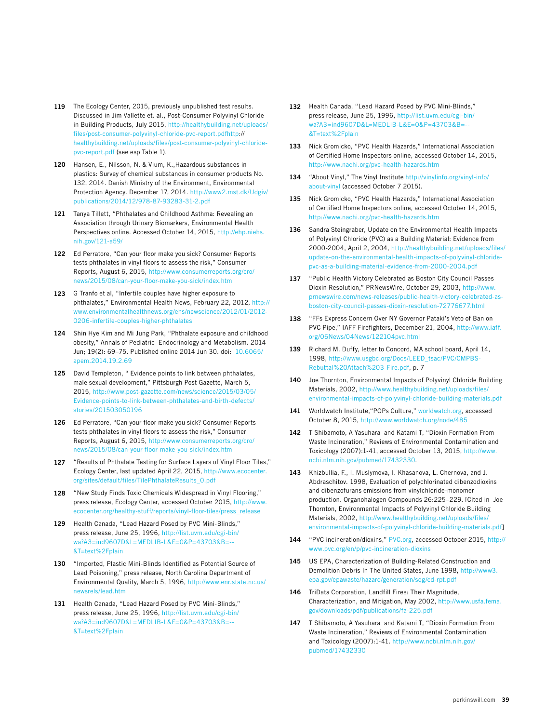- **119** The Ecology Center, 2015, previously unpublished test results. Discussed in Jim Vallette et. al., Post-Consumer Polyvinyl Chloride in Building Products, July 2015, [http://healthybuilding.net/uploads/](http://healthybuilding.net/uploads/files/post-consumer-polyvinyl-chloride-pvc-report.pdfhttp) [files/post-consumer-polyvinyl-chloride-pvc-report.pdfhttp:](http://healthybuilding.net/uploads/files/post-consumer-polyvinyl-chloride-pvc-report.pdfhttp)// [healthybuilding.net/uploads/files/post-consumer-polyvinyl-chloride](healthybuilding.net/uploads/files/post-consumer-polyvinyl-chloride-pvc-report.pdf)[pvc-report.pdf](healthybuilding.net/uploads/files/post-consumer-polyvinyl-chloride-pvc-report.pdf) (see esp Table 1).
- **120** Hansen, E., Nilsson, N. & Vium, K.,Hazardous substances in plastics: Survey of chemical substances in consumer products No. 132, 2014. Danish Ministry of the Environment, Environmental Protection Agency. December 17, 2014. [http://www2.mst.dk/Udgiv/](http://www2.mst.dk/Udgiv/publications/2014/12/978-87-93283-31-2.pdf) [publications/2014/12/978-87-93283-31-2.pdf](http://www2.mst.dk/Udgiv/publications/2014/12/978-87-93283-31-2.pdf)
- **121** Tanya Tillett, "Phthalates and Childhood Asthma: Revealing an Association through Urinary Biomarkers, Environmental Health Perspectives online. Accessed October 14, 2015, [http://ehp.niehs.](http://ehp.niehs.nih.gov/121-a59/ ) [nih.gov/121-a59/](http://ehp.niehs.nih.gov/121-a59/ )
- **122** Ed Perratore, "Can your floor make you sick? Consumer Reports tests phthalates in vinyl floors to assess the risk," Consumer Reports, August 6, 2015, [http://www.consumerreports.org/cro/](http://www.consumerreports.org/cro/news/2015/08/can-your-floor-make-you-sick/index.htm) [news/2015/08/can-your-floor-make-you-sick/index.htm](http://www.consumerreports.org/cro/news/2015/08/can-your-floor-make-you-sick/index.htm)
- **123** G Tranfo et al, "Infertile couples have higher exposure to phthalates," Environmental Health News, February 22, 2012, [http://](http://www.environmentalhealthnews.org/ehs/newscience/2012/01/2012-0206-infertile-couples-higher-phthalates ) [www.environmentalhealthnews.org/ehs/newscience/2012/01/2012-](http://www.environmentalhealthnews.org/ehs/newscience/2012/01/2012-0206-infertile-couples-higher-phthalates ) [0206-infertile-couples-higher-phthalates](http://www.environmentalhealthnews.org/ehs/newscience/2012/01/2012-0206-infertile-couples-higher-phthalates )
- **124** Shin Hye Kim and Mi Jung Park, "Phthalate exposure and childhood obesity," Annals of Pediatric Endocrinology and Metabolism. 2014 Jun; 19(2): 69–75. Published online 2014 Jun 30. doi: [10.6065/](http://10.6065/apem.2014.19.2.69) [apem.2014.19.2.69](http://10.6065/apem.2014.19.2.69)
- **125** David Templeton, " Evidence points to link between phthalates, male sexual development," Pittsburgh Post Gazette, March 5, 2015, [http://www.post-gazette.com/news/science/2015/03/05/](http://www.post-gazette.com/news/science/2015/03/05/Evidence-points-to-link-between-phthalates-and-birth-defects/stories/201503050196) [Evidence-points-to-link-between-phthalates-and-birth-defects/](http://www.post-gazette.com/news/science/2015/03/05/Evidence-points-to-link-between-phthalates-and-birth-defects/stories/201503050196) [stories/201503050196](http://www.post-gazette.com/news/science/2015/03/05/Evidence-points-to-link-between-phthalates-and-birth-defects/stories/201503050196)
- **126** Ed Perratore, "Can your floor make you sick? Consumer Reports tests phthalates in vinyl floors to assess the risk," Consumer Reports, August 6, 2015, [http://www.consumerreports.org/cro/](http://www.consumerreports.org/cro/news/2015/08/can-your-floor-make-you-sick/index.htm) [news/2015/08/can-your-floor-make-you-sick/index.htm](http://www.consumerreports.org/cro/news/2015/08/can-your-floor-make-you-sick/index.htm)
- **127** "Results of Phthalate Testing for Surface Layers of Vinyl Floor Tiles," Ecology Center, last updated April 22, 2015, [http://www.ecocenter.](http://www.ecocenter.org/sites/default/files/TilePhthalateResults_0.pdf) [org/sites/default/files/TilePhthalateResults\\_0.pdf](http://www.ecocenter.org/sites/default/files/TilePhthalateResults_0.pdf)
- **128** "New Study Finds Toxic Chemicals Widespread in Vinyl Flooring," press release, Ecology Center, accessed October 2015, [http://www.](http://www.ecocenter.org/healthy-stuff/reports/vinyl-floor-tiles/press_release) [ecocenter.org/healthy-stuff/reports/vinyl-floor-tiles/press\\_release](http://www.ecocenter.org/healthy-stuff/reports/vinyl-floor-tiles/press_release)
- **129** Health Canada, "Lead Hazard Posed by PVC Mini-Blinds," press release, June 25, 1996, [http://list.uvm.edu/cgi-bin/](http://list.uvm.edu/cgi-bin/wa?A3=ind9607D&L=MEDLIB-L&E=0&P=43703&B=--&T=text%2Fplain) [wa?A3=ind9607D&L=MEDLIB-L&E=0&P=43703&B=--](http://list.uvm.edu/cgi-bin/wa?A3=ind9607D&L=MEDLIB-L&E=0&P=43703&B=--&T=text%2Fplain) [&T=text%2Fplain](http://list.uvm.edu/cgi-bin/wa?A3=ind9607D&L=MEDLIB-L&E=0&P=43703&B=--&T=text%2Fplain)
- **130** "Imported, Plastic Mini-Blinds Identified as Potential Source of Lead Poisoning," press release, North Carolina Department of Environmental Quality, March 5, 1996, [http://www.enr.state.nc.us/](http://www.enr.state.nc.us/newsrels/lead.htm) [newsrels/lead.htm](http://www.enr.state.nc.us/newsrels/lead.htm)
- **131** Health Canada, "Lead Hazard Posed by PVC Mini-Blinds," press release, June 25, 1996, [http://list.uvm.edu/cgi-bin/](http://list.uvm.edu/cgi-bin/wa?A3=ind9607D&L=MEDLIB-L&E=0&P=43703&B=--&T=text%2Fplain) [wa?A3=ind9607D&L=MEDLIB-L&E=0&P=43703&B=--](http://list.uvm.edu/cgi-bin/wa?A3=ind9607D&L=MEDLIB-L&E=0&P=43703&B=--&T=text%2Fplain) [&T=text%2Fplain](http://list.uvm.edu/cgi-bin/wa?A3=ind9607D&L=MEDLIB-L&E=0&P=43703&B=--&T=text%2Fplain)
- **132** Health Canada, "Lead Hazard Posed by PVC Mini-Blinds," press release, June 25, 1996, [http://list.uvm.edu/cgi-bin/](http://list.uvm.edu/cgi-bin/wa?A3=ind9607D&L=MEDLIB-L&E=0&P=43703&B=--&T=text%2Fplain) [wa?A3=ind9607D&L=MEDLIB-L&E=0&P=43703&B=--](http://list.uvm.edu/cgi-bin/wa?A3=ind9607D&L=MEDLIB-L&E=0&P=43703&B=--&T=text%2Fplain) [&T=text%2Fplain](http://list.uvm.edu/cgi-bin/wa?A3=ind9607D&L=MEDLIB-L&E=0&P=43703&B=--&T=text%2Fplain)
- **133** Nick Gromicko, "PVC Health Hazards," International Association of Certified Home Inspectors online, accessed October 14, 2015, <http://www.nachi.org/pvc-health-hazards.htm>
- **134** "About Vinyl," The Vinyl Institute [http://vinylinfo.org/vinyl-info/](http://vinylinfo.org/vinyl-info/about-vinyl ) [about-vinyl](http://vinylinfo.org/vinyl-info/about-vinyl ) (accessed October 7 2015).
- **135** Nick Gromicko, "PVC Health Hazards," International Association of Certified Home Inspectors online, accessed October 14, 2015, <http://www.nachi.org/pvc-health-hazards.htm>
- **136** Sandra Steingraber, Update on the Environmental Health Impacts of Polyvinyl Chloride (PVC) as a Building Material: Evidence from 2000-2004, April 2, 2004, [http://healthybuilding.net/uploads/files/](http://healthybuilding.net/uploads/files/update-on-the-environmental-health-impacts-of-polyvinyl-chloride-pvc-as-a-building-material-evidence-from-2000-2004.pdf) [update-on-the-environmental-health-impacts-of-polyvinyl-chloride](http://healthybuilding.net/uploads/files/update-on-the-environmental-health-impacts-of-polyvinyl-chloride-pvc-as-a-building-material-evidence-from-2000-2004.pdf)[pvc-as-a-building-material-evidence-from-2000-2004.pdf](http://healthybuilding.net/uploads/files/update-on-the-environmental-health-impacts-of-polyvinyl-chloride-pvc-as-a-building-material-evidence-from-2000-2004.pdf)
- **137** "Public Health Victory Celebrated as Boston City Council Passes Dioxin Resolution," PRNewsWire, October 29, 2003, [http://www.](http://www.prnewswire.com/news-releases/public-health-victory-celebrated-as-boston-city-council-passes-dioxin-resolution-72776677.html) [prnewswire.com/news-releases/public-health-victory-celebrated-as](http://www.prnewswire.com/news-releases/public-health-victory-celebrated-as-boston-city-council-passes-dioxin-resolution-72776677.html)[boston-city-council-passes-dioxin-resolution-72776677.html](http://www.prnewswire.com/news-releases/public-health-victory-celebrated-as-boston-city-council-passes-dioxin-resolution-72776677.html)
- **138** "FFs Express Concern Over NY Governor Pataki's Veto of Ban on PVC Pipe," IAFF Firefighters, December 21, 2004, [http://www.iaff.](http://www.iaff.org/06News/04News/122104pvc.html) [org/06News/04News/122104pvc.html](http://www.iaff.org/06News/04News/122104pvc.html)
- **139** Richard M. Duffy, letter to Concord, MA school board, April 14, 1998, [http://www.usgbc.org/Docs/LEED\\_tsac/PVC/CMPBS-](http://www.usgbc.org/Docs/LEED_tsac/PVC/CMPBS-Rebuttal%20Attach%203-Fire.pdf)[Rebuttal%20Attach%203-Fire.pdf](http://www.usgbc.org/Docs/LEED_tsac/PVC/CMPBS-Rebuttal%20Attach%203-Fire.pdf), p. 7
- **140** Joe Thornton, Environmental Impacts of Polyvinyl Chloride Building Materials, 2002, [http://www.healthybuilding.net/uploads/files/](http://www.healthybuilding.net/uploads/files/environmental-impacts-of-polyvinyl-chloride-building-materials.pdf) [environmental-impacts-of-polyvinyl-chloride-building-materials.pdf](http://www.healthybuilding.net/uploads/files/environmental-impacts-of-polyvinyl-chloride-building-materials.pdf)
- **141** Worldwatch Institute,"POPs Culture," [worldwatch.org,](worldwatch.org) accessed October 8, 2015,<http://www.worldwatch.org/node/485>
- **142** T Shibamoto, A Yasuhara and Katami T, "Dioxin Formation From Waste Incineration," Reviews of Environmental Contamination and Toxicology (2007):1-41, accessed October 13, 2015, [http://www.](http://www.ncbi.nlm.nih.gov/pubmed/17432330) [ncbi.nlm.nih.gov/pubmed/17432330.](http://www.ncbi.nlm.nih.gov/pubmed/17432330)
- **143** Khizbullia, F., I. Muslymova, I. Khasanova, L. Chernova, and J. Abdraschitov. 1998, Evaluation of polychlorinated dibenzodioxins and dibenzofurans emissions from vinylchloride-monomer production. Organohalogen Compounds 26:225–229. [Cited in Joe Thornton, Environmental Impacts of Polyvinyl Chloride Building Materials, 2002, [http://www.healthybuilding.net/uploads/files/](http://www.healthybuilding.net/uploads/files/environmental-impacts-of-polyvinyl-chloride-building-materials.pdf) [environmental-impacts-of-polyvinyl-chloride-building-materials.pdf](http://www.healthybuilding.net/uploads/files/environmental-impacts-of-polyvinyl-chloride-building-materials.pdf)]
- **144** "PVC incineration/dioxins,"<PVC.org>, accessed October 2015, [http://](http://www.pvc.org/en/p/pvc-incineration-dioxins ) [www.pvc.org/en/p/pvc-incineration-dioxins](http://www.pvc.org/en/p/pvc-incineration-dioxins )
- **145** US EPA, Characterization of Building-Related Construction and Demolition Debris In The United States, June 1998, [http://www3.](http://www3.epa.gov/epawaste/hazard/generation/sqg/cd-rpt.pdf) [epa.gov/epawaste/hazard/generation/sqg/cd-rpt.pdf](http://www3.epa.gov/epawaste/hazard/generation/sqg/cd-rpt.pdf)
- **146** TriData Corporation, Landfill Fires: Their Magnitude, Characterization, and Mitigation, May 2002, [http://www.usfa.fema.](http://www.usfa.fema.gov/downloads/pdf/publications/fa-225.pdf) [gov/downloads/pdf/publications/fa-225.pdf](http://www.usfa.fema.gov/downloads/pdf/publications/fa-225.pdf)
- **147** T Shibamoto, A Yasuhara and Katami T, "Dioxin Formation From Waste Incineration," Reviews of Environmental Contamination and Toxicology (2007):1-41. [http://www.ncbi.nlm.nih.gov/](http://www.ncbi.nlm.nih.gov/pubmed/17432330) [pubmed/17432330](http://www.ncbi.nlm.nih.gov/pubmed/17432330)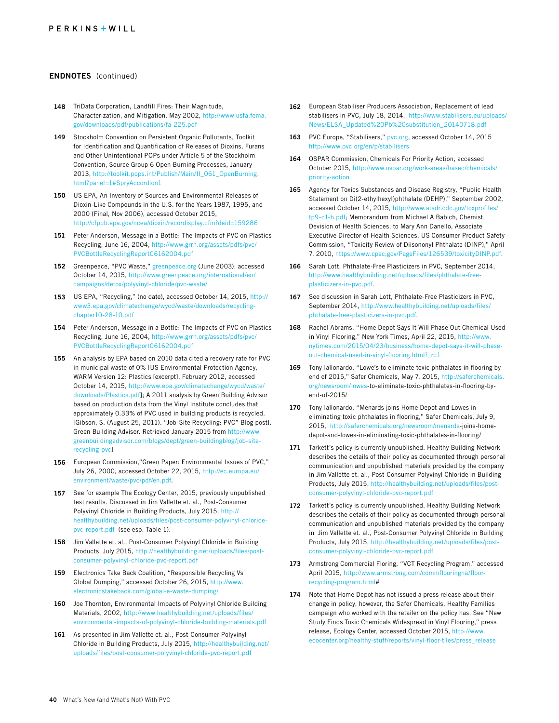- **148** TriData Corporation, Landfill Fires: Their Magnitude, Characterization, and Mitigation, May 2002, [http://www.usfa.fema.](http://www.usfa.fema.gov/downloads/pdf/publications/fa-225.pdf) [gov/downloads/pdf/publications/fa-225.pdf](http://www.usfa.fema.gov/downloads/pdf/publications/fa-225.pdf)
- **149** Stockholm Convention on Persistent Organic Pollutants, Toolkit for Identification and Quantification of Releases of Dioxins, Furans and Other Unintentional POPs under Article 5 of the Stockholm Convention, Source Group 6 Open Burning Processes, January 2013, [http://toolkit.pops.int/Publish/Main/II\\_061\\_OpenBurning.](http://toolkit.pops.int/Publish/Main/II_061_OpenBurning.html?panel=1#SpryAccordion1) [html?panel=1#SpryAccordion1](http://toolkit.pops.int/Publish/Main/II_061_OpenBurning.html?panel=1#SpryAccordion1)
- **150** US EPA, An Inventory of Sources and Environmental Releases of Dioxin-Like Compounds in the U.S. for the Years 1987, 1995, and 2000 (Final, Nov 2006), accessed October 2015, <http://cfpub.epa.gov/ncea/dioxin/recordisplay.cfm?deid=159286>
- **151** Peter Anderson, Message in a Bottle: The Impacts of PVC on Plastics Recycling, June 16, 2004, [http://www.grrn.org/assets/pdfs/pvc/](http://www.grrn.org/assets/pdfs/pvc/PVCBottleRecyclingReport06162004.pdf) [PVCBottleRecyclingReport06162004.pdf](http://www.grrn.org/assets/pdfs/pvc/PVCBottleRecyclingReport06162004.pdf)
- **152** Greenpeace, "PVC Waste,"<greenpeace.org> (June 2003), accessed October 14, 2015, [http://www.greenpeace.org/international/en/](http://www.greenpeace.org/international/en/campaigns/detox/polyvinyl-chloride/pvc-waste/ ) [campaigns/detox/polyvinyl-chloride/pvc-waste/](http://www.greenpeace.org/international/en/campaigns/detox/polyvinyl-chloride/pvc-waste/ )
- **153** US EPA, "Recycling," (no date), accessed October 14, 2015, [http://](http://www3.epa.gov/climatechange/wycd/waste/downloads/recycling-chapter10-28-10.pdf) [www3.epa.gov/climatechange/wycd/waste/downloads/recycling](http://www3.epa.gov/climatechange/wycd/waste/downloads/recycling-chapter10-28-10.pdf)[chapter10-28-10.pdf](http://www3.epa.gov/climatechange/wycd/waste/downloads/recycling-chapter10-28-10.pdf)
- **154** Peter Anderson, Message in a Bottle: The Impacts of PVC on Plastics Recycling, June 16, 2004, [http://www.grrn.org/assets/pdfs/pvc/](http://www.grrn.org/assets/pdfs/pvc/PVCBottleRecyclingReport06162004.pdf) [PVCBottleRecyclingReport06162004.pdf](http://www.grrn.org/assets/pdfs/pvc/PVCBottleRecyclingReport06162004.pdf)
- **155** An analysis by EPA based on 2010 data cited a recovery rate for PVC in municipal waste of 0% [US Environmental Protection Agency, WARM Version 12: Plastics [excerpt], February 2012, accessed October 14, 2015, [http://www.epa.gov/climatechange/wycd/waste/](http://www.epa.gov/climatechange/wycd/waste/downloads/Plastics.pdf) [downloads/Plastics.pdf\]](http://www.epa.gov/climatechange/wycd/waste/downloads/Plastics.pdf); A 2011 analysis by Green Building Advisor based on production data from the Vinyl Institute concludes that approximately 0.33% of PVC used in building products is recycled. [Gibson, S. (August 25, 2011). "Job-Site Recycling: PVC" Blog post]. Green Building Advisor. Retrieved January 2015 from [http://www.](http://www.greenbuildingadvisor.com/blogs/dept/green-buildingblog/job-site-recycling-pvc) [greenbuildingadvisor.com/blogs/dept/green-buildingblog/job-site](http://www.greenbuildingadvisor.com/blogs/dept/green-buildingblog/job-site-recycling-pvc)[recycling-pvc\]](http://www.greenbuildingadvisor.com/blogs/dept/green-buildingblog/job-site-recycling-pvc)
- **156** European Commission,"Green Paper: Environmental Issues of PVC," July 26, 2000, accessed October 22, 2015, [http://ec.europa.eu/](http://ec.europa.eu/environment/waste/pvc/pdf/en.pdf) [environment/waste/pvc/pdf/en.pdf.](http://ec.europa.eu/environment/waste/pvc/pdf/en.pdf)
- **157** See for example The Ecology Center, 2015, previously unpublished test results. Discussed in Jim Vallette et. al., Post-Consumer Polyvinyl Chloride in Building Products, July 2015, [http://](http://healthybuilding.net/uploads/files/post-consumer-polyvinyl-chloride-pvc-report.pdf) [healthybuilding.net/uploads/files/post-consumer-polyvinyl-chloride](http://healthybuilding.net/uploads/files/post-consumer-polyvinyl-chloride-pvc-report.pdf)[pvc-report.pdf](http://healthybuilding.net/uploads/files/post-consumer-polyvinyl-chloride-pvc-report.pdf) (see esp. Table 1).
- **158** Jim Vallette et. al., Post-Consumer Polyvinyl Chloride in Building Products, July 2015, [http://healthybuilding.net/uploads/files/post](http://healthybuilding.net/uploads/files/post-consumer-polyvinyl-chloride-pvc-report.pdf)[consumer-polyvinyl-chloride-pvc-report.pdf](http://healthybuilding.net/uploads/files/post-consumer-polyvinyl-chloride-pvc-report.pdf)
- **159** Electronics Take Back Coalition, "Responsible Recycling Vs Global Dumping," accessed October 26, 2015, [http://www.](http://www.electronicstakeback.com/global-e-waste-dumping/  ) [electronicstakeback.com/global-e-waste-dumping/](http://www.electronicstakeback.com/global-e-waste-dumping/  )
- **160** Joe Thornton, Environmental Impacts of Polyvinyl Chloride Building Materials, 2002, [http://www.healthybuilding.net/uploads/files/](http://www.healthybuilding.net/uploads/files/environmental-impacts-of-polyvinyl-chloride-building-materials.pdf) [environmental-impacts-of-polyvinyl-chloride-building-materials.pdf](http://www.healthybuilding.net/uploads/files/environmental-impacts-of-polyvinyl-chloride-building-materials.pdf)
- **161** As presented in Jim Vallette et. al., Post-Consumer Polyvinyl Chloride in Building Products, July 2015, [http://healthybuilding.net/](http://healthybuilding.net/uploads/files/post-consumer-polyvinyl-chloride-pvc-report.pdf) [uploads/files/post-consumer-polyvinyl-chloride-pvc-report.pdf](http://healthybuilding.net/uploads/files/post-consumer-polyvinyl-chloride-pvc-report.pdf)
- **162** European Stabiliser Producers Association, Replacement of lead stabilisers in PVC, July 18, 2014, [http://www.stabilisers.eu/uploads/](http://www.stabilisers.eu/uploads/News/ELSA_Updated%20Pb%20substitution_20140718.pdf ) [News/ELSA\\_Updated%20Pb%20substitution\\_20140718.pdf](http://www.stabilisers.eu/uploads/News/ELSA_Updated%20Pb%20substitution_20140718.pdf )
- **163** PVC Europe, "Stabilisers,"<pvc.org>, accessed October 14, 2015 <http://www.pvc.org/en/p/stabilisers>
- **164** OSPAR Commission, Chemicals For Priority Action, accessed October 2015[, http://www.ospar.org/work-areas/hasec/chemicals/]( http://www.ospar.org/work-areas/hasec/chemicals/priority-action ) [priority-action]( http://www.ospar.org/work-areas/hasec/chemicals/priority-action )
- **165** Agency for Toxics Substances and Disease Registry, "Public Health Statement on Di(2-ethylhexyl)phthalate (DEHP)," September 2002, accessed October 14, 2015, [http://www.atsdr.cdc.gov/toxprofiles/](http://www.atsdr.cdc.gov/toxprofiles/tp9-c1-b.pdf) [tp9-c1-b.pdf](http://www.atsdr.cdc.gov/toxprofiles/tp9-c1-b.pdf); Memorandum from Michael A Babich, Chemist, Devision of Health Sciences, to Mary Ann Danello, Associate Executive Director of Health Sciences, US Consumer Product Safety Commission, "Toxicity Review of Diisononyl Phthalate (DINP)," April 7, 2010, [https://www.cpsc.gov/PageFiles/126539/toxicityDINP.pdf.](https://www.cpsc.gov/PageFiles/126539/toxicityDINP.pdf)
- **166** Sarah Lott, Phthalate-Free Plasticizers in PVC, September 2014, [http://www.healthybuilding.net/uploads/files/phthalate-free](http://www.healthybuilding.net/uploads/files/phthalate-free-plasticizers-in-pvc.pdf)[plasticizers-in-pvc.pdf.](http://www.healthybuilding.net/uploads/files/phthalate-free-plasticizers-in-pvc.pdf)
- **167** See discussion in Sarah Lott, Phthalate-Free Plasticizers in PVC, September 2014, [http://www.healthybuilding.net/uploads/files/](http://www.healthybuilding.net/uploads/files/phthalate-free-plasticizers-in-pvc.pdf) [phthalate-free-plasticizers-in-pvc.pdf.](http://www.healthybuilding.net/uploads/files/phthalate-free-plasticizers-in-pvc.pdf)
- **168** Rachel Abrams, "Home Depot Says It Will Phase Out Chemical Used in Vinyl Flooring," New York Times, April 22, 2015, [http://www.](http://www.nytimes.com/2015/04/23/business/home-depot-says-it-will-phase-out-chemical-used-in-vinyl-flooring.html?_r=1) [nytimes.com/2015/04/23/business/home-depot-says-it-will-phase](http://www.nytimes.com/2015/04/23/business/home-depot-says-it-will-phase-out-chemical-used-in-vinyl-flooring.html?_r=1)[out-chemical-used-in-vinyl-flooring.html?\\_r=1](http://www.nytimes.com/2015/04/23/business/home-depot-says-it-will-phase-out-chemical-used-in-vinyl-flooring.html?_r=1)
- **169** Tony Iallonardo, "Lowe's to eliminate toxic phthalates in flooring by end of 2015," Safer Chemicals, May 7, 2015, [http://saferchemicals.](http://saferchemicals.org/newsroom/lowes) [org/newsroom/lowes](http://saferchemicals.org/newsroom/lowes)-to-eliminate-toxic-phthalates-in-flooring-byend-of-2015/
- **170** Tony Iallonardo, "Menards joins Home Depot and Lowes in eliminating toxic phthalates in flooring," Safer Chemicals, July 9, 2015, [http://saferchemicals.org/newsroom/menards-](http://saferchemicals.org/newsroom/menards)joins-homedepot-and-lowes-in-eliminating-toxic-phthalates-in-flooring/
- **171** Tarkett's policy is currently unpublished. Healthy Building Network describes the details of their policy as documented through personal communication and unpublished materials provided by the company in Jim Vallette et. al., Post-Consumer Polyvinyl Chloride in Building Products, July 2015, [http://healthybuilding.net/uploads/files/post](http://healthybuilding.net/uploads/files/post-consumer-polyvinyl-chloride-pvc-report.pdf)[consumer-polyvinyl-chloride-pvc-report.pdf](http://healthybuilding.net/uploads/files/post-consumer-polyvinyl-chloride-pvc-report.pdf)
- **172** Tarkett's policy is currently unpublished. Healthy Building Network describes the details of their policy as documented through personal communication and unpublished materials provided by the company in Jim Vallette et. al., Post-Consumer Polyvinyl Chloride in Building Products, July 2015, [http://healthybuilding.net/uploads/files/post](http://healthybuilding.net/uploads/files/post-consumer-polyvinyl-chloride-pvc-report.pdf)[consumer-polyvinyl-chloride-pvc-report.pdf](http://healthybuilding.net/uploads/files/post-consumer-polyvinyl-chloride-pvc-report.pdf)
- **173** Armstrong Commercial Floring, "VCT Recycling Program," accessed April 2015, [http://www.armstrong.com/commflooringna/floor](http://www.armstrong.com/commflooringna/floor-recycling-program.html)[recycling-program.html#](http://www.armstrong.com/commflooringna/floor-recycling-program.html)
- **174** Note that Home Depot has not issued a press release about their change in policy, however, the Safer Chemicals, Healthy Families campaign who worked with the retailer on the policy has. See "New Study Finds Toxic Chemicals Widespread in Vinyl Flooring," press release, Ecology Center, accessed October 2015, [http://www.](http://www.ecocenter.org/healthy-stuff/reports/vinyl-floor-tiles/press_release) [ecocenter.org/healthy-stuff/reports/vinyl-floor-tiles/press\\_release](http://www.ecocenter.org/healthy-stuff/reports/vinyl-floor-tiles/press_release)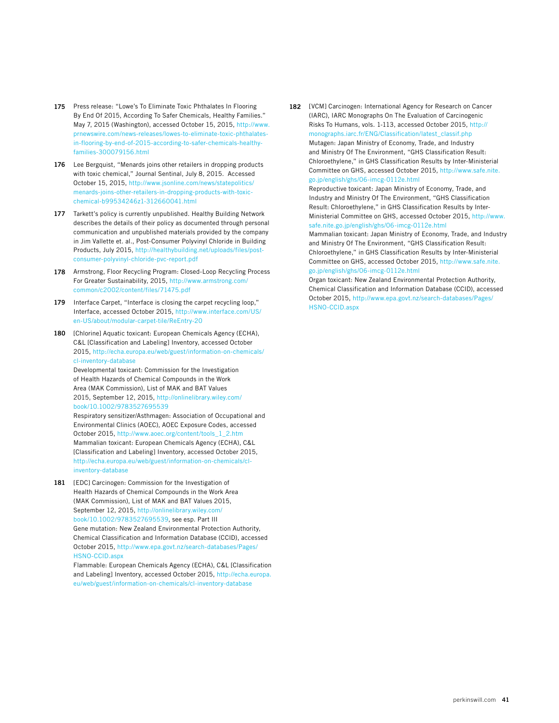- **175** Press release: "Lowe's To Eliminate Toxic Phthalates In Flooring By End Of 2015, According To Safer Chemicals, Healthy Families." May 7, 2015 (Washington), accessed October 15, 2015, [http://www.](http://www.prnewswire.com/news-releases/lowes-to-eliminate-toxic-phthalates-in-flooring-by-end-of-2015-according-to-safer-chemicals-healthy-families-300079156.html) [prnewswire.com/news-releases/lowes-to-eliminate-toxic-phthalates](http://www.prnewswire.com/news-releases/lowes-to-eliminate-toxic-phthalates-in-flooring-by-end-of-2015-according-to-safer-chemicals-healthy-families-300079156.html)[in-flooring-by-end-of-2015-according-to-safer-chemicals-healthy](http://www.prnewswire.com/news-releases/lowes-to-eliminate-toxic-phthalates-in-flooring-by-end-of-2015-according-to-safer-chemicals-healthy-families-300079156.html)[families-300079156.html](http://www.prnewswire.com/news-releases/lowes-to-eliminate-toxic-phthalates-in-flooring-by-end-of-2015-according-to-safer-chemicals-healthy-families-300079156.html)
- **176** Lee Bergquist, "Menards joins other retailers in dropping products with toxic chemical," Journal Sentinal, July 8, 2015. Accessed October 15, 2015, [http://www.jsonline.com/news/statepolitics/](http://www.jsonline.com/news/statepolitics/menards-joins-other-retailers-in-dropping-products-with-toxic-chemical-b99534246z1-312660041.html) [menards-joins-other-retailers-in-dropping-products-with-toxic](http://www.jsonline.com/news/statepolitics/menards-joins-other-retailers-in-dropping-products-with-toxic-chemical-b99534246z1-312660041.html)[chemical-b99534246z1-312660041.html](http://www.jsonline.com/news/statepolitics/menards-joins-other-retailers-in-dropping-products-with-toxic-chemical-b99534246z1-312660041.html)
- **177** Tarkett's policy is currently unpublished. Healthy Building Network describes the details of their policy as documented through personal communication and unpublished materials provided by the company in Jim Vallette et. al., Post-Consumer Polyvinyl Chloride in Building Products, July 2015, [http://healthybuilding.net/uploads/files/post](http://healthybuilding.net/uploads/files/post-consumer-polyvinyl-chloride-pvc-report.pdf)[consumer-polyvinyl-chloride-pvc-report.pdf](http://healthybuilding.net/uploads/files/post-consumer-polyvinyl-chloride-pvc-report.pdf)
- **178** Armstrong, Floor Recycling Program: Closed-Loop Recycling Process For Greater Sustainability, 2015, [http://www.armstrong.com/](http://www.armstrong.com/common/c2002/content/files/71475.pdf) [common/c2002/content/files/71475.pdf](http://www.armstrong.com/common/c2002/content/files/71475.pdf)
- **179** Interface Carpet, "Interface is closing the carpet recycling loop," Interface, accessed October 2015, [http://www.interface.com/US/](http://www.interface.com/US/en-US/about/modular-carpet-tile/ReEntry-20) [en-US/about/modular-carpet-tile/ReEntry-20](http://www.interface.com/US/en-US/about/modular-carpet-tile/ReEntry-20)
- **180** [Chlorine] Aquatic toxicant: European Chemicals Agency (ECHA), C&L [Classification and Labeling] Inventory, accessed October 2015, [http://echa.europa.eu/web/guest/information-on-chemicals/](http://echa.europa.eu/web/guest/information-on-chemicals/cl-inventory-database ) [cl-inventory-database](http://echa.europa.eu/web/guest/information-on-chemicals/cl-inventory-database )

Developmental toxicant: Commission for the Investigation of Health Hazards of Chemical Compounds in the Work Area (MAK Commission), List of MAK and BAT Values 2015, September 12, 2015, [http://onlinelibrary.wiley.com/](http://onlinelibrary.wiley.com/book/10.1002/9783527695539) [book/10.1002/9783527695539](http://onlinelibrary.wiley.com/book/10.1002/9783527695539)

Respiratory sensitizer/Asthmagen: Association of Occupational and Environmental Clinics (AOEC), AOEC Exposure Codes, accessed October 2015, [http://www.aoec.org/content/tools\\_1\\_2.htm](http://www.aoec.org/content/tools_1_2.htm) Mammalian toxicant: European Chemicals Agency (ECHA), C&L [Classification and Labeling] Inventory, accessed October 2015, [http://echa.europa.eu/web/guest/information-on-chemicals/cl](http://echa.europa.eu/web/guest/information-on-chemicals/cl-inventory-database )[inventory-database](http://echa.europa.eu/web/guest/information-on-chemicals/cl-inventory-database ) 

**181** [EDC] Carcinogen: Commission for the Investigation of Health Hazards of Chemical Compounds in the Work Area (MAK Commission), List of MAK and BAT Values 2015, September 12, 2015, [http://onlinelibrary.wiley.com/](http://onlinelibrary.wiley.com/book/10.1002/9783527695539) [book/10.1002/9783527695539](http://onlinelibrary.wiley.com/book/10.1002/9783527695539), see esp. Part III Gene mutation: New Zealand Environmental Protection Authority, Chemical Classification and Information Database (CCID), accessed October 2015, [http://www.epa.govt.nz/search-databases/Pages/](http://www.epa.govt.nz/search-databases/Pages/HSNO-CCID.aspx) [HSNO-CCID.aspx](http://www.epa.govt.nz/search-databases/Pages/HSNO-CCID.aspx)

Flammable: European Chemicals Agency (ECHA), C&L [Classification and Labeling] Inventory, accessed October 2015, [http://echa.europa.](http://echa.europa.eu/web/guest/information-on-chemicals/cl-inventory-database ) [eu/web/guest/information-on-chemicals/cl-inventory-database](http://echa.europa.eu/web/guest/information-on-chemicals/cl-inventory-database ) 

**182** [VCM] Carcinogen: International Agency for Research on Cancer (IARC), IARC Monographs On The Evaluation of Carcinogenic Risks To Humans, vols. 1-113, accessed October 2015, [http://](http://monographs.iarc.fr/ENG/Classification/latest_classif.php) [monographs.iarc.fr/ENG/Classification/latest\\_classif.php](http://monographs.iarc.fr/ENG/Classification/latest_classif.php) Mutagen: Japan Ministry of Economy, Trade, and Industry and Ministry Of The Environment, "GHS Classification Result: Chloroethylene," in GHS Classification Results by Inter-Ministerial Committee on GHS, accessed October 2015, [http://www.safe.nite.](http://www.safe.nite.go.jp/english/ghs/06-imcg-0112e.html) [go.jp/english/ghs/06-imcg-0112e.html](http://www.safe.nite.go.jp/english/ghs/06-imcg-0112e.html)

Reproductive toxicant: Japan Ministry of Economy, Trade, and Industry and Ministry Of The Environment, "GHS Classification Result: Chloroethylene," in GHS Classification Results by Inter-Ministerial Committee on GHS, accessed October 2015, [http://www.](http://www.safe.nite.go.jp/english/ghs/06-imcg-0112e.html) [safe.nite.go.jp/english/ghs/06-imcg-0112e.html](http://www.safe.nite.go.jp/english/ghs/06-imcg-0112e.html)

Mammalian toxicant: Japan Ministry of Economy, Trade, and Industry and Ministry Of The Environment, "GHS Classification Result: Chloroethylene," in GHS Classification Results by Inter-Ministerial Committee on GHS, accessed October 2015, [http://www.safe.nite.](http://www.safe.nite.go.jp/english/ghs/06-imcg-0112e.html) [go.jp/english/ghs/06-imcg-0112e.html](http://www.safe.nite.go.jp/english/ghs/06-imcg-0112e.html)

Organ toxicant: New Zealand Environmental Protection Authority, Chemical Classification and Information Database (CCID), accessed October 2015, [http://www.epa.govt.nz/search-databases/Pages/](http://www.epa.govt.nz/search-databases/Pages/HSNO-CCID.aspx) [HSNO-CCID.aspx](http://www.epa.govt.nz/search-databases/Pages/HSNO-CCID.aspx)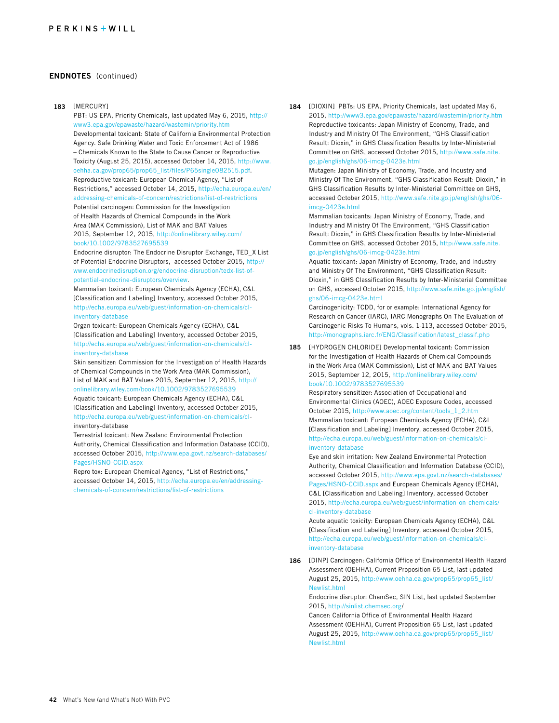**183** [MERCURY] PBT: US EPA, Priority Chemicals, last updated May 6, 2015, [http://](http://www3.epa.gov/epawaste/hazard/wastemin/priority.htm) [www3.epa.gov/epawaste/hazard/wastemin/priority.htm](http://www3.epa.gov/epawaste/hazard/wastemin/priority.htm) Developmental toxicant: State of California Environmental Protection Agency. Safe Drinking Water and Toxic Enforcement Act of 1986 – Chemicals Known to the State to Cause Cancer or Reproductive Toxicity (August 25, 2015), accessed October 14, 2015, [http://www.](http://www.oehha.ca.gov/prop65/prop65_list/files/P65single082515.pdf) [oehha.ca.gov/prop65/prop65\\_list/files/P65single082515.pdf](http://www.oehha.ca.gov/prop65/prop65_list/files/P65single082515.pdf). Reproductive toxicant: European Chemical Agency, "List of Restrictions," accessed October 14, 2015[, http://echa.europa.eu/en/]( http://echa.europa.eu/en/addressing-chemicals-of-concern/restrictions/list-of-restrictions) [addressing-chemicals-of-concern/restrictions/list-of-restrictions]( http://echa.europa.eu/en/addressing-chemicals-of-concern/restrictions/list-of-restrictions) Potential carcinogen: Commission for the Investigation of Health Hazards of Chemical Compounds in the Work Area (MAK Commission), List of MAK and BAT Values 2015, September 12, 2015, [http://onlinelibrary.wiley.com/](http://onlinelibrary.wiley.com/book/10.1002/9783527695539) [book/10.1002/9783527695539](http://onlinelibrary.wiley.com/book/10.1002/9783527695539)

Endocrine disruptor: The Endocrine Disruptor Exchange, TED\_X List of Potential Endocrine Disruptors, accessed October 2015, [http://](http://www.endocrinedisruption.org/endocrine-disruption/tedx-list-of-potential-endocrine-disruptors/overview) [www.endocrinedisruption.org/endocrine-disruption/tedx-list-of](http://www.endocrinedisruption.org/endocrine-disruption/tedx-list-of-potential-endocrine-disruptors/overview)[potential-endocrine-disruptors/overview](http://www.endocrinedisruption.org/endocrine-disruption/tedx-list-of-potential-endocrine-disruptors/overview).

Mammalian toxicant: European Chemicals Agency (ECHA), C&L [Classification and Labeling] Inventory, accessed October 2015, [http://echa.europa.eu/web/guest/information-on-chemicals/cl](http://echa.europa.eu/web/guest/information-on-chemicals/cl-inventory-database)[inventory-database](http://echa.europa.eu/web/guest/information-on-chemicals/cl-inventory-database)

Organ toxicant: European Chemicals Agency (ECHA), C&L [Classification and Labeling] Inventory, accessed October 2015, [http://echa.europa.eu/web/guest/information-on-chemicals/cl](http://echa.europa.eu/web/guest/information-on-chemicals/cl-inventory-database  )[inventory-database](http://echa.europa.eu/web/guest/information-on-chemicals/cl-inventory-database  ) 

Skin sensitizer: Commission for the Investigation of Health Hazards of Chemical Compounds in the Work Area (MAK Commission), List of MAK and BAT Values 2015, September 12, 2015, [http://](http://onlinelibrary.wiley.com/book/10.1002/9783527695539) [onlinelibrary.wiley.com/book/10.1002/9783527695539](http://onlinelibrary.wiley.com/book/10.1002/9783527695539)

Aquatic toxicant: European Chemicals Agency (ECHA), C&L [Classification and Labeling] Inventory, accessed October 2015, <http://echa.europa.eu/web/guest/information-on-chemicals/cl>inventory-database

Terrestrial toxicant: New Zealand Environmental Protection Authority, Chemical Classification and Information Database (CCID), accessed October 2015, [http://www.epa.govt.nz/search-databases/](http://www.epa.govt.nz/search-databases/Pages/HSNO-CCID.aspx) [Pages/HSNO-CCID.aspx](http://www.epa.govt.nz/search-databases/Pages/HSNO-CCID.aspx)

Repro tox: European Chemical Agency, "List of Restrictions," accessed October 14, 2015, [http://echa.europa.eu/en/addressing](http://echa.europa.eu/en/addressing-chemicals-of-concern/restrictions/list-of-restrictions )[chemicals-of-concern/restrictions/list-of-restrictions](http://echa.europa.eu/en/addressing-chemicals-of-concern/restrictions/list-of-restrictions ) 

**184** [DIOXIN] PBTs: US EPA, Priority Chemicals, last updated May 6, 2015, <http://www3.epa.gov/epawaste/hazard/wastemin/priority.htm> Reproductive toxicants: Japan Ministry of Economy, Trade, and Industry and Ministry Of The Environment, "GHS Classification Result: Dioxin," in GHS Classification Results by Inter-Ministerial Committee on GHS, accessed October 2015, [http://www.safe.nite.](http://www.safe.nite.go.jp/english/ghs/06-imcg-0423e.html) [go.jp/english/ghs/06-imcg-0423e.html](http://www.safe.nite.go.jp/english/ghs/06-imcg-0423e.html)

Mutagen: Japan Ministry of Economy, Trade, and Industry and Ministry Of The Environment, "GHS Classification Result: Dioxin," in GHS Classification Results by Inter-Ministerial Committee on GHS, accessed October 2015, [http://www.safe.nite.go.jp/english/ghs/06](http://www.safe.nite.go.jp/english/ghs/06-imcg-0423e.html) [imcg-0423e.html](http://www.safe.nite.go.jp/english/ghs/06-imcg-0423e.html)

Mammalian toxicants: Japan Ministry of Economy, Trade, and Industry and Ministry Of The Environment, "GHS Classification Result: Dioxin," in GHS Classification Results by Inter-Ministerial Committee on GHS, accessed October 2015, [http://www.safe.nite.](http://www.safe.nite.go.jp/english/ghs/06-imcg-0423e.html) [go.jp/english/ghs/06-imcg-0423e.html](http://www.safe.nite.go.jp/english/ghs/06-imcg-0423e.html)

Aquatic toxicant: Japan Ministry of Economy, Trade, and Industry and Ministry Of The Environment, "GHS Classification Result: Dioxin," in GHS Classification Results by Inter-Ministerial Committee on GHS, accessed October 2015, [http://www.safe.nite.go.jp/english/](http://www.safe.nite.go.jp/english/ghs/06-imcg-0423e.html) [ghs/06-imcg-0423e.html](http://www.safe.nite.go.jp/english/ghs/06-imcg-0423e.html)

Carcinogenicity: TCDD, for or example: International Agency for Research on Cancer (IARC), IARC Monographs On The Evaluation of Carcinogenic Risks To Humans, vols. 1-113, accessed October 2015, [http://monographs.iarc.fr/ENG/Classification/latest\\_classif.php](http://monographs.iarc.fr/ENG/Classification/latest_classif.php)

**185** [HYDROGEN CHLORIDE] Developmental toxicant: Commission for the Investigation of Health Hazards of Chemical Compounds in the Work Area (MAK Commission), List of MAK and BAT Values 2015, September 12, 2015, [http://onlinelibrary.wiley.com/](http://onlinelibrary.wiley.com/book/10.1002/9783527695539) [book/10.1002/9783527695539](http://onlinelibrary.wiley.com/book/10.1002/9783527695539)

Respiratory sensitizer: Association of Occupational and Environmental Clinics (AOEC), AOEC Exposure Codes, accessed October 2015, [http://www.aoec.org/content/tools\\_1\\_2.htm](http://www.aoec.org/content/tools_1_2.htm) Mammalian toxicant: European Chemicals Agency (ECHA), C&L [Classification and Labeling] Inventory, accessed October 2015, [http://echa.europa.eu/web/guest/information-on-chemicals/cl](http://echa.europa.eu/web/guest/information-on-chemicals/cl-inventory-database  )[inventory-database](http://echa.europa.eu/web/guest/information-on-chemicals/cl-inventory-database  ) 

Eye and skin irritation: New Zealand Environmental Protection Authority, Chemical Classification and Information Database (CCID), accessed October 2015, [http://www.epa.govt.nz/search-databases/](http://www.epa.govt.nz/search-databases/Pages/HSNO-CCID.aspx) [Pages/HSNO-CCID.aspx](http://www.epa.govt.nz/search-databases/Pages/HSNO-CCID.aspx) and European Chemicals Agency (ECHA), C&L [Classification and Labeling] Inventory, accessed October 2015, [http://echa.europa.eu/web/guest/information-on-chemicals/]( http://echa.europa.eu/web/guest/information-on-chemicals/cl-inventory-database ) [cl-inventory-database]( http://echa.europa.eu/web/guest/information-on-chemicals/cl-inventory-database ) 

Acute aquatic toxicity: European Chemicals Agency (ECHA), C&L [Classification and Labeling] Inventory, accessed October 2015, [http://echa.europa.eu/web/guest/information-on-chemicals/cl](http://echa.europa.eu/web/guest/information-on-chemicals/cl-inventory-database  )[inventory-database](http://echa.europa.eu/web/guest/information-on-chemicals/cl-inventory-database  ) 

**186** [DINP] Carcinogen: California Office of Environmental Health Hazard Assessment (OEHHA), Current Proposition 65 List, last updated August 25, 2015, [http://www.oehha.ca.gov/prop65/prop65\\_list/](http://www.oehha.ca.gov/prop65/prop65_list/Newlist.html) [Newlist.html](http://www.oehha.ca.gov/prop65/prop65_list/Newlist.html)

Endocrine disruptor: ChemSec, SIN List, last updated September 2015, <http://sinlist.chemsec.org>/

Cancer: California Office of Environmental Health Hazard Assessment (OEHHA), Current Proposition 65 List, last updated August 25, 2015, [http://www.oehha.ca.gov/prop65/prop65\\_list/](http://www.oehha.ca.gov/prop65/prop65_list/Newlist.html) [Newlist.html](http://www.oehha.ca.gov/prop65/prop65_list/Newlist.html)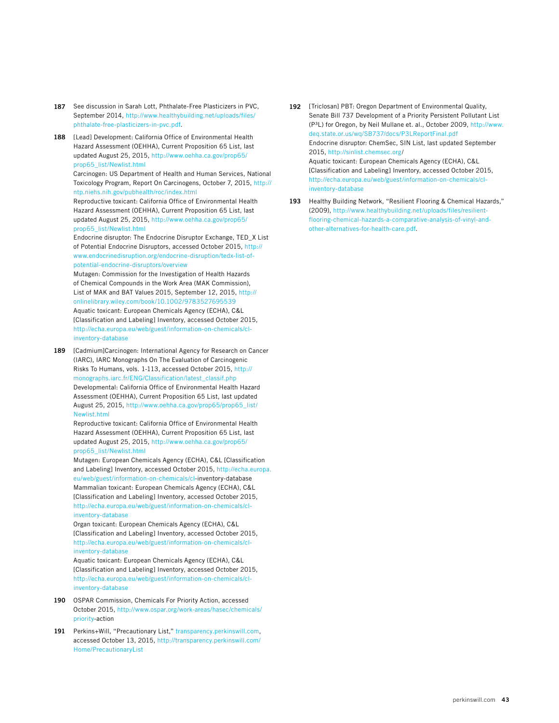- **187** See discussion in Sarah Lott, Phthalate-Free Plasticizers in PVC, September 2014, [http://www.healthybuilding.net/uploads/files/](http://www.healthybuilding.net/uploads/files/phthalate-free-plasticizers-in-pvc.pdf) [phthalate-free-plasticizers-in-pvc.pdf.](http://www.healthybuilding.net/uploads/files/phthalate-free-plasticizers-in-pvc.pdf)
- **188** [Lead] Development: California Office of Environmental Health Hazard Assessment (OEHHA), Current Proposition 65 List, last updated August 25, 2015, [http://www.oehha.ca.gov/prop65/](http://www.oehha.ca.gov/prop65/prop65_list/Newlist.html) [prop65\\_list/Newlist.html](http://www.oehha.ca.gov/prop65/prop65_list/Newlist.html)

Carcinogen: US Department of Health and Human Services, National Toxicology Program, Report On Carcinogens, October 7, 2015, [http://](http://ntp.niehs.nih.gov/pubhealth/roc/index.html) [ntp.niehs.nih.gov/pubhealth/roc/index.html](http://ntp.niehs.nih.gov/pubhealth/roc/index.html) Reproductive toxicant: California Office of Environmental Health Hazard Assessment (OEHHA), Current Proposition 65 List, last

updated August 25, 2015, [http://www.oehha.ca.gov/prop65/](http://www.oehha.ca.gov/prop65/prop65_list/Newlist.html) [prop65\\_list/Newlist.html](http://www.oehha.ca.gov/prop65/prop65_list/Newlist.html)

Endocrine disruptor: The Endocrine Disruptor Exchange, TED\_X List of Potential Endocrine Disruptors, accessed October 2015, [http://](http://www.endocrinedisruption.org/endocrine-disruption/tedx-list-of-potential-endocrine-disruptors/overview) [www.endocrinedisruption.org/endocrine-disruption/tedx-list-of](http://www.endocrinedisruption.org/endocrine-disruption/tedx-list-of-potential-endocrine-disruptors/overview)[potential-endocrine-disruptors/overview](http://www.endocrinedisruption.org/endocrine-disruption/tedx-list-of-potential-endocrine-disruptors/overview)

Mutagen: Commission for the Investigation of Health Hazards of Chemical Compounds in the Work Area (MAK Commission), List of MAK and BAT Values 2015, September 12, 2015, [http://](http://onlinelibrary.wiley.com/book/10.1002/9783527695539) [onlinelibrary.wiley.com/book/10.1002/9783527695539](http://onlinelibrary.wiley.com/book/10.1002/9783527695539) Aquatic toxicant: European Chemicals Agency (ECHA), C&L [Classification and Labeling] Inventory, accessed October 2015, [http://echa.europa.eu/web/guest/information-on-chemicals/cl](http://echa.europa.eu/web/guest/information-on-chemicals/cl-inventory-database )[inventory-database](http://echa.europa.eu/web/guest/information-on-chemicals/cl-inventory-database ) 

**189** [Cadmium]Carcinogen: International Agency for Research on Cancer (IARC), IARC Monographs On The Evaluation of Carcinogenic Risks To Humans, vols. 1-113, accessed October 2015, [http://](http://monographs.iarc.fr/ENG/Classification/latest_classif.php) [monographs.iarc.fr/ENG/Classification/latest\\_classif.php](http://monographs.iarc.fr/ENG/Classification/latest_classif.php) Developmental: California Office of Environmental Health Hazard Assessment (OEHHA), Current Proposition 65 List, last updated August 25, 2015, [http://www.oehha.ca.gov/prop65/prop65\\_list/](http://www.oehha.ca.gov/prop65/prop65_list/Newlist.html) [Newlist.html](http://www.oehha.ca.gov/prop65/prop65_list/Newlist.html)

Reproductive toxicant: California Office of Environmental Health Hazard Assessment (OEHHA), Current Proposition 65 List, last updated August 25, 2015, [http://www.oehha.ca.gov/prop65/](http://www.oehha.ca.gov/prop65/prop65_list/Newlist.html) [prop65\\_list/Newlist.html](http://www.oehha.ca.gov/prop65/prop65_list/Newlist.html)

Mutagen: European Chemicals Agency (ECHA), C&L [Classification and Labeling] Inventory, accessed October 2015, [http://echa.europa.](http://echa.europa.eu/web/guest/information-on-chemicals/cl) [eu/web/guest/information-on-chemicals/cl-](http://echa.europa.eu/web/guest/information-on-chemicals/cl)inventory-database Mammalian toxicant: European Chemicals Agency (ECHA), C&L [Classification and Labeling] Inventory, accessed October 2015, [http://echa.europa.eu/web/guest/information-on-chemicals/cl](http://echa.europa.eu/web/guest/information-on-chemicals/cl-inventory-database )[inventory-database](http://echa.europa.eu/web/guest/information-on-chemicals/cl-inventory-database ) 

Organ toxicant: European Chemicals Agency (ECHA), C&L [Classification and Labeling] Inventory, accessed October 2015, [http://echa.europa.eu/web/guest/information-on-chemicals/cl](http://echa.europa.eu/web/guest/information-on-chemicals/cl-inventory-database )[inventory-database](http://echa.europa.eu/web/guest/information-on-chemicals/cl-inventory-database ) 

Aquatic toxicant: European Chemicals Agency (ECHA), C&L [Classification and Labeling] Inventory, accessed October 2015, [http://echa.europa.eu/web/guest/information-on-chemicals/cl](http://echa.europa.eu/web/guest/information-on-chemicals/cl-inventory-database )[inventory-database](http://echa.europa.eu/web/guest/information-on-chemicals/cl-inventory-database ) 

- **190** OSPAR Commission, Chemicals For Priority Action, accessed October 2015, [http://www.ospar.org/work-areas/hasec/chemicals/](http://www.ospar.org/work-areas/hasec/chemicals/priority) [priority](http://www.ospar.org/work-areas/hasec/chemicals/priority)-action
- **191** Perkins+Will, "Precautionary List," [transparency.perkinswill.com,](transparency.perkinswill.com) accessed October 13, 2015, [http://transparency.perkinswill.com/](http://transparency.perkinswill.com/Home/PrecautionaryList) [Home/PrecautionaryList](http://transparency.perkinswill.com/Home/PrecautionaryList)
- **192** [Triclosan] PBT: Oregon Department of Environmental Quality, Senate Bill 737 Development of a Priority Persistent Pollutant List (P³L) for Oregon, by Neil Mullane et. al., October 2009, [http://www.](http://www.deq.state.or.us/wq/SB737/docs/P3LReportFinal.pdf) [deq.state.or.us/wq/SB737/docs/P3LReportFinal.pdf](http://www.deq.state.or.us/wq/SB737/docs/P3LReportFinal.pdf) Endocrine disruptor: ChemSec, SIN List, last updated September 2015, <http://sinlist.chemsec.org>/ Aquatic toxicant: European Chemicals Agency (ECHA), C&L [Classification and Labeling] Inventory, accessed October 2015, [http://echa.europa.eu/web/guest/information-on-chemicals/cl](http://echa.europa.eu/web/guest/information-on-chemicals/cl-inventory-database )[inventory-database](http://echa.europa.eu/web/guest/information-on-chemicals/cl-inventory-database )
- **193** Healthy Building Network, "Resilient Flooring & Chemical Hazards," (2009), [http://www.healthybuilding.net/uploads/files/resilient](http://www.healthybuilding.net/uploads/files/resilient-flooring-chemical-hazards-a-comparative-analysis-of-vinyl-and-other-alternatives-for-health-care.pdf)[flooring-chemical-hazards-a-comparative-analysis-of-vinyl-and](http://www.healthybuilding.net/uploads/files/resilient-flooring-chemical-hazards-a-comparative-analysis-of-vinyl-and-other-alternatives-for-health-care.pdf)[other-alternatives-for-health-care.pdf](http://www.healthybuilding.net/uploads/files/resilient-flooring-chemical-hazards-a-comparative-analysis-of-vinyl-and-other-alternatives-for-health-care.pdf).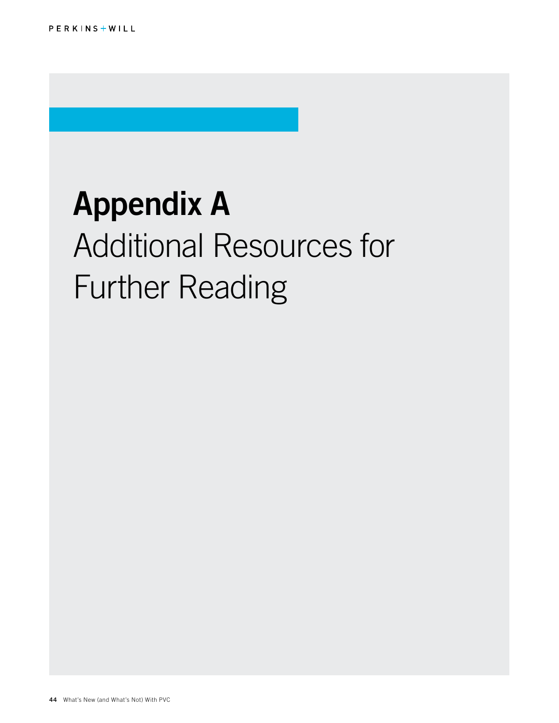# <span id="page-43-0"></span>**Appendix A** Additional Resources for Further Reading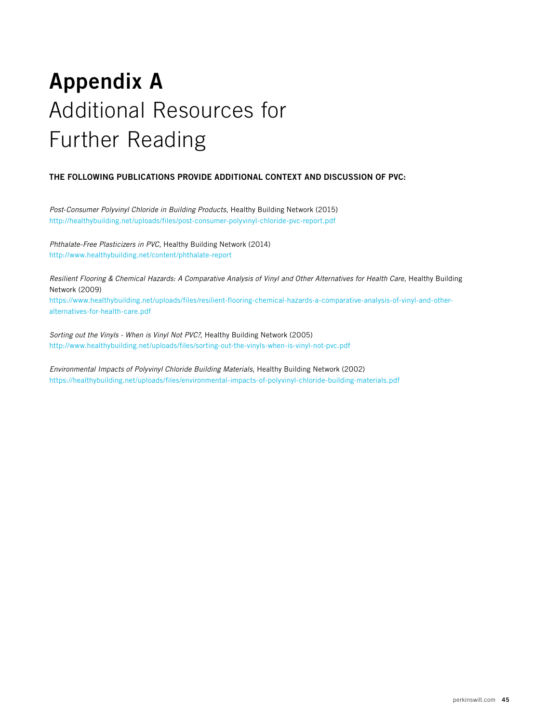## **Appendix A** Additional Resources for Further Reading

#### **THE FOLLOWING PUBLICATIONS PROVIDE ADDITIONAL CONTEXT AND DISCUSSION OF PVC:**

Post-Consumer Polyvinyl Chloride in Building Products, Healthy Building Network (2015) <http://healthybuilding.net/uploads/files/post-consumer-polyvinyl-chloride-pvc-report.pdf>

Phthalate-Free Plasticizers in PVC, Healthy Building Network (2014) [http://www.healthybuilding.net/content/phthalate-report](http://www.healthybuilding.net/content/phthalate-report ) 

Resilient Flooring & Chemical Hazards: A Comparative Analysis of Vinyl and Other Alternatives for Health Care, Healthy Building Network (2009)

[https://www.healthybuilding.net/uploads/files/resilient-flooring-chemical-hazards-a-comparative-analysis-of-vinyl-and-other](https://www.healthybuilding.net/uploads/files/resilient-flooring-chemical-hazards-a-comparative-analysis-of-vinyl-and-other-alternatives-for-health-care.pdf)[alternatives-for-health-care.pdf](https://www.healthybuilding.net/uploads/files/resilient-flooring-chemical-hazards-a-comparative-analysis-of-vinyl-and-other-alternatives-for-health-care.pdf)

Sorting out the Vinyls - When is Vinyl Not PVC?, Healthy Building Network (2005) [http://www.healthybuilding.net/uploads/files/sorting-out-the-vinyls-when-is-vinyl-not-pvc.pdf](http://www.healthybuilding.net/uploads/files/sorting-out-the-vinyls-when-is-vinyl-not-pvc.pdf ) 

Environmental Impacts of Polyvinyl Chloride Building Materials, Healthy Building Network (2002) <https://healthybuilding.net/uploads/files/environmental-impacts-of-polyvinyl-chloride-building-materials.pdf>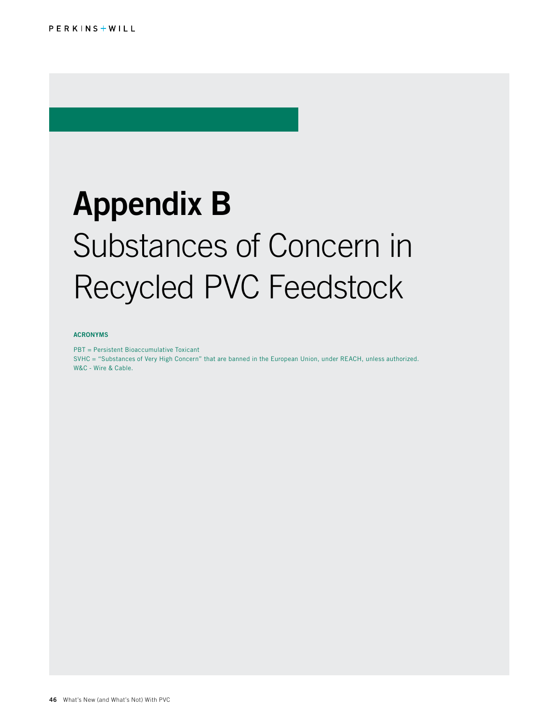# <span id="page-45-0"></span>**Appendix B** Substances of Concern in Recycled PVC Feedstock

#### **ACRONYMS**

PBT = Persistent Bioaccumulative Toxicant

SVHC = "Substances of Very High Concern" that are banned in the European Union, under REACH, unless authorized. W&C - Wire & Cable.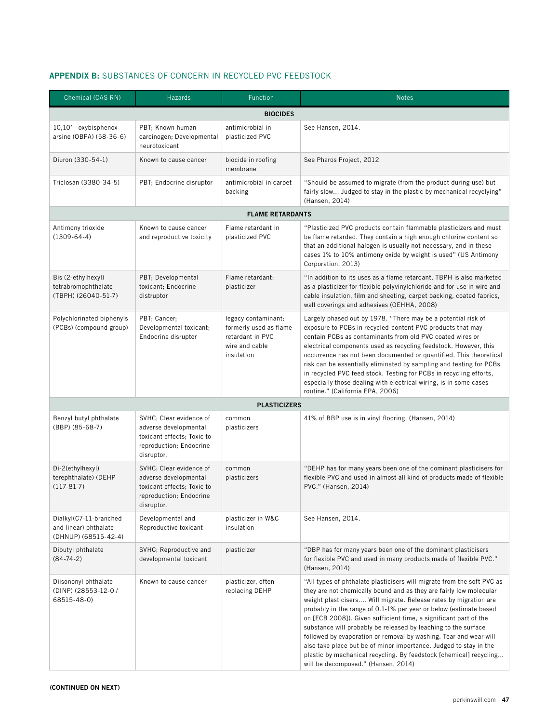#### **APPENDIX B:** SUBSTANCES OF CONCERN IN RECYCLED PVC FEEDSTOCK

| Chemical (CAS RN)                                                       | Hazards                                                                                                                 | Function                                                                                          | <b>Notes</b>                                                                                                                                                                                                                                                                                                                                                                                                                                                                                                                                                                                                                                                                       |
|-------------------------------------------------------------------------|-------------------------------------------------------------------------------------------------------------------------|---------------------------------------------------------------------------------------------------|------------------------------------------------------------------------------------------------------------------------------------------------------------------------------------------------------------------------------------------------------------------------------------------------------------------------------------------------------------------------------------------------------------------------------------------------------------------------------------------------------------------------------------------------------------------------------------------------------------------------------------------------------------------------------------|
|                                                                         |                                                                                                                         | <b>BIOCIDES</b>                                                                                   |                                                                                                                                                                                                                                                                                                                                                                                                                                                                                                                                                                                                                                                                                    |
| 10,10' - oxybisphenox-<br>arsine (OBPA) (58-36-6)                       | PBT; Known human<br>carcinogen; Developmental<br>neurotoxicant                                                          | antimicrobial in<br>plasticized PVC                                                               | See Hansen, 2014.                                                                                                                                                                                                                                                                                                                                                                                                                                                                                                                                                                                                                                                                  |
| Diuron (330-54-1)                                                       | Known to cause cancer                                                                                                   | biocide in roofing<br>membrane                                                                    | See Pharos Project, 2012                                                                                                                                                                                                                                                                                                                                                                                                                                                                                                                                                                                                                                                           |
| Triclosan (3380-34-5)                                                   | PBT; Endocrine disruptor                                                                                                | antimicrobial in carpet<br>backing                                                                | "Should be assumed to migrate (from the product during use) but<br>fairly slow Judged to stay in the plastic by mechanical recyclying"<br>(Hansen, 2014)                                                                                                                                                                                                                                                                                                                                                                                                                                                                                                                           |
|                                                                         |                                                                                                                         | <b>FLAME RETARDANTS</b>                                                                           |                                                                                                                                                                                                                                                                                                                                                                                                                                                                                                                                                                                                                                                                                    |
| Antimony trioxide<br>$(1309-64-4)$                                      | Known to cause cancer<br>and reproductive toxicity                                                                      | Flame retardant in<br>plasticized PVC                                                             | "Plasticized PVC products contain flammable plasticizers and must<br>be flame retarded. They contain a high enough chlorine content so<br>that an additional halogen is usually not necessary, and in these<br>cases 1% to 10% antimony oxide by weight is used" (US Antimony<br>Corporation, 2013)                                                                                                                                                                                                                                                                                                                                                                                |
| Bis (2-ethylhexyl)<br>tetrabromophthalate<br>(TBPH) (26040-51-7)        | PBT; Developmental<br>toxicant; Endocrine<br>distruptor                                                                 | Flame retardant;<br>plasticizer                                                                   | "In addition to its uses as a flame retardant, TBPH is also marketed<br>as a plasticizer for flexible polyvinylchloride and for use in wire and<br>cable insulation, film and sheeting, carpet backing, coated fabrics,<br>wall coverings and adhesives (OEHHA, 2008)                                                                                                                                                                                                                                                                                                                                                                                                              |
| Polychlorinated biphenyls<br>(PCBs) (compound group)                    | PBT; Cancer;<br>Developmental toxicant;<br>Endocrine disruptor                                                          | legacy contaminant;<br>formerly used as flame<br>retardant in PVC<br>wire and cable<br>insulation | Largely phased out by 1978. "There may be a potential risk of<br>exposure to PCBs in recycled-content PVC products that may<br>contain PCBs as contaminants from old PVC coated wires or<br>electrical components used as recycling feedstock. However, this<br>occurrence has not been documented or quantified. This theoretical<br>risk can be essentially eliminated by sampling and testing for PCBs<br>in recycled PVC feed stock. Testing for PCBs in recycling efforts,<br>especially those dealing with electrical wiring, is in some cases<br>routine." (California EPA, 2006)                                                                                           |
|                                                                         |                                                                                                                         | <b>PLASTICIZERS</b>                                                                               |                                                                                                                                                                                                                                                                                                                                                                                                                                                                                                                                                                                                                                                                                    |
| Benzyl butyl phthalate<br>(BBP) (85-68-7)                               | SVHC; Clear evidence of<br>adverse developmental<br>toxicant effects; Toxic to<br>reproduction; Endocrine<br>disruptor. | common<br>plasticizers                                                                            | 41% of BBP use is in vinyl flooring. (Hansen, 2014)                                                                                                                                                                                                                                                                                                                                                                                                                                                                                                                                                                                                                                |
| Di-2(ethylhexyl)<br>terephthalate) (DEHP<br>$(117-81-7)$                | SVHC; Clear evidence of<br>adverse developmental<br>toxicant effects; Toxic to<br>reproduction; Endocrine<br>disruptor. | common<br>plasticizers                                                                            | "DEHP has for many years been one of the dominant plasticisers for<br>flexible PVC and used in almost all kind of products made of flexible<br>PVC." (Hansen, 2014)                                                                                                                                                                                                                                                                                                                                                                                                                                                                                                                |
| Dialkyl(C7-11-branched<br>and linear) phthalate<br>(DHNUP) (68515-42-4) | Developmental and<br>Reproductive toxicant                                                                              | plasticizer in W&C<br>insulation                                                                  | See Hansen, 2014.                                                                                                                                                                                                                                                                                                                                                                                                                                                                                                                                                                                                                                                                  |
| Dibutyl phthalate<br>$(84-74-2)$                                        | SVHC; Reproductive and<br>developmental toxicant                                                                        | plasticizer                                                                                       | "DBP has for many years been one of the dominant plasticisers<br>for flexible PVC and used in many products made of flexible PVC."<br>(Hansen, 2014)                                                                                                                                                                                                                                                                                                                                                                                                                                                                                                                               |
| Diisononyl phthalate<br>(DINP) (28553-12-0 /<br>68515-48-0)             | Known to cause cancer                                                                                                   | plasticizer, often<br>replacing DEHP                                                              | "All types of phthalate plasticisers will migrate from the soft PVC as<br>they are not chemically bound and as they are fairly low molecular<br>weight plasticisers Will migrate. Release rates by migration are<br>probably in the range of 0.1-1% per year or below (estimate based<br>on [ECB 2008]). Given sufficient time, a significant part of the<br>substance will probably be released by leaching to the surface<br>followed by evaporation or removal by washing. Tear and wear will<br>also take place but be of minor importance. Judged to stay in the<br>plastic by mechanical recycling. By feedstock [chemical] recycling<br>will be decomposed." (Hansen, 2014) |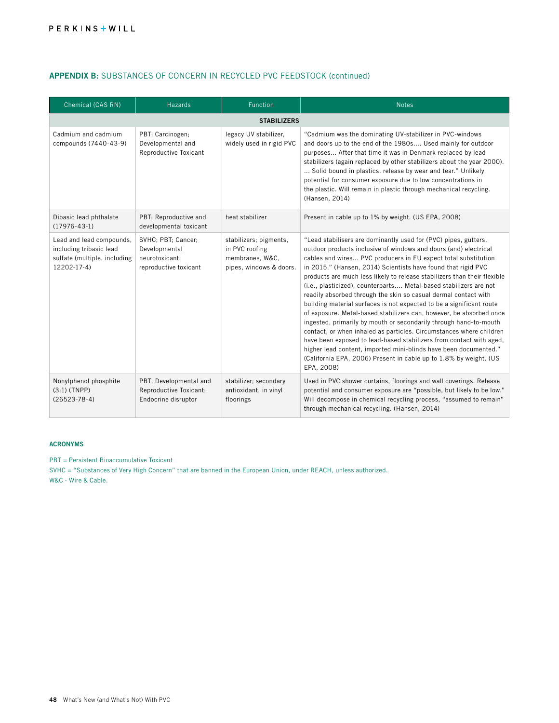#### **APPENDIX B:** SUBSTANCES OF CONCERN IN RECYCLED PVC FEEDSTOCK (continued)

| Chemical (CAS RN)                                                                                  | <b>Hazards</b>                                                                 | Function                                                                               | <b>Notes</b>                                                                                                                                                                                                                                                                                                                                                                                                                                                                                                                                                                                                                                                                                                                                                                                                                                                                                                                                                                                                        |
|----------------------------------------------------------------------------------------------------|--------------------------------------------------------------------------------|----------------------------------------------------------------------------------------|---------------------------------------------------------------------------------------------------------------------------------------------------------------------------------------------------------------------------------------------------------------------------------------------------------------------------------------------------------------------------------------------------------------------------------------------------------------------------------------------------------------------------------------------------------------------------------------------------------------------------------------------------------------------------------------------------------------------------------------------------------------------------------------------------------------------------------------------------------------------------------------------------------------------------------------------------------------------------------------------------------------------|
|                                                                                                    |                                                                                | <b>STABILIZERS</b>                                                                     |                                                                                                                                                                                                                                                                                                                                                                                                                                                                                                                                                                                                                                                                                                                                                                                                                                                                                                                                                                                                                     |
| Cadmium and cadmium<br>compounds (7440-43-9)                                                       | PBT; Carcinogen;<br>Developmental and<br>Reproductive Toxicant                 | legacy UV stabilizer,<br>widely used in rigid PVC                                      | "Cadmium was the dominating UV-stabilizer in PVC-windows<br>and doors up to the end of the 1980s Used mainly for outdoor<br>purposes After that time it was in Denmark replaced by lead<br>stabilizers (again replaced by other stabilizers about the year 2000).<br>Solid bound in plastics, release by wear and tear." Unlikely<br>potential for consumer exposure due to low concentrations in<br>the plastic. Will remain in plastic through mechanical recycling.<br>(Hansen, 2014)                                                                                                                                                                                                                                                                                                                                                                                                                                                                                                                            |
| Dibasic lead phthalate<br>$(17976 - 43 - 1)$                                                       | PBT; Reproductive and<br>developmental toxicant                                | heat stabilizer                                                                        | Present in cable up to 1% by weight. (US EPA, 2008)                                                                                                                                                                                                                                                                                                                                                                                                                                                                                                                                                                                                                                                                                                                                                                                                                                                                                                                                                                 |
| Lead and lead compounds,<br>including tribasic lead<br>sulfate (multiple, including<br>12202-17-4) | SVHC; PBT; Cancer;<br>Developmental<br>neurotoxicant;<br>reproductive toxicant | stabilizers; pigments,<br>in PVC roofing<br>membranes, W&C,<br>pipes, windows & doors. | "Lead stabilisers are dominantly used for (PVC) pipes, gutters,<br>outdoor products inclusive of windows and doors (and) electrical<br>cables and wires PVC producers in EU expect total substitution<br>in 2015." (Hansen, 2014) Scientists have found that rigid PVC<br>products are much less likely to release stabilizers than their flexible<br>(i.e., plasticized), counterparts Metal-based stabilizers are not<br>readily absorbed through the skin so casual dermal contact with<br>building material surfaces is not expected to be a significant route<br>of exposure. Metal-based stabilizers can, however, be absorbed once<br>ingested, primarily by mouth or secondarily through hand-to-mouth<br>contact, or when inhaled as particles. Circumstances where children<br>have been exposed to lead-based stabilizers from contact with aged,<br>higher lead content, imported mini-blinds have been documented."<br>(California EPA, 2006) Present in cable up to 1.8% by weight. (US<br>EPA, 2008) |
| Nonylphenol phosphite<br>$(3:1)$ (TNPP)<br>$(26523 - 78 - 4)$                                      | PBT, Developmental and<br>Reproductive Toxicant;<br>Endocrine disruptor        | stabilizer; secondary<br>antioxidant, in vinyl<br>floorings                            | Used in PVC shower curtains, floorings and wall coverings. Release<br>potential and consumer exposure are "possible, but likely to be low."<br>Will decompose in chemical recycling process, "assumed to remain"<br>through mechanical recycling. (Hansen, 2014)                                                                                                                                                                                                                                                                                                                                                                                                                                                                                                                                                                                                                                                                                                                                                    |

#### **ACRONYMS**

PBT = Persistent Bioaccumulative Toxicant

SVHC = "Substances of Very High Concern" that are banned in the European Union, under REACH, unless authorized.

W&C - Wire & Cable.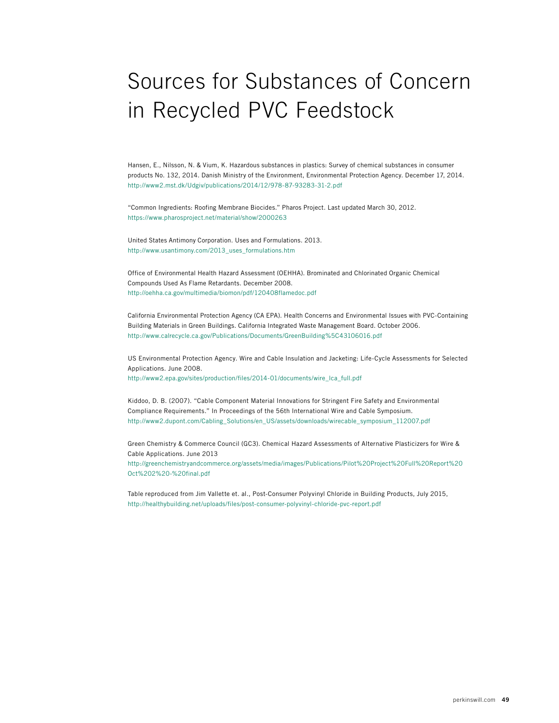## Sources for Substances of Concern in Recycled PVC Feedstock

Hansen, E., Nilsson, N. & Vium, K. Hazardous substances in plastics: Survey of chemical substances in consumer products No. 132, 2014. Danish Ministry of the Environment, Environmental Protection Agency. December 17, 2014. <http://www2.mst.dk/Udgiv/publications/2014/12/978-87-93283-31-2.pdf>

"Common Ingredients: Roofing Membrane Biocides." Pharos Project. Last updated March 30, 2012. <https://www.pharosproject.net/material/show/2000263>

United States Antimony Corporation. Uses and Formulations. 2013. [http://www.usantimony.com/2013\\_uses\\_formulations.htm](http://www.usantimony.com/2013_uses_formulations.htm ) 

Office of Environmental Health Hazard Assessment (OEHHA). Brominated and Chlorinated Organic Chemical Compounds Used As Flame Retardants. December 2008. [http://oehha.ca.gov/multimedia/biomon/pdf/120408flamedoc.pdf](http://oehha.ca.gov/multimedia/biomon/pdf/120408flamedoc.pdf ) 

California Environmental Protection Agency (CA EPA). Health Concerns and Environmental Issues with PVC-Containing Building Materials in Green Buildings. California Integrated Waste Management Board. October 2006. <http://www.calrecycle.ca.gov/Publications/Documents/GreenBuilding%5C43106016.pdf>

US Environmental Protection Agency. Wire and Cable Insulation and Jacketing: Life-Cycle Assessments for Selected Applications. June 2008.

[http://www2.epa.gov/sites/production/files/2014-01/documents/wire\\_lca\\_full.pdf](http://www2.epa.gov/sites/production/files/2014-01/documents/wire_lca_full.pdf)

Kiddoo, D. B. (2007). "Cable Component Material Innovations for Stringent Fire Safety and Environmental Compliance Requirements." In Proceedings of the 56th International Wire and Cable Symposium. [http://www2.dupont.com/Cabling\\_Solutions/en\\_US/assets/downloads/wirecable\\_symposium\\_112007.pdf](http://www2.dupont.com/Cabling_Solutions/en_US/assets/downloads/wirecable_symposium_112007.pdf)

Green Chemistry & Commerce Council (GC3). Chemical Hazard Assessments of Alternative Plasticizers for Wire & Cable Applications. June 2013

[http://greenchemistryandcommerce.org/assets/media/images/Publications/Pilot%20Project%20Full%20Report%20](http://greenchemistryandcommerce.org/assets/media/images/Publications/Pilot%20Project%20Full%20Report%20Oct%202%20-%20final.pdf) [Oct%202%20-%20final.pdf](http://greenchemistryandcommerce.org/assets/media/images/Publications/Pilot%20Project%20Full%20Report%20Oct%202%20-%20final.pdf)

Table reproduced from Jim Vallette et. al., Post-Consumer Polyvinyl Chloride in Building Products, July 2015, <http://healthybuilding.net/uploads/files/post-consumer-polyvinyl-chloride-pvc-report.pdf>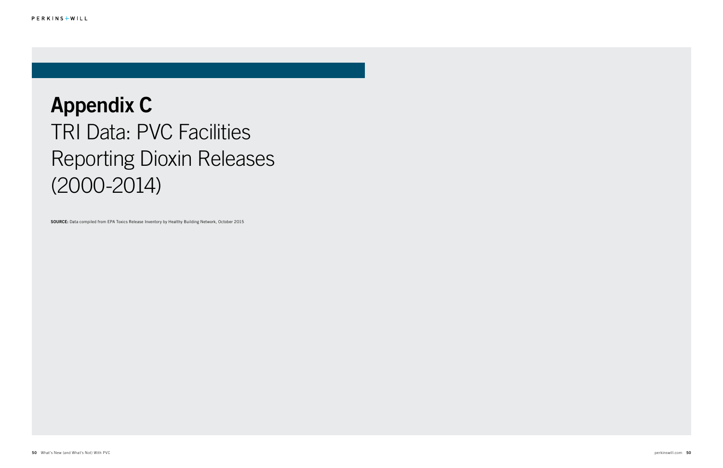# <span id="page-49-0"></span>**Appendix C** TRI Data: PVC Facilities Reporting Dioxin Releases (2000-2014)

**SOURCE:** Data compiled from EPA Toxics Release Inventory by Healthy Building Network, October 2015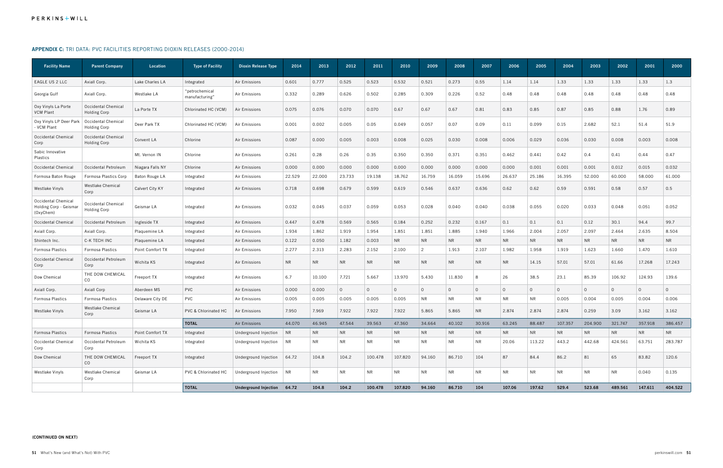| <b>Facility Name</b>                                       | <b>Parent Company</b>                      | Location         | <b>Type of Facility</b>          | <b>Dioxin Release Type</b>   | 2014                     | 2013       | 2012           | 2011         | 2010      | 2009           | 2008      | 2007       | 2006           | 2005           | 2004       | 2003      | 2002      | 2001      | 2000           |
|------------------------------------------------------------|--------------------------------------------|------------------|----------------------------------|------------------------------|--------------------------|------------|----------------|--------------|-----------|----------------|-----------|------------|----------------|----------------|------------|-----------|-----------|-----------|----------------|
| EAGLE US 2 LLC                                             | Axiall Corp                                | Lake Charles LA  | Integrated                       | Air Emissions                | 0.601                    | 0.777      | 0.525          | 0.523        | 0.532     | 0.521          | 0.273     | 0.55       | 1.14           | 1.14           | 1.33       | 1.33      | 1.33      | 1.33      | 1.3            |
| Georgia Gulf                                               | Axiall Corp.                               | Westlake LA      | "petrochemical<br>manufacturing" | Air Emissions                | 0.332                    | 0.289      | 0.626          | 0.502        | 0.285     | 0.309          | 0.226     | 0.52       | 0.48           | 0.48           | 0.48       | 0.48      | 0.48      | 0.48      | 0.48           |
| Oxy Vinyls La Porte<br><b>VCM Plant</b>                    | Occidental Chemical<br><b>Holding Corp</b> | La Porte TX      | Chlorinated HC (VCM)             | Air Emissions                | 0.075                    | 0.076      | 0.070          | 0.070        | 0.67      | 0.67           | 0.67      | 0.81       | 0.83           | 0.85           | 0.87       | 0.85      | 0.88      | 1.76      | 0.89           |
| Oxy Vinyls LP Deer Park<br>- VCM Plant                     | Occidental Chemical<br><b>Holding Corp</b> | Deer Park TX     | Chlorinated HC (VCM)             | Air Emissions                | 0.001                    | 0.002      | 0.005          | 0.05         | 0.049     | 0.057          | 0.07      | 0.09       | 0.11           | 0.099          | 0.15       | 2.682     | 52.1      | 51.4      | 51.9           |
| Occidental Chemical<br>Corp                                | Occidental Chemical<br><b>Holding Corp</b> | Convent LA       | Chlorine                         | Air Emissions                | 0.087                    | 0.000      | 0.005          | 0.003        | 0.008     | 0.025          | 0.030     | 0.008      | 0.006          | 0.029          | 0.036      | 0.030     | 0.008     | 0.003     | 0.008          |
| Sabic Innovative<br>Plastics                               |                                            | Mt. Vernon IN    | Chlorine                         | Air Emissions                | 0.261                    | 0.28       | 0.26           | 0.35         | 0.350     | 0.350          | 0.371     | 0.351      | 0.462          | 0.441          | 0.42       | 0.4       | 0.41      | 0.44      | 0.47           |
| Occidental Chemical                                        | Occidental Petroleum                       | Niagara Falls NY | Chlorine                         | Air Emissions                | 0.000                    | 0.000      | 0.000          | 0.000        | 0.000     | 0.000          | 0.000     | 0.000      | 0.000          | 0.001          | 0.001      | 0.001     | 0.012     | 0.015     | 0.032          |
| Formosa Baton Rouge                                        | Formosa Plastics Corp                      | Baton Rouge LA   | Integrated                       | Air Emissions                | 22.529                   | 22.000     | 23.733         | 19.138       | 18.762    | 16.759         | 16.059    | 15.696     | 26.637         | 25.186         | 16.395     | 52.000    | 60.000    | 58.000    | 61.000         |
| Westlake Vinyls                                            | <b>Westlake Chemical</b><br>Corp           | Calvert City KY  | Integrated                       | Air Emissions                | 0.718                    | 0.698      | 0.679          | 0.599        | 0.619     | 0.546          | 0.637     | 0.636      | 0.62           | 0.62           | 0.59       | 0.591     | 0.58      | 0.57      | 0.5            |
| Occidental Chemical<br>Holding Corp - Geismar<br>(OxyChem) | Occidental Chemical<br><b>Holding Corp</b> | Geismar LA       | Integrated                       | Air Emissions                | 0.032                    | 0.045      | 0.037          | 0.059        | 0.053     | 0.028          | 0.040     | 0.040      | 0.038          | 0.055          | 0.020      | 0.033     | 0.048     | 0.051     | 0.052          |
| Occidental Chemical                                        | Occidental Petroleum                       | Ingleside TX     | Integrated                       | Air Emissions                | 0.447                    | 0.478      | 0.569          | 0.565        | 0.184     | 0.252          | 0.232     | 0.167      | 0.1            | 0.1            | 0.1        | 0.12      | 30.1      | 94.4      | 99.7           |
| Axiall Corp.                                               | Axiall Corp.                               | Plaquemine LA    | Integrated                       | Air Emissions                | 1.934                    | 1.862      | 1.919          | 1.954        | 1.851     | 1.851          | 1.885     | 1.940      | 1.966          | 2.004          | 2.057      | 2.097     | 2.464     | 2.635     | 8.504          |
| Shintech Inc.                                              | C-K TECH INC                               | Plaquemine LA    | Integrated                       | Air Emissions                | 0.122                    | 0.050      | 1.182          | 0.003        | <b>NR</b> | <b>NR</b>      | NR        | <b>NR</b>  | <b>NR</b>      | NR.            | <b>NR</b>  | <b>NR</b> | NR        | <b>NR</b> | <b>NR</b>      |
| Formosa Plastics                                           | Formosa Plastics                           | Point Comfort TX | Integrated                       | Air Emissions                | 2.277                    | 2.313      | 2.283          | 2.152        | 2.100     | $\overline{2}$ | 1.913     | 2.107      | 1.982          | 1.958          | 1.919      | 1.623     | 1.660     | 1.470     | 1.610          |
| Occidental Chemical<br>Corp                                | Occidental Petroleum<br>Corp               | Wichita KS       | Integrated                       | Air Emissions                | <b>NR</b>                | <b>NR</b>  | <b>NR</b>      | <b>NR</b>    | <b>NR</b> | <b>NR</b>      | NR        | <b>NR</b>  | <b>NR</b>      | 14.15          | 57.01      | 57.01     | 61.66     | 17.268    | 17.243         |
| Dow Chemical                                               | THE DOW CHEMICAL<br>CO                     | Freeport TX      | Integrated                       | Air Emissions                | 6.7                      | 10.100     | 7.721          | 5.667        | 13.970    | 5.430          | 11.830    | 8          | 26             | 38.5           | 23.1       | 85.39     | 106.92    | 124.93    | 139.6          |
| Axiall Corp.                                               | <b>Axiall Corp</b>                         | Aberdeen MS      | <b>PVC</b>                       | Air Emissions                | 0.000                    | 0.000      | $\overline{O}$ | $\mathbf{0}$ | $\Omega$  | $\mathbf{0}$   | $\Omega$  | $\Omega$   | $\overline{0}$ | $\overline{0}$ | $\Omega$   | $\Omega$  | 0         | $\Omega$  | $\overline{O}$ |
| Formosa Plastics                                           | Formosa Plastics                           | Delaware City DE | <b>PVC</b>                       | Air Emissions                | 0.005                    | 0.005      | 0.005          | 0.005        | 0.005     | <b>NR</b>      | <b>NR</b> | <b>NR</b>  | <b>NR</b>      | <b>NR</b>      | 0.005      | 0.004     | 0.005     | 0.004     | 0.006          |
| Westlake Vinyls                                            | <b>Westlake Chemical</b><br>Corp           | Geismar LA       | <b>PVC &amp; Chlorinated HC</b>  | Air Emissions                | 7.950                    | 7.969      | 7.922          | 7.922        | 7.922     | 5.865          | 5.865     | <b>NR</b>  | 2.874          | 2.874          | 2.874      | 0.259     | 3.09      | 3.162     | 3.162          |
|                                                            |                                            |                  | <b>TOTAL</b>                     | Air Emissions                | 44.070                   | 46.945     | 47.544         | 39.563       | 47.360    | 34.664         | 40.102    | 30.916     | 63.245         | 88.487         | 107.357    | 204.900   | 321.747   | 357.918   | 386.457        |
| Formosa Plastics                                           | Formosa Plastics                           | Point Comfort TX | Integrated                       | Underground Injection        | $\overline{\mathsf{NR}}$ | <b>NR</b>  | <b>NR</b>      | <b>NR</b>    | <b>NR</b> | <b>NR</b>      | <b>NR</b> | <b>NR</b>  | <b>NR</b>      | <b>NR</b>      | <b>NR</b>  | <b>NR</b> | <b>NR</b> | <b>NR</b> | <b>NR</b>      |
| Occidental Chemical<br>Corp                                | Occidental Petroleum<br>Corp               | Wichita KS       | Integrated                       | Underground Injection        | NR                       | ${\sf NR}$ | <b>NR</b>      | ${\sf NR}$   | <b>NR</b> | <b>NR</b>      | <b>NR</b> | <b>NR</b>  | 20.06          | 113.22         | 443.2      | 442.68    | 424.561   | 63.751    | 283.787        |
| Dow Chemical                                               | THE DOW CHEMICAL<br>CO                     | Freeport TX      | Integrated                       | Underground Injection        | 64.72                    | 104.8      | 104.2          | 100.478      | 107.820   | 94.160         | 86.710    | 104        | 87             | 84.4           | 86.2       | 81        | 65        | 83.82     | 120.6          |
| Westlake Vinyls                                            | <b>Westlake Chemical</b><br>Corp           | Geismar LA       | PVC & Chlorinated HC             | Underground Injection        | NR                       | ${\sf NR}$ | <b>NR</b>      | <b>NR</b>    | <b>NR</b> | ${\sf NR}$     | <b>NR</b> | ${\sf NR}$ | <b>NR</b>      | <b>NR</b>      | ${\sf NR}$ | <b>NR</b> | <b>NR</b> | 0.040     | 0.135          |
|                                                            |                                            |                  | <b>TOTAL</b>                     | <b>Underground Injection</b> | 64.72                    | 104.8      | 104.2          | 100.478      | 107.820   | 94.160         | 86.710    | 104        | 107.06         | 197.62         | 529.4      | 523.68    | 489.561   | 147.611   | 404.522        |

#### **APPENDIX C:** TRI DATA: PVC FACILITIES REPORTING DIOXIN RELEASES (2000-2014)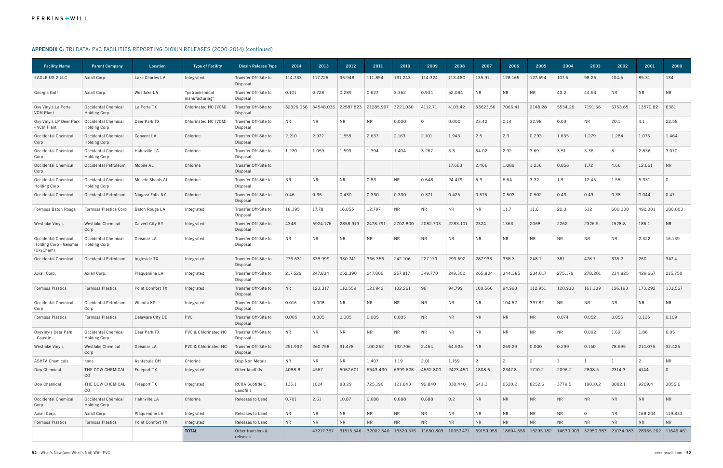#### **APPENDIX C:** TRI DATA: PVC FACILITIES REPORTING DIOXIN RELEASES (2000-2014) (continued)

| <b>Facility Name</b>                                       | <b>Parent Company</b>                      | Location         | <b>Type of Facility</b>          | <b>Dioxin Release Type</b>       | 2014      | 2013      | 2012      | 2011      | 2010                | 2009      | 2008      | 2007      | 2006           | 2005           | 2004         | 2003           | 2002                          | 2001           | 2000         |
|------------------------------------------------------------|--------------------------------------------|------------------|----------------------------------|----------------------------------|-----------|-----------|-----------|-----------|---------------------|-----------|-----------|-----------|----------------|----------------|--------------|----------------|-------------------------------|----------------|--------------|
| <b>EAGLE US 2 LLC</b>                                      | Axiall Corp.                               | Lake Charles LA  | Integrated                       | Transfer Off-Site to<br>Disposal | 114.733   | 117.725   | 96.948    | 111.854   | 131.243             | 114.324   | 113.480   | 135.91    | 128.165        | 127.594        | 107.6        | 98.25          | 104.5                         | 85.31          | 134          |
| Georgia Gulf                                               | Axiall Corp.                               | Westlake LA      | "petrochemical<br>manufacturing" | Transfer Off-Site to<br>Disposal | 0.101     | 0.728     | 0.289     | 0.627     | 3.362               | 0.934     | 52.084    | <b>NR</b> | <b>NR</b>      | <b>NR</b>      | 40.2         | 44.54          | <b>NR</b>                     | <b>NR</b>      | <b>NR</b>    |
| Oxy Vinyls La Porte<br><b>VCM Plant</b>                    | Occidental Chemical<br><b>Holding Corp</b> | La Porte TX      | Chlorinated HC (VCM)             | Transfer Off-Site to<br>Disposal | 32326.056 | 34548.036 | 22587.823 | 21285.997 | 3221.030            | 4112.71   | 4103.42   | 53623.56  | 7066.41        | 2148.28        | 5534.26      | 7191.56        | 6753.65                       | 13570.82       | 6381         |
| Oxy Vinyls LP Deer Park<br>- VCM Plant                     | Occidental Chemical<br><b>Holding Corp</b> | Deer Park TX     | Chlorinated HC (VCM)             | Transfer Off-Site to<br>Disposal | <b>NR</b> | <b>NR</b> | <b>NR</b> | <b>NR</b> | 0.000               | $\Omega$  | 0.000     | 23.42     | 0.14           | 32.98          | 0.03         | <b>NR</b>      | 20.1                          | 4.1            | 22.58        |
| Occidental Chemical<br>Corp                                | Occidental Chemical<br><b>Holding Corp</b> | Convent LA       | Chlorine                         | Transfer Off-Site to<br>Disposal | 2.210     | 2.972     | 1.555     | 2.633     | 2.163               | 2.101     | 1.943     | 2.5       | 2.3            | 0.293          | 1.635        | 1.279          | 1.284                         | 1.076          | 1.464        |
| Occidental Chemical<br>Corp                                | Occidental Chemical<br><b>Holding Corp</b> | Hahnville LA     | Chlorine                         | Transfer Off-Site to<br>Disposal | 1.270     | 1.059     | 1.593     | 1.394     | 1.404               | 3.267     | 3.3       | 34.02     | 2.92           | 3.69           | 3.51         | 3.36           | $\mathbf{3}$                  | 2.836          | 3.070        |
| Occidental Chemical<br>Corp                                | Occidental Petroleum                       | Mobile AL        | Chlorine                         | Transfer Off-Site to<br>Disposal |           |           |           |           |                     |           | 17.663    | 2.466     | 1.089          | 1.236          | 0.856        | 1.72           | 4.66                          | 12.661         | <b>NR</b>    |
| Occidental Chemical<br><b>Holding Corp</b>                 | Occidental Chemical<br><b>Holding Corp</b> | Muscle Shoals AL | Chlorine                         | Transfer Off-Site to<br>Disposal | <b>NR</b> | <b>NR</b> | <b>NR</b> | 0.83      | <b>NR</b>           | 0.648     | 24.479    | 5.3       | 6.64           | 3.32           | 1.9          | 12.45          | 1.55                          | 5.331          | $\mathsf{O}$ |
| Occidental Chemical                                        | Occidental Petroleum                       | Niagara Falls NY | Chlorine                         | Transfer Off-Site to<br>Disposal | 0.46      | 0.36      | 0.430     | 0.330     | 0.330               | 0.371     | 0.425     | 0.576     | 0.503          | 0.502          | 0.43         | 0.49           | 0.38                          | 0.044          | 0.47         |
| Formosa Baton Rouge                                        | Formosa Plastics Corp                      | Baton Rouge LA   | Integrated                       | Transfer Off-Site to<br>Disposal | 18.395    | 17.78     | 16.055    | 12.797    | <b>NR</b>           | <b>NR</b> | <b>NR</b> | <b>NR</b> | 11.7           | 11.6           | 22.3         | 532            | 600.000                       | 492.001        | 380.003      |
| Westlake Vinyls                                            | <b>Westlake Chemical</b><br>Corp           | Calvert City KY  | Integrated                       | Transfer Off-Site to<br>Disposal | 4348      | 5924.176  | 2858.919  | 2478.791  | 2702.800            | 2082.703  | 2283.101  | 2324      | 1363           | 2068           | 2262         | 2326.5         | 1528.8                        | 186.1          | <b>NR</b>    |
| Occidental Chemical<br>Holding Corp - Geismar<br>(OxyChem) | Occidental Chemical<br><b>Holding Corp</b> | Geismar LA       | Integrated                       | Transfer Off-Site to<br>Disposal | <b>NR</b> | <b>NR</b> | <b>NR</b> | <b>NR</b> | <b>NR</b>           | <b>NR</b> | <b>NR</b> | <b>NR</b> | <b>NR</b>      | <b>NR</b>      | <b>NR</b>    | <b>NR</b>      | <b>NR</b>                     | 2.322          | 16.139       |
| Occidental Chemical                                        | Occidental Petroleum                       | Ingleside TX     | Integrated                       | Transfer Off-Site to<br>Disposal | 273.631   | 378.999   | 330.741   | 366.356   | 242.106             | 227.179   | 293.692   | 287.933   | 338.3          | 248.1          | 381          | 478.7          | 378.2                         | 260            | 347.4        |
| Axiall Corp.                                               | Axiall Corp.                               | Plaquemine LA    | Integrated                       | Transfer Off-Site to<br>Disposal | 217.529   | 247.834   | 252.390   | 247.806   | 257.817             | 349.770   | 249.302   | 265.804   | 344.385        | 234.017        | 275.179      | 278.201        | 234.825                       | 429.667        | 215.750      |
| Formosa Plastics                                           | <b>Formosa Plastics</b>                    | Point Comfort TX | Integrated                       | Transfer Off-Site to<br>Disposal | <b>NR</b> | 123.317   | 110.559   | 121.942   | 102.261             | 96        | 94.799    | 100.566   | 94.993         | 112.951        | 120.930      | 161.339        | 126.193                       | 173.292        | 133.567      |
| Occidental Chemical<br>Corp                                | Occidental Petroleum<br>Corp               | Wichita KS       | Integrated                       | Transfer Off-Site to<br>Disposal | 0.016     | 0.008     | <b>NR</b> | <b>NR</b> | <b>NR</b>           | <b>NR</b> | <b>NR</b> | <b>NR</b> | 104.52         | 337.82         | <b>NR</b>    | <b>NR</b>      | <b>NR</b>                     | <b>NR</b>      | <b>NR</b>    |
| Formosa Plastics                                           | Formosa Plastics                           | Delaware City DE | <b>PVC</b>                       | Transfer Off-Site to<br>Disposal | 0.005     | 0.005     | 0.005     | 0.005     | 0.005               | <b>NR</b> | <b>NR</b> | <b>NR</b> | <b>NR</b>      | <b>NR</b>      | 0.074        | 0.052          | 0.055                         | 0.105          | 0.109        |
| OxyVinyls Deer Park<br>- Caustic                           | Occidental Chemical<br><b>Holding Corp</b> | Deer Park TX     | PVC & Chlorinated HC             | Transfer Off-Site to<br>Disposal | NR        | <b>NR</b> | <b>NR</b> | <b>NR</b> | <b>NR</b>           | <b>NR</b> | <b>NR</b> | <b>NR</b> | <b>NR</b>      | <b>NR</b>      | <b>NR</b>    | 0.092          | 1.69                          | 1.86           | 6.05         |
| Westlake Vinyls                                            | <b>Westlake Chemical</b><br>Corp           | Geismar LA       | <b>PVC &amp; Chlorinated HC</b>  | Transfer Off-Site to<br>Disposal | 251.992   | 260.758   | 91.478    | 100.262   | 132.706             | 2.464     | 64.535    | <b>NR</b> | 269.29         | 0.000          | 0.299        | 0.150          | 78.695                        | 214.075        | 32.426       |
| <b>ASHTA Chemicals</b>                                     | none                                       | Ashtabula OH     | Chlorine                         | Disp Non Metals                  | <b>NR</b> | <b>NR</b> | <b>NR</b> | 1.407     | 1.19                | 2.01      | 1.159     | 2         | $\overline{c}$ | $\overline{2}$ | $\mathbf{3}$ | $\mathbf{1}$   | $\mathbf{1}$                  | $\overline{2}$ | <b>NR</b>    |
| Dow Chemical                                               | THE DOW CHEMICAL<br>CO                     | Freeport TX      | Integrated                       | Other landfills                  | 4088.8    | 4567      | 5067.601  | 6543.430  | 6399.628            | 4562.800  | 2423.450  | 1808.6    | 2347.8         | 1710.2         | 2096.2       | 2808.5         | 2314.3                        | 4144           | $\circ$      |
| Dow Chemical                                               | THE DOW CHEMICAL<br>CO                     | Freeport TX      | Integrated                       | RCRA Subtitle C<br>Landfills     | 135.1     | 1024      | 88.29     | 725.190   | 121.843             | 92.840    | 330.440   | 543.3     | 6520.2         | 8252.6         | 3779.5       | 19010.2        | 8882.1                        | 9209.4         | 3855.6       |
| Occidental Chemical<br>Corp                                | Occidental Chemical<br><b>Holding Corp</b> | Hahnville LA     | Chlorine                         | Releases to Land                 | 0.701     | 2.61      | 10.87     | 0.688     | 0.688               | 0.688     | 0.2       | <b>NR</b> | <b>NR</b>      | <b>NR</b>      | <b>NR</b>    | <b>NR</b>      | <b>NR</b>                     | <b>NR</b>      | <b>NR</b>    |
| Axiall Corp.                                               | Axiall Corp.                               | Plaquemine LA    | Integrated                       | Releases to Land                 | <b>NR</b> | <b>NR</b> | NR        | <b>NR</b> | <b>NR</b>           | NR        | <b>NR</b> | <b>NR</b> | <b>NR</b>      | <b>NR</b>      | <b>NR</b>    | $\overline{0}$ | <b>NR</b>                     | 168.204        | 119.833      |
| Formosa Plastics                                           | Formosa Plastics                           | Point Comfort TX | Integrated                       | Releases to Land                 | <b>NR</b> | <b>NR</b> | <b>NR</b> | <b>NR</b> | <b>NR</b>           | <b>NR</b> | <b>NR</b> | <b>NR</b> | <b>NR</b>      | <b>NR</b>      | <b>NR</b>    | <b>NR</b>      | <b>NR</b>                     | <b>NR</b>      | <b>NR</b>    |
|                                                            |                                            |                  | <b>TOTAL</b>                     | Other transfers &<br>releases    |           | 47217.367 | 31515.546 | 32002.340 | 13320.576 11650.809 |           | 10057.471 | 59159.955 | 18604.356      | 15295.182      | 14630.903    |                | 32950.383 21034.983 28965.202 |                | 11649.461    |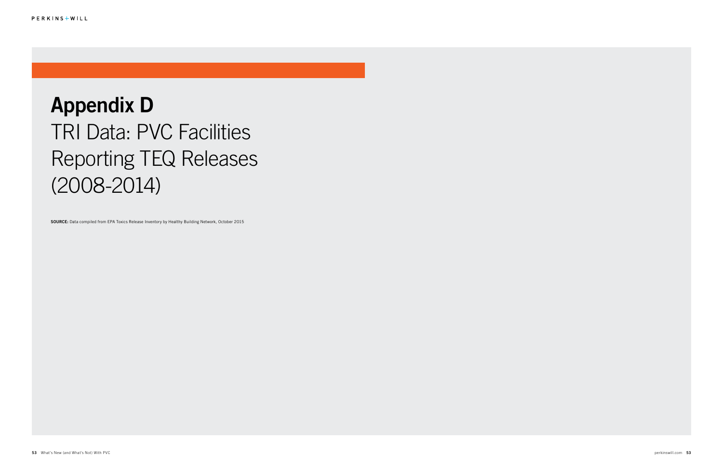# <span id="page-52-0"></span>**Appendix D** TRI Data: PVC Facilities Reporting TEQ Releases (2008-2014)

**SOURCE:** Data compiled from EPA Toxics Release Inventory by Healthy Building Network, October 2015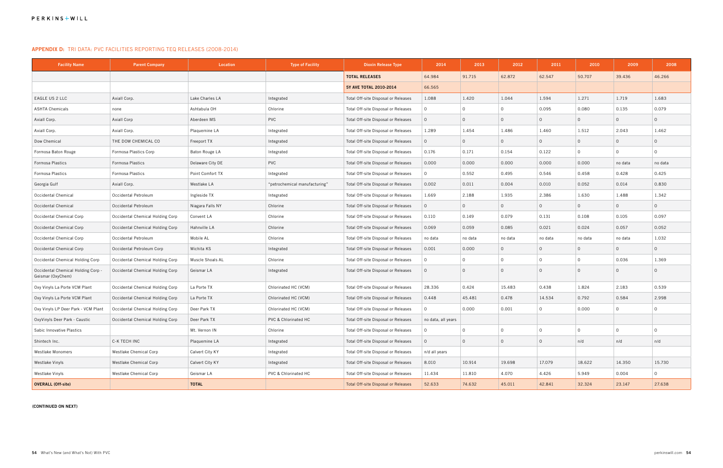| <b>Facility Name</b>                                  | <b>Parent Company</b>            | Location         | <b>Type of Facility</b>         | <b>Dioxin Release Type</b>          | 2014               | 2013           | 2012                | 2011           | 2010           | 2009           | 2008           |
|-------------------------------------------------------|----------------------------------|------------------|---------------------------------|-------------------------------------|--------------------|----------------|---------------------|----------------|----------------|----------------|----------------|
|                                                       |                                  |                  |                                 | <b>TOTAL RELEASES</b>               | 64.984             | 91.715         | 62.872              | 62.547         | 50.707         | 39.436         | 46.266         |
|                                                       |                                  |                  |                                 | 5Y AVE TOTAL 2010-2014              | 66.565             |                |                     |                |                |                |                |
| EAGLE US 2 LLC                                        | Axiall Corp.                     | Lake Charles LA  | Integrated                      | Total Off-site Disposal or Releases | 1.088              | 1.420          | 1.044               | 1.594          | 1.271          | 1.719          | 1.683          |
| <b>ASHTA Chemicals</b>                                | none                             | Ashtabula OH     | Chlorine                        | Total Off-site Disposal or Releases | $\overline{0}$     | $\overline{0}$ | $\mathbf 0$         | 0.095          | 0.080          | 0.135          | 0.079          |
| Axiall Corp.                                          | Axiall Corp                      | Aberdeen MS      | <b>PVC</b>                      | Total Off-site Disposal or Releases | $\mathbf 0$        | $\overline{0}$ | $\mathsf{O}$        | $\overline{0}$ | $\overline{0}$ | $\mathsf{O}$   | $\circ$        |
| Axiall Corp.                                          | Axiall Corp.                     | Plaquemine LA    | Integrated                      | Total Off-site Disposal or Releases | 1.289              | 1.454          | 1.486               | 1.460          | 1.512          | 2.043          | 1.462          |
| Dow Chemical                                          | THE DOW CHEMICAL CO              | Freeport TX      | Integrated                      | Total Off-site Disposal or Releases | $\overline{0}$     | $\overline{0}$ | $\mathsf{O}$        | $\overline{0}$ | $\overline{0}$ | $\overline{0}$ | $\overline{0}$ |
| Formosa Baton Rouge                                   | Formosa Plastics Corp            | Baton Rouge LA   | Integrated                      | Total Off-site Disposal or Releases | 0.176              | 0.171          | 0.154               | 0.122          | $\circ$        | $\mathsf{O}$   | $\overline{0}$ |
| <b>Formosa Plastics</b>                               | Formosa Plastics                 | Delaware City DE | PVC                             | Total Off-site Disposal or Releases | 0.000              | 0.000          | 0.000               | 0.000          | 0.000          | no data        | no data        |
| Formosa Plastics                                      | Formosa Plastics                 | Point Comfort TX | Integrated                      | Total Off-site Disposal or Releases | $\overline{0}$     | 0.552          | 0.495               | 0.546          | 0.458          | 0.428          | 0.425          |
| Georgia Gulf                                          | Axiall Corp.                     | Westlake LA      | "petrochemical manufacturing"   | Total Off-site Disposal or Releases | 0.002              | 0.011          | 0.004               | 0.010          | 0.052          | 0.014          | 0.830          |
| Occidental Chemical                                   | Occidental Petroleum             | Ingleside TX     | Integrated                      | Total Off-site Disposal or Releases | 1.669              | 2.188          | 1.935               | 2.386          | 1.630          | 1.488          | 1.342          |
| Occidental Chemical                                   | Occidental Petroleum             | Niagara Falls NY | Chlorine                        | Total Off-site Disposal or Releases | $\overline{0}$     | $\overline{0}$ | $\mathsf{O}$        | $\overline{0}$ | $\overline{0}$ | $\mathsf{O}$   | $\circ$        |
| Occidental Chemical Corp                              | Occidental Chemical Holding Corp | Convent LA       | Chlorine                        | Total Off-site Disposal or Releases | 0.110              | 0.149          | 0.079               | 0.131          | 0.108          | 0.105          | 0.097          |
| Occidental Chemical Corp                              | Occidental Chemical Holding Corp | Hahnville LA     | Chlorine                        | Total Off-site Disposal or Releases | 0.069              | 0.059          | 0.085               | 0.021          | 0.024          | 0.057          | 0.052          |
| Occidental Chemical Corp                              | Occidental Petroleum             | Mobile AL        | Chlorine                        | Total Off-site Disposal or Releases | no data            | no data        | no data             | no data        | no data        | no data        | 1.032          |
| Occidental Chemical Corp                              | Occidental Petroleum Corp        | Wichita KS       | Integrated                      | Total Off-site Disposal or Releases | 0.001              | 0.000          | $\circ$             | $\Omega$       | $\mathsf{O}$   | $\mathsf{O}$   | $\circ$        |
| Occidental Chemical Holding Corp                      | Occidental Chemical Holding Corp | Muscle Shoals AL | Chlorine                        | Total Off-site Disposal or Releases | $\overline{0}$     | $\overline{0}$ | $\mathbf 0$         | $\Omega$       | $\overline{0}$ | 0.036          | 1.369          |
| Occidental Chemical Holding Corp<br>Geismar (OxyChem) | Occidental Chemical Holding Corp | Geismar LA       | Integrated                      | Total Off-site Disposal or Releases | $\mathbf 0$        | $\overline{0}$ | $\mathbf 0$         | $\Omega$       | $\mathbf 0$    | $\mathsf{O}$   | 0              |
| Oxy Vinyls La Porte VCM Plant                         | Occidental Chemical Holding Corp | La Porte TX      | Chlorinated HC (VCM)            | Total Off-site Disposal or Releases | 28.336             | 0.424          | 15.483              | 0.438          | 1.824          | 2.183          | 0.539          |
| Oxy Vinyls La Porte VCM Plant                         | Occidental Chemical Holding Corp | La Porte TX      | Chlorinated HC (VCM)            | Total Off-site Disposal or Releases | 0.448              | 45.481         | 0.478               | 14.534         | 0.792          | 0.584          | 2.998          |
| Oxy Vinyls LP Deer Park - VCM Plant                   | Occidental Chemical Holding Corp | Deer Park TX     | Chlorinated HC (VCM)            | Total Off-site Disposal or Releases | $\overline{0}$     | 0.000          | 0.001               | $\mathbf 0$    | 0.000          | $\mathsf{O}$   | $\overline{O}$ |
| OxyVinyls Deer Park - Caustic                         | Occidental Chemical Holding Corp | Deer Park TX     | <b>PVC &amp; Chlorinated HC</b> | Total Off-site Disposal or Releases | no data, all years |                |                     |                |                |                |                |
| Sabic Innovative Plastics                             |                                  | Mt. Vernon IN    | Chlorine                        | Total Off-site Disposal or Releases | $\overline{0}$     | $\mathsf{O}$   | $\mathsf{O}\xspace$ | $\mathbf 0$    | $\overline{0}$ | $\mathsf{O}$   | $\mathbf 0$    |
| Shintech Inc.                                         | C-K TECH INC                     | Plaquemine LA    | Integrated                      | Total Off-site Disposal or Releases | $\circ$            | $\mathsf{O}$   | $\mathbf 0$         | $\mathbf 0$    | n/d            | n/d            | n/d            |
| Westlake Monomers                                     | Westlake Chemical Corp           | Calvert City KY  | Integrated                      | Total Off-site Disposal or Releases | n/d all years      |                |                     |                |                |                |                |
| Westlake Vinyls                                       | Westlake Chemical Corp           | Calvert City KY  | Integrated                      | Total Off-site Disposal or Releases | 8.010              | 10.914         | 19.698              | 17.079         | 18.622         | 14.350         | 15.730         |
| Westlake Vinyls                                       | Westlake Chemical Corp           | Geismar LA       | <b>PVC &amp; Chlorinated HC</b> | Total Off-site Disposal or Releases | 11.434             | 11.810         | 4.070               | 4.426          | 5.949          | 0.004          | $\overline{0}$ |
| <b>OVERALL (Off-site)</b>                             |                                  | <b>TOTAL</b>     |                                 | Total Off-site Disposal or Releases | 52.633             | 74.632         | 45.011              | 42.841         | 32.324         | 23.147         | 27.638         |

#### **APPENDIX D:** TRI DATA: PVC FACILITIES REPORTING TEQ RELEASES (2008-2014)

#### **(CONTINUED ON NEXT)**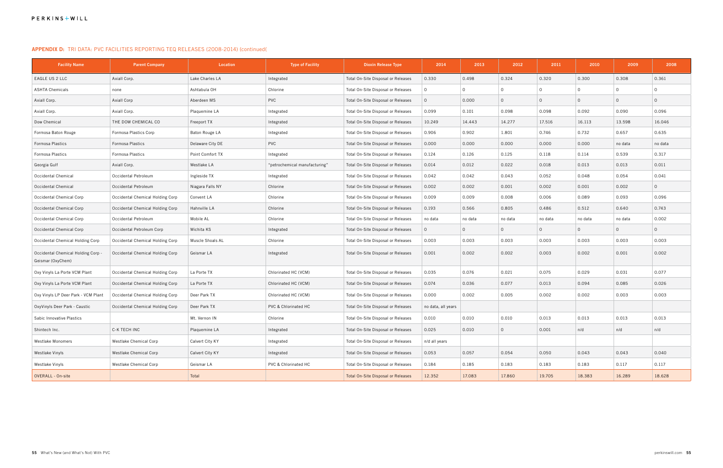| <b>Facility Name</b>                                  | <b>Parent Company</b>            | Location         | <b>Type of Facility</b>         | <b>Dioxin Release Type</b>         | 2014               | 2013           | 2012         | 2011           | 2010           | 2009           | 2008           |
|-------------------------------------------------------|----------------------------------|------------------|---------------------------------|------------------------------------|--------------------|----------------|--------------|----------------|----------------|----------------|----------------|
| EAGLE US 2 LLC                                        | Axiall Corp.                     | Lake Charles LA  | Integrated                      | Total On-Site Disposal or Releases | 0.330              | 0.498          | 0.324        | 0.320          | 0.300          | 0.308          | 0.361          |
| <b>ASHTA Chemicals</b>                                | none                             | Ashtabula OH     | Chlorine                        | Total On-Site Disposal or Releases | $\circ$            | $\mathsf{O}$   | $\mathbf 0$  | $\mathbf 0$    | $\overline{0}$ | $\mathsf{O}$   | $\overline{O}$ |
| Axiall Corp.                                          | <b>Axiall Corp</b>               | Aberdeen MS      | <b>PVC</b>                      | Total On-Site Disposal or Releases | $\overline{0}$     | 0.000          | $\mathbf 0$  | $\mathbf 0$    | $\overline{0}$ | $\overline{0}$ | $\overline{0}$ |
| Axiall Corp.                                          | Axiall Corp.                     | Plaquemine LA    | Integrated                      | Total On-Site Disposal or Releases | 0.099              | 0.101          | 0.098        | 0.098          | 0.092          | 0.090          | 0.096          |
| Dow Chemical                                          | THE DOW CHEMICAL CO              | Freeport TX      | Integrated                      | Total On-Site Disposal or Releases | 10.249             | 14.443         | 14.277       | 17.516         | 16.113         | 13.598         | 16.046         |
| Formosa Baton Rouge                                   | Formosa Plastics Corp            | Baton Rouge LA   | Integrated                      | Total On-Site Disposal or Releases | 0.906              | 0.902          | 1.801        | 0.746          | 0.732          | 0.657          | 0.635          |
| Formosa Plastics                                      | Formosa Plastics                 | Delaware City DE | <b>PVC</b>                      | Total On-Site Disposal or Releases | 0.000              | 0.000          | 0.000        | 0.000          | 0.000          | no data        | no data        |
| Formosa Plastics                                      | Formosa Plastics                 | Point Comfort TX | Integrated                      | Total On-Site Disposal or Releases | 0.124              | 0.126          | 0.125        | 0.118          | 0.114          | 0.539          | 0.317          |
| Georgia Gulf                                          | Axiall Corp.                     | Westlake LA      | "petrochemical manufacturing"   | Total On-Site Disposal or Releases | 0.014              | 0.012          | 0.022        | 0.018          | 0.013          | 0.013          | 0.011          |
| Occidental Chemical                                   | Occidental Petroleum             | Ingleside TX     | Integrated                      | Total On-Site Disposal or Releases | 0.042              | 0.042          | 0.043        | 0.052          | 0.048          | 0.054          | 0.041          |
| Occidental Chemical                                   | Occidental Petroleum             | Niagara Falls NY | Chlorine                        | Total On-Site Disposal or Releases | 0.002              | 0.002          | 0.001        | 0.002          | 0.001          | 0.002          | $\overline{0}$ |
| Occidental Chemical Corp                              | Occidental Chemical Holding Corp | Convent LA       | Chlorine                        | Total On-Site Disposal or Releases | 0.009              | 0.009          | 0.008        | 0.006          | 0.089          | 0.093          | 0.096          |
| Occidental Chemical Corp                              | Occidental Chemical Holding Corp | Hahnville LA     | Chlorine                        | Total On-Site Disposal or Releases | 0.193              | 0.566          | 0.805        | 0.486          | 0.512          | 0.640          | 0.743          |
| Occidental Chemical Corp                              | Occidental Petroleum             | Mobile AL        | Chlorine                        | Total On-Site Disposal or Releases | no data            | no data        | no data      | no data        | no data        | no data        | 0.002          |
| Occidental Chemical Corp                              | Occidental Petroleum Corp        | Wichita KS       | Integrated                      | Total On-Site Disposal or Releases | $\overline{0}$     | $\overline{0}$ | $\mathbf{0}$ | $\overline{0}$ | $\overline{0}$ | $\overline{0}$ | $\overline{0}$ |
| Occidental Chemical Holding Corp                      | Occidental Chemical Holding Corp | Muscle Shoals AL | Chlorine                        | Total On-Site Disposal or Releases | 0.003              | 0.003          | 0.003        | 0.003          | 0.003          | 0.003          | 0.003          |
| Occidental Chemical Holding Corp<br>Geismar (OxyChem) | Occidental Chemical Holding Corp | Geismar LA       | Integrated                      | Total On-Site Disposal or Releases | 0.001              | 0.002          | 0.002        | 0.003          | 0.002          | 0.001          | 0.002          |
| Oxy Vinyls La Porte VCM Plant                         | Occidental Chemical Holding Corp | La Porte TX      | Chlorinated HC (VCM)            | Total On-Site Disposal or Releases | 0.035              | 0.076          | 0.021        | 0.075          | 0.029          | 0.031          | 0.077          |
| Oxy Vinyls La Porte VCM Plant                         | Occidental Chemical Holding Corp | La Porte TX      | Chlorinated HC (VCM)            | Total On-Site Disposal or Releases | 0.074              | 0.036          | 0.077        | 0.013          | 0.094          | 0.085          | 0.026          |
| Oxy Vinyls LP Deer Park - VCM Plant                   | Occidental Chemical Holding Corp | Deer Park TX     | Chlorinated HC (VCM)            | Total On-Site Disposal or Releases | 0.000              | 0.002          | 0.005        | 0.002          | 0.002          | 0.003          | 0.003          |
| OxyVinyls Deer Park - Caustic                         | Occidental Chemical Holding Corp | Deer Park TX     | <b>PVC &amp; Chlorinated HC</b> | Total On-Site Disposal or Releases | no data, all years |                |              |                |                |                |                |
| Sabic Innovative Plastics                             |                                  | Mt. Vernon IN    | Chlorine                        | Total On-Site Disposal or Releases | 0.010              | 0.010          | 0.010        | 0.013          | 0.013          | 0.013          | 0.013          |
| Shintech Inc.                                         | C-K TECH INC                     | Plaquemine LA    | Integrated                      | Total On-Site Disposal or Releases | 0.025              | 0.010          | $\mathsf O$  | 0.001          | n/d            | n/d            | n/d            |
| Westlake Monomers                                     | Westlake Chemical Corp           | Calvert City KY  | Integrated                      | Total On-Site Disposal or Releases | n/d all years      |                |              |                |                |                |                |
| Westlake Vinyls                                       | Westlake Chemical Corp           | Calvert City KY  | Integrated                      | Total On-Site Disposal or Releases | 0.053              | 0.057          | 0.054        | 0.050          | 0.043          | 0.043          | 0.040          |
| Westlake Vinyls                                       | Westlake Chemical Corp           | Geismar LA       | PVC & Chlorinated HC            | Total On-Site Disposal or Releases | 0.184              | 0.185          | 0.183        | 0.183          | 0.183          | 0.117          | 0.117          |
| OVERALL - On-site                                     |                                  | Total            |                                 | Total On-Site Disposal or Releases | 12.352             | 17.083         | 17.860       | 19.705         | 18.383         | 16.289         | 18.628         |

#### **APPENDIX D:** TRI DATA: PVC FACILITIES REPORTING TEQ RELEASES (2008-2014) (continued(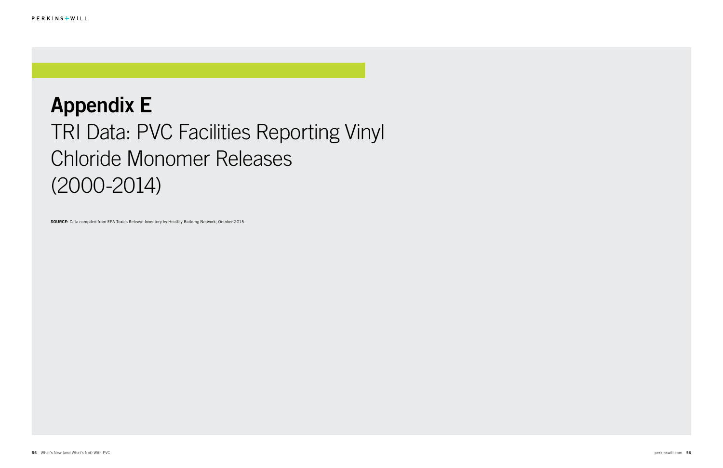# <span id="page-55-0"></span>**Appendix E** TRI Data: PVC Facilities Reporting Vinyl Chloride Monomer Releases (2000-2014)

**SOURCE:** Data compiled from EPA Toxics Release Inventory by Healthy Building Network, October 2015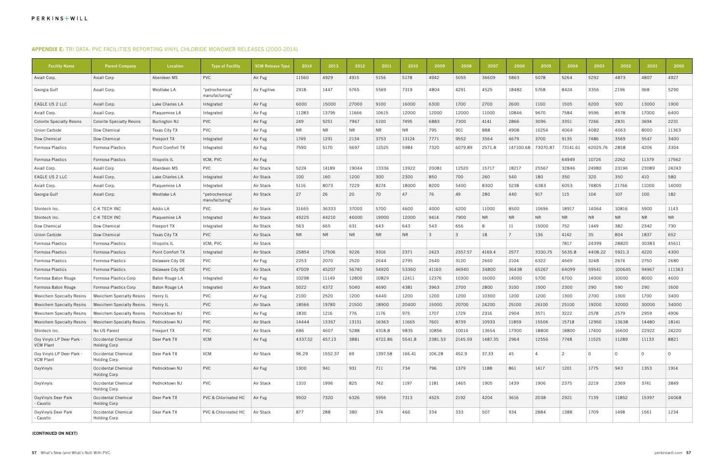| <b>Facility Name</b>                          | <b>Parent Company</b>                                 | Location             | <b>Type of Facility</b>          | <b>VCM Release Type</b> | 2014      | 2013      | 2012      | 2011      | 2010      | 2009    | 2008         | 2007    | 2006      | 2005           | 2004           | 2003           | 2002           | 2001           | 2000           |
|-----------------------------------------------|-------------------------------------------------------|----------------------|----------------------------------|-------------------------|-----------|-----------|-----------|-----------|-----------|---------|--------------|---------|-----------|----------------|----------------|----------------|----------------|----------------|----------------|
| Axiall Corp.                                  | <b>Axiall Corp</b>                                    | Aberdeen MS          | <b>PVC</b>                       | Air Fug                 | 11560     | 4929      | 4915      | 5156      | 5178      | 4942    | 5055         | 36609   | 5863      | 5078           | 5264           | 5292           | 4873           | 4807           | 4927           |
| Georgia Gulf                                  | Axiall Corp.                                          | Westlake LA          | "petrochemical<br>manufacturing' | Air Fugitive            | 2918      | 1447      | 5765      | 5569      | 7319      | 4804    | 4291         | 4525    | 18482     | 5768           | 8424           | 3356           | 2196           | 968            | 5290           |
| EAGLE US 2 LLC                                | Axiall Corp.                                          | Lake Charles LA      | Integrated                       | Air Fug                 | 6000      | 15000     | 27000     | 9100      | 16000     | 6300    | 1700         | 2700    | 2600      | 1100           | 1505           | 6200           | 920            | 13000          | 1900           |
| Axiall Corp.                                  | Axiall Corp.                                          | Plaquemine LA        | Integrated                       | Air Fug                 | 11283     | 13795     | 11666     | 10615     | 12000     | 12000   | 12000        | 11000   | 10846     | 9670           | 7584           | 9596           | 8578           | 17000          | 6400           |
| <b>Colorite Specialty Resins</b>              | <b>Colorite Specialty Resins</b>                      | <b>Burlington NJ</b> | <b>PVC</b>                       | Air Fug                 | 249       | 5251      | 7967      | 5100      | 7495      | 6883    | 7300         | 4141    | 2866      | 3096           | 3351           | 7266           | 2831           | 3694           | 2231           |
| Union Carbide                                 | Dow Chemical                                          | Texas City TX        | PVC                              | Air Fug                 | <b>NR</b> | <b>NR</b> | <b>NR</b> | <b>NR</b> | <b>NR</b> | 795     | 901          | 888     | 4908      | 10254          | 4064           | 4082           | 4063           | 8000           | 11363          |
| Dow Chemical                                  | Dow Chemical                                          | Freeport TX          | Integrated                       | Air Fug                 | 1749      | 1291      | 2134      | 3753      | 13124     | 7771    | 9552         | 3564    | 4679      | 3700           | 9135           | 7486           | 3569           | 5547           | 3400           |
| Formosa Plastics                              | Formosa Plastics                                      | Point Comfort TX     | Integrated                       | Air Fug                 | 7590      | 5170      | 5697      | 12525     | 5984      | 7320    | 6079.89      | 2571.8  | 147100.68 | 73070.87       | 73141.61       | 62025.76       | 2858           | 4206           | 3304           |
| Formosa Plastics                              | Formosa Plastics                                      | <b>Illiopolis IL</b> | VCM, PVC                         | Air Fug                 |           |           |           |           |           |         |              |         |           |                | 64949          | 10726          | 2262           | 11379          | 17562          |
| Axiall Corp.                                  | <b>Axiall Corp</b>                                    | Aberdeen MS          | <b>PVC</b>                       | Air Stack               | 5224      | 14189     | 19044     | 13336     | 13922     | 20081   | 12520        | 15717   | 18217     | 25567          | 32846          | 24980          | 23196          | 23089          | 24243          |
| EAGLE US 2 LLC                                | Axiall Corp.                                          | Lake Charles LA      | Integrated                       | Air Stack               | 100       | 160       | 1200      | 300       | 2300      | 850     | 700          | 260     | 540       | 180            | 350            | 320            | 350            | 410            | 580            |
| Axiall Corp.                                  | Axiall Corp.                                          | Plaquemine LA        | Integrated                       | Air Stack               | 5116      | 8073      | 7229      | 8274      | 18000     | 8200    | 5400         | 8300    | 5238      | 6383           | 6053           | 74805          | 21766          | 11000          | 14000          |
| Georgia Gulf                                  | Axiall Corp.                                          | Westlake LA          | "petrochemical<br>manufacturing' | Air Stack               | 27        | 26        | 20        | 70        | 47        | 76      | 49           | 280     | 440       | 917            | 115            | 104            | 107            | 100            | 182            |
| Shintech Inc.                                 | C-K TECH INC                                          | Addis LA             | <b>PVC</b>                       | Air Stack               | 31665     | 36333     | 37000     | 5700      | 4600      | 4000    | 6200         | 11000   | 8500      | 10696          | 18917          | 14064          | 10816          | 5900           | 1143           |
| Shintech Inc.                                 | C-K TECH INC                                          | Plaquemine LA        | Integrated                       | Air Stack               | 45225     | 44210     | 46000     | 19000     | 12000     | 9414    | 7900         | NR      | NR        | <b>NR</b>      | <b>NR</b>      | <b>NR</b>      | <b>NR</b>      | <b>NR</b>      | <b>NR</b>      |
| Dow Chemical                                  | Dow Chemical                                          | Freeport TX          | Integrated                       | Air Stack               | 563       | 665       | 631       | 643       | 643       | 543     | 656          | 8       | 11        | 15000          | 752            | 1449           | 382            | 2342           | 730            |
| Union Carbide                                 | Dow Chemical                                          | Texas City TX        | <b>PVC</b>                       | Air Stack               | <b>NR</b> | <b>NR</b> | <b>NR</b> | <b>NR</b> | <b>NR</b> | 3       | $\mathbf{3}$ | 18      | 7         | 136            | 4142           | 35             | 804            | 1837           | 652            |
| Formosa Plastics                              | Formosa Plastics                                      | Illiopolis IL        | VCM, PVC                         | Air Stack               |           |           |           |           |           |         |              |         |           |                | 7817           | 24399          | 28820          | 30383          | 45611          |
| Formosa Plastics                              | <b>Formosa Plastics</b>                               | Point Comfort TX     | Integrated                       | Air Stack               | 25854     | 17506     | 9226      | 9316      | 2371      | 2423    | 2357.57      | 4169.4  | 2577      | 3330.75        | 5635.8         | 4408.22        | 5921.3         | 4220           | 4300           |
| Formosa Plastics                              | Formosa Plastics                                      | Delaware City DE     | <b>PVC</b>                       | Air Fug                 | 2253      | 2070      | 2520      | 2644      | 2795      | 2640    | 3120         | 2660    | 2104      | 6322           | 4669           | 3248           | 2674           | 2750           | 2680           |
| Formosa Plastics                              | <b>Formosa Plastics</b>                               | Delaware City DE     | <b>PVC</b>                       | Air Stack               | 47009     | 45207     | 56740     | 54920     | 53360     | 41160   | 46940        | 34800   | 36438     | 65267          | 64099          | 59541          | 100645         | 94967          | 111363         |
| Formosa Baton Rouge                           | Formosa Plastics Corp                                 | Baton Rouge LA       | Integrated                       | Air Fug                 | 10298     | 11149     | 12800     | 10829     | 12411     | 12376   | 10300        | 16000   | 14000     | 5700           | 6700           | 14000          | 10000          | 8000           | 4600           |
| Formosa Baton Rouge                           | Formosa Plastics Corp                                 | Baton Rouge LA       | Integrated                       | Air Stack               | 5022      | 4372      | 5040      | 4690      | 4381      | 3963    | 2700         | 2800    | 3100      | 1500           | 2300           | 290            | 590            | 290            | 1600           |
| <b>Mexichem Specialty Resins</b>              | <b>Mexichem Specialty Resins</b>                      | Henry IL             | <b>PVC</b>                       | Air Fug                 | 2100      | 2520      | 1200      | 6440      | 1200      | 1200    | 1200         | 10300   | 1200      | 1200           | 1300           | 2700           | 1300           | 1700           | 3400           |
| <b>Mexichem Specialty Resins</b>              | <b>Mexichem Specialty Resins</b>                      | Henry IL             | <b>PVC</b>                       | Air Stack               | 18566     | 19780     | 21500     | 18900     | 20400     | 15000   | 20700        | 24200   | 25100     | 26100          | 25100          | 19200          | 32000          | 30000          | 34000          |
| <b>Mexichem Specialty Resins</b>              | <b>Mexichem Specialty Resins</b>                      | Pedricktown NJ       | <b>PVC</b>                       | Air Fug                 | 1830      | 1216      | 776       | 1176      | 975       | 1707    | 1729         | 2316    | 2904      | 3571           | 3222           | 2578           | 2579           | 2959           | 4906           |
|                                               | Mexichem Specialty Resins   Mexichem Specialty Resins | Pedricktown NJ       | <b>PVC</b>                       | Air Stack               | 14444     | 13357     | 13131     | 16363     | 11665     | 7601    | 8739         | 10933   | 11859     | 15506          | 15718          | 12960          | 13638          | 14480          | 18141          |
| Shintech Inc.                                 | No US Parent                                          | Freeport TX          | PVC                              | Air Stack               | 686       | 4607      | 5288      | 4318.8    | 9835      | 10856   | 10014        | 13654   | 17300     | 18800          | 18800          | 17400          | 16600          | 22922          | 24220          |
| Oxy Vinyls LP Deer Park -<br><b>VCM Plant</b> | Occidental Chemical<br><b>Holding Corp</b>            | Deer Park TX         | VCM                              | Air Fug                 | 4337.52   | 457.13    | 3881      | 4722.86   | 5541.8    | 2381.53 | 2145.59      | 1487.35 | 2964      | 12556          | 7748           | 11525          | 11289          | 11133          | 8821           |
| Oxy Vinyls LP Deer Park -<br><b>VCM Plant</b> | Occidental Chemical<br><b>Holding Corp</b>            | Deer Park TX         | VCM                              | Air Stack               | 96.29     | 1552.37   | 69        | 1397.58   | 166.41    | 106.28  | 452.9        | 37.33   | 45        | $\overline{4}$ | $\overline{c}$ | $\overline{0}$ | $\overline{0}$ | $\overline{0}$ | $\overline{0}$ |
| OxyVinyls                                     | Occidental Chemical<br><b>Holding Corp</b>            | Pedricktown NJ       | PVC                              | Air Fug                 | 1300      | 941       | 931       | 711       | 734       | 796     | 1379         | 1188    | 861       | 1417           | 1201           | 1775           | 943            | 1353           | 1914           |
| OxyVinyls                                     | Occidental Chemical<br>Holding Corp                   | Pedricktown NJ       | PVC                              | Air Stack               | 1310      | 1996      | 825       | 742       | 1197      | 1181    | 1465         | 1905    | 1439      | 1906           | 2375           | 2219           | 2369           | 3741           | 3849           |
| OxyVinyls Deer Park<br>- Caustic              | Occidental Chemical<br><b>Holding Corp</b>            | Deer Park TX         | <b>PVC &amp; Chlorinated HC</b>  | Air Fug                 | 9502      | 7320      | 6326      | 5956      | 7313      | 4525    | 2192         | 4204    | 3616      | 2038           | 2921           | 7139           | 11852          | 15397          | 24068          |
| OxyVinyls Deer Park<br>- Caustic              | Occidental Chemical<br><b>Holding Corp</b>            | Deer Park TX         | PVC & Chlorinated HC             | Air Stack               | 877       | 288       | 380       | 374       | 466       | 334     | 333          | 507     | 934       | 2884           | 1388           | 1709           | 1498           | 1561           | 1234           |

#### **APPENDIX E:** TRI DATA: PVC FACILITIES REPORTING VINYL CHLORIDE MONOMER RELEASES (2000-2014)

#### **(CONTINUED ON NEXT)**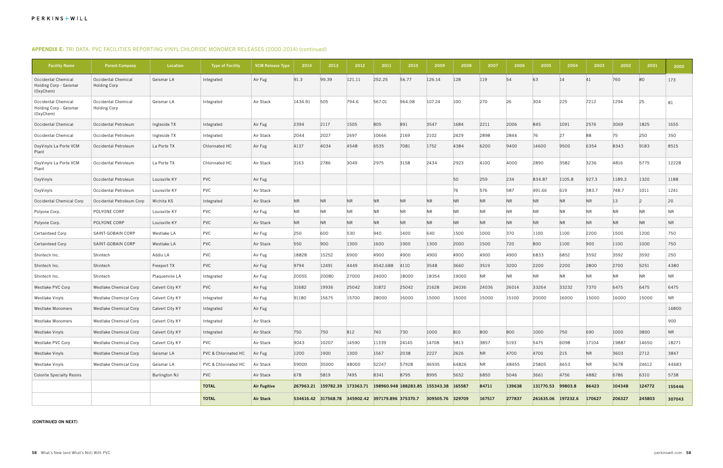| <b>Facility Name</b>                                       | <b>Parent Company</b>                      | Location             | <b>Type of Facility</b> | <b>VCM Release Type</b> | 2014      | 2013                                                                | 2012      | 2011      | 2010      | 2009             | 2008      | 2007      | 2006      | 2005              | 2004               | 2003      | 2002      | 2001           | 2000       |
|------------------------------------------------------------|--------------------------------------------|----------------------|-------------------------|-------------------------|-----------|---------------------------------------------------------------------|-----------|-----------|-----------|------------------|-----------|-----------|-----------|-------------------|--------------------|-----------|-----------|----------------|------------|
| Occidental Chemical<br>Holding Corp - Geismar<br>(OxyChem) | Occidental Chemical<br><b>Holding Corp</b> | Geismar LA           | Integrated              | Air Fug                 | 91.3      | 99.39                                                               | 121.11    | 252.25    | 56.77     | 126.14           | 128       | 119       | 54        | 63                | 14                 | 41        | 760       | 80             | 173        |
| Occidental Chemical<br>Holding Corp - Geismar<br>(OxyChem) | Occidental Chemical<br><b>Holding Corp</b> | Geismar LA           | Integrated              | Air Stack               | 1434.91   | 505                                                                 | 794.6     | 567.01    | 964.08    | 107.24           | 100       | 270       | 26        | 304               | 225                | 7212      | 1294      | 25             | 81         |
| Occidental Chemical                                        | Occidental Petroleum                       | Ingleside TX         | Integrated              | Air Fug                 | 2394      | 2117                                                                | 1505      | 805       | 891       | 3547             | 1684      | 2211      | 2006      | 845               | 1091               | 2576      | 3069      | 1825           | 1655       |
| Occidental Chemical                                        | Occidental Petroleum                       | Ingleside TX         | Integrated              | Air Stack               | 2044      | 2027                                                                | 2697      | 10666     | 2169      | 2102             | 2429      | 2898      | 2844      | 76                | 27                 | 88        | 75        | 250            | 350        |
| OxyVinyls La Porte VCM<br>Plant                            | Occidental Petroleum                       | La Porte TX          | Chlorinated HC          | Air Fug                 | 4137      | 4034                                                                | 4548      | 6535      | 7081      | 1752             | 4384      | 6200      | 9400      | 14600             | 9500               | 6354      | 8343      | 9183           | 8515       |
| OxyVinyls La Porte VCM<br>Plant                            | Occidental Petroleum                       | La Porte TX          | Chlorinated HC          | Air Stack               | 3163      | 2786                                                                | 3049      | 2975      | 3158      | 2434             | 2923      | 4100      | 4000      | 2890              | 3582               | 3236      | 4816      | 5775           | 12228      |
| OxyVinyls                                                  | Occidental Petroleum                       | Louisville KY        | <b>PVC</b>              | Air Fug                 |           |                                                                     |           |           |           |                  | 50        | 259       | 234       | 834.87            | 1105.8             | 927.3     | 1189.3    | 1320           | 1188       |
| OxyVinyls                                                  | Occidental Petroleum                       | Louisville KY        | <b>PVC</b>              | Air Stack               |           |                                                                     |           |           |           |                  | 76        | 576       | 587       | 491.66            | 619                | 383.7     | 748.7     | 1011           | 1241       |
| Occidental Chemical Corp                                   | Occidental Petroleum Corp                  | Wichita KS           | Integrated              | Air Stack               | <b>NR</b> | <b>NR</b>                                                           | <b>NR</b> | <b>NR</b> | <b>NR</b> | <b>NR</b>        | <b>NR</b> | <b>NR</b> | <b>NR</b> | <b>NR</b>         | <b>NR</b>          | <b>NR</b> | 13        | $\overline{2}$ | 20         |
| Polyone Corp.                                              | POLYONE CORP                               | Louisville KY        | <b>PVC</b>              | Air Fug                 | <b>NR</b> | <b>NR</b>                                                           | <b>NR</b> | <b>NR</b> | <b>NR</b> | <b>NR</b>        | <b>NR</b> | <b>NR</b> | <b>NR</b> | <b>NR</b>         | <b>NR</b>          | <b>NR</b> | <b>NR</b> | <b>NR</b>      | ${\sf NR}$ |
| Polyone Corp.                                              | POLYONE CORP                               | Louisville KY        | <b>PVC</b>              | Air Stack               | <b>NR</b> | <b>NR</b>                                                           | <b>NR</b> | <b>NR</b> | NR        | <b>NR</b>        | <b>NR</b> | <b>NR</b> | <b>NR</b> | <b>NR</b>         | <b>NR</b>          | <b>NR</b> | <b>NR</b> | <b>NR</b>      | <b>NR</b>  |
| <b>Certainteed Corp</b>                                    | SAINT-GOBAIN CORP                          | Westlake LA          | PVC                     | Air Fug                 | 250       | 600                                                                 | 530       | 940       | 1400      | 640              | 1500      | 1000      | 370       | 1100              | 1100               | 2200      | 1500      | 1200           | 750        |
| <b>Certainteed Corp</b>                                    | SAINT-GOBAIN CORP                          | Westlake LA          | <b>PVC</b>              | Air Stack               | 550       | 900                                                                 | 1300      | 1600      | 1900      | 1300             | 2000      | 1500      | 720       | 800               | 1100               | 900       | 1100      | 1000           | 750        |
| Shintech Inc.                                              | Shintech                                   | Addis LA             | <b>PVC</b>              | Air Fug                 | 18828     | 15252                                                               | 6900      | 4900      | 4900      | 4900             | 4900      | 4900      | 4900      | 6833              | 6852               | 3592      | 3592      | 3592           | 250        |
| Shintech Inc.                                              | Shintech                                   | Freeport TX          | <b>PVC</b>              | Air Fug                 | 9794      | 12491                                                               | 4449      | 4542.688  | 4110      | 3548             | 3660      | 3519      | 3200      | 2200              | 2200               | 2800      | 2700      | 5251           | 4380       |
| Shintech Inc.                                              | Shintech                                   | Plaquemine LA        | Integrated              | Air Fug                 | 20055     | 20080                                                               | 27000     | 24000     | 18000     | 18354            | 19000     | <b>NR</b> | <b>NR</b> | <b>NR</b>         | <b>NR</b>          | <b>NR</b> | <b>NR</b> | <b>NR</b>      | <b>NR</b>  |
| Westlake PVC Corp                                          | Westlake Chemical Corp                     | Calvert City KY      | <b>PVC</b>              | Air Fug                 | 31682     | 19936                                                               | 25042     | 31872     | 25042     | 21628            | 24036     | 24036     | 26014     | 33264             | 33232              | 7370      | 6475      | 6475           | 6475       |
| Westlake Vinyls                                            | Westlake Chemical Corp                     | Calvert City KY      | Integrated              | Air Fug                 | 91180     | 15675                                                               | 15700     | 28000     | 16000     | 15000            | 15000     | 15000     | 15100     | 20000             | 16000              | 15000     | 16000     | 15000          | <b>NR</b>  |
| <b>Westlake Monomers</b>                                   | Westlake Chemical Corp                     | Calvert City KY      | Integrated              | Air Fug                 |           |                                                                     |           |           |           |                  |           |           |           |                   |                    |           |           |                | 14800      |
| <b>Westlake Monomers</b>                                   | Westlake Chemical Corp                     | Calvert City KY      | Integrated              | Air Stack               |           |                                                                     |           |           |           |                  |           |           |           |                   |                    |           |           |                | 900        |
| Westlake Vinyls                                            | Westlake Chemical Corp                     | Calvert City KY      | Integrated              | Air Stack               | 750       | 750                                                                 | 812       | 740       | 730       | 1000             | 810       | 800       | 800       | 1000              | 750                | 690       | 1000      | 3800           | <b>NR</b>  |
| Westlake PVC Corp                                          | Westlake Chemical Corp                     | Calvert City KY      | <b>PVC</b>              | Air Stack               | 9043      | 10207                                                               | 14590     | 11339     | 24145     | 14708            | 5813      | 3857      | 5193      | 5475              | 6098               | 17104     | 19887     | 14650          | 18271      |
| Westlake Vinyls                                            | Westlake Chemical Corp                     | Geismar LA           | PVC & Chlorinated HC    | Air Fug                 | 1200      | 1900                                                                | 1300      | 1567      | 2038      | 2227             | 2626      | <b>NR</b> | 4700      | 4700              | 215                | <b>NR</b> | 3603      | 2712           | 3847       |
| Westlake Vinyls                                            | Westlake Chemical Corp                     | Geismar LA           | PVC & Chlorinated HC    | Air Stack               | 59000     | 35000                                                               | 48000     | 52247     | 57928     | 46935            | 64826     | <b>NR</b> | 48455     | 25805             | 4653               | <b>NR</b> | 5678      | 24612          | 44683      |
| <b>Colorite Specialty Resins</b>                           |                                            | <b>Burlington NJ</b> | <b>PVC</b>              | Air Stack               | 678       | 5819                                                                | 7495      | 8341      | 8795      | 8995             | 5652      | 6850      | 5046      | 3661              | 4756               | 4882      | 6786      | 6310           | 5738       |
|                                                            |                                            |                      | <b>TOTAL</b>            | <b>Air Fugitive</b>     |           | 267963.21 159782.39 173363.71 198960.948 188283.85 155343.38 165587 |           |           |           |                  |           | 84711     | 139638    | 131770.53 99803.8 |                    | 86423     | 104348    | 124772         | 155446     |
|                                                            |                                            |                      | <b>TOTAL</b>            | <b>Air Stack</b>        |           | 534616.42 317568.78 345902.42 397179.896 375370.7                   |           |           |           | 309505.76 329709 |           | 167517    | 277837    |                   | 261635.06 197232.6 | 170627    | 206327    | 245803         | 307043     |

#### **APPENDIX E:** TRI DATA: PVC FACILITIES REPORTING VINYL CHLORIDE MONOMER RELEASES (2000-2014) (continued)

**(CONTINUED ON NEXT)**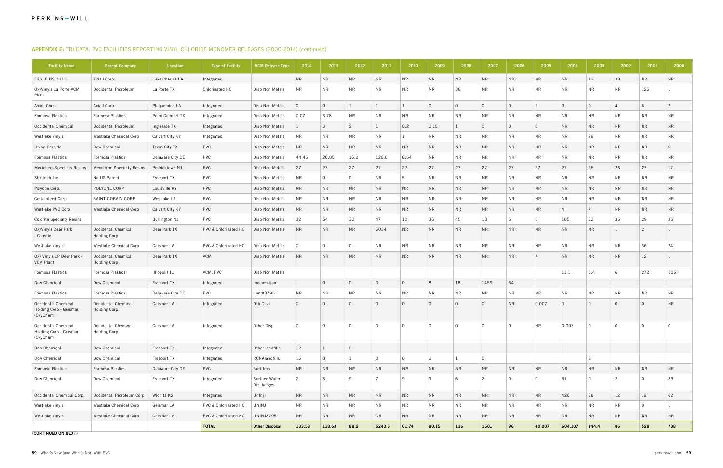| <b>Facility Name</b>                                       | <b>Parent Company</b>                      | Location             | <b>Type of Facility</b>         | <b>VCM Release Type</b>     | 2014           | 2013           | 2012           | 2011           | 2010           | 2009           | 2008           | 2007           | 2006           | 2005           | 2004           | 2003           | 2002           | 2001           | 2000           |
|------------------------------------------------------------|--------------------------------------------|----------------------|---------------------------------|-----------------------------|----------------|----------------|----------------|----------------|----------------|----------------|----------------|----------------|----------------|----------------|----------------|----------------|----------------|----------------|----------------|
| EAGLE US 2 LLC                                             | Axiall Corp.                               | Lake Charles LA      | Integrated                      |                             | <b>NR</b>      | <b>NR</b>      | <b>NR</b>      | <b>NR</b>      | <b>NR</b>      | <b>NR</b>      | <b>NR</b>      | <b>NR</b>      | <b>NR</b>      | <b>NR</b>      | <b>NR</b>      | 16             | 38             | <b>NR</b>      | <b>NR</b>      |
| OxyVinyls La Porte VCM<br>Plant                            | Occidental Petroleum                       | La Porte TX          | Chlorinated HC                  | Disp Non Metals             | <b>NR</b>      | <b>NR</b>      | <b>NR</b>      | <b>NR</b>      | <b>NR</b>      | <b>NR</b>      | 38             | <b>NR</b>      | <b>NR</b>      | <b>NR</b>      | <b>NR</b>      | <b>NR</b>      | <b>NR</b>      | 125            | $\mathbf{1}$   |
| Axiall Corp.                                               | Axiall Corp.                               | Plaquemine LA        | Integrated                      | Disp Non Metals             | $\overline{0}$ | $\overline{0}$ | $\mathbf{1}$   | 1              | $\mathbf{1}$   | $\overline{0}$ | $\overline{0}$ | $\overline{0}$ | $\overline{0}$ | 1              | $\mathbf 0$    | $\circ$        | $\overline{4}$ | 6              | $\overline{7}$ |
| Formosa Plastics                                           | Formosa Plastics                           | Point Comfort TX     | Integrated                      | Disp Non Metals             | 0.07           | 3.78           | <b>NR</b>      | <b>NR</b>      | <b>NR</b>      | <b>NR</b>      | <b>NR</b>      | <b>NR</b>      | <b>NR</b>      | <b>NR</b>      | <b>NR</b>      | <b>NR</b>      | <b>NR</b>      | <b>NR</b>      | ${\sf NR}$     |
| Occidental Chemical                                        | Occidental Petroleum                       | Ingleside TX         | Integrated                      | Disp Non Metals             | -1             | $\mathbf{3}$   | $\overline{c}$ | 1              | 0.2            | 0.15           | $\mathbf{1}$   | $\overline{0}$ | $\mathbf 0$    | $\mathbf{0}$   | <b>NR</b>      | <b>NR</b>      | <b>NR</b>      | <b>NR</b>      | <b>NR</b>      |
| Westlake Vinyls                                            | Westlake Chemical Corp                     | Calvert City KY      | Integrated                      | Disp Non Metals             | <b>NR</b>      | <b>NR</b>      | <b>NR</b>      | <b>NR</b>      | $\mathbf{1}$   | <b>NR</b>      | <b>NR</b>      | <b>NR</b>      | <b>NR</b>      | <b>NR</b>      | <b>NR</b>      | 28             | <b>NR</b>      | <b>NR</b>      | <b>NR</b>      |
| Union Carbide                                              | Dow Chemical                               | Texas City TX        | PVC                             | Disp Non Metals             | <b>NR</b>      | <b>NR</b>      | <b>NR</b>      | <b>NR</b>      | <b>NR</b>      | <b>NR</b>      | <b>NR</b>      | <b>NR</b>      | <b>NR</b>      | <b>NR</b>      | <b>NR</b>      | <b>NR</b>      | <b>NR</b>      | <b>NR</b>      | $\overline{0}$ |
| Formosa Plastics                                           | Formosa Plastics                           | Delaware City DE     | PVC                             | Disp Non Metals             | 44.46          | 26.85          | 16.2           | 126.6          | 8.54           | <b>NR</b>      | <b>NR</b>      | <b>NR</b>      | <b>NR</b>      | <b>NR</b>      | <b>NR</b>      | <b>NR</b>      | <b>NR</b>      | <b>NR</b>      | <b>NR</b>      |
| <b>Mexichem Specialty Resins</b>                           | <b>Mexichem Specialty Resins</b>           | Pedricktown NJ       | <b>PVC</b>                      | Disp Non Metals             | 27             | 27             | 27             | 27             | 27             | 27             | 27             | 27             | 27             | 27             | 27             | 26             | 26             | 27             | 17             |
| Shintech Inc.                                              | No US Parent                               | Freeport TX          | PVC                             | Disp Non Metals             | <b>NR</b>      | $\circ$        | $\mathsf{O}$   | <b>NR</b>      | 5              | <b>NR</b>      | <b>NR</b>      | <b>NR</b>      | <b>NR</b>      | <b>NR</b>      | <b>NR</b>      | <b>NR</b>      | <b>NR</b>      | <b>NR</b>      | <b>NR</b>      |
| Polyone Corp.                                              | POLYONE CORP                               | Louisville KY        | PVC                             | Disp Non Metals             | <b>NR</b>      | <b>NR</b>      | <b>NR</b>      | <b>NR</b>      | <b>NR</b>      | <b>NR</b>      | <b>NR</b>      | <b>NR</b>      | <b>NR</b>      | <b>NR</b>      | <b>NR</b>      | <b>NR</b>      | <b>NR</b>      | <b>NR</b>      | <b>NR</b>      |
| <b>Certainteed Corp</b>                                    | SAINT-GOBAIN CORP                          | Westlake LA          | PVC                             | Disp Non Metals             | <b>NR</b>      | <b>NR</b>      | <b>NR</b>      | <b>NR</b>      | <b>NR</b>      | <b>NR</b>      | <b>NR</b>      | <b>NR</b>      | <b>NR</b>      | <b>NR</b>      | <b>NR</b>      | <b>NR</b>      | <b>NR</b>      | <b>NR</b>      | <b>NR</b>      |
| Westlake PVC Corp                                          | Westlake Chemical Corp                     | Calvert City KY      | PVC                             | Disp Non Metals             | <b>NR</b>      | <b>NR</b>      | <b>NR</b>      | <b>NR</b>      | <b>NR</b>      | <b>NR</b>      | <b>NR</b>      | <b>NR</b>      | <b>NR</b>      | <b>NR</b>      | $\overline{4}$ | $\overline{7}$ | <b>NR</b>      | <b>NR</b>      | <b>NR</b>      |
| <b>Colorite Specialty Resins</b>                           |                                            | <b>Burlington NJ</b> | <b>PVC</b>                      | Disp Non Metals             | 32             | 54             | 32             | 47             | 10             | 36             | 45             | 13             | 5              | 5              | 105            | 32             | 35             | 29             | 36             |
| OxyVinyls Deer Park<br>- Caustic                           | Occidental Chemical<br><b>Holding Corp</b> | Deer Park TX         | <b>PVC &amp; Chlorinated HC</b> | Disp Non Metals             | <b>NR</b>      | <b>NR</b>      | <b>NR</b>      | 6034           | <b>NR</b>      | <b>NR</b>      | <b>NR</b>      | <b>NR</b>      | <b>NR</b>      | <b>NR</b>      | <b>NR</b>      | <b>NR</b>      | $\mathbf{1}$   | $\overline{c}$ | 1              |
| Westlake Vinyls                                            | Westlake Chemical Corp                     | Geismar LA           | <b>PVC &amp; Chlorinated HC</b> | Disp Non Metals             | $\overline{0}$ | $\circ$        | $\mathsf{O}$   | <b>NR</b>      | <b>NR</b>      | <b>NR</b>      | <b>NR</b>      | <b>NR</b>      | <b>NR</b>      | <b>NR</b>      | <b>NR</b>      | <b>NR</b>      | <b>NR</b>      | 36             | 74             |
| Oxy Vinyls LP Deer Park -<br><b>VCM Plant</b>              | Occidental Chemical<br><b>Holding Corp</b> | Deer Park TX         | <b>VCM</b>                      | Disp Non Metals             | <b>NR</b>      | <b>NR</b>      | <b>NR</b>      | <b>NR</b>      | <b>NR</b>      | <b>NR</b>      | <b>NR</b>      | <b>NR</b>      | <b>NR</b>      | 7              | <b>NR</b>      | <b>NR</b>      | <b>NR</b>      | 12             | $\mathbf{1}$   |
| Formosa Plastics                                           | Formosa Plastics                           | <b>Illiopolis IL</b> | VCM, PVC                        | Disp Non Metals             |                |                |                |                |                |                |                |                |                |                | 11.1           | 5.4            | 6              | 272            | 505            |
| Dow Chemical                                               | Dow Chemical                               | Freeport TX          | Integrated                      | Incineration                |                | $\overline{0}$ | $\overline{0}$ | $\overline{0}$ | $\mathbf 0$    | 8              | 18             | 1459           | 64             |                |                |                |                |                |                |
| Formosa Plastics                                           | Formosa Plastics                           | Delaware City DE     | PVC                             | Landf8795                   | ${\sf NR}$     | <b>NR</b>      | <b>NR</b>      | <b>NR</b>      | <b>NR</b>      | <b>NR</b>      | <b>NR</b>      | <b>NR</b>      | <b>NR</b>      | <b>NR</b>      | <b>NR</b>      | <b>NR</b>      | <b>NR</b>      | <b>NR</b>      | <b>NR</b>      |
| Occidental Chemical<br>Holding Corp - Geismar<br>(OxyChem) | Occidental Chemical<br><b>Holding Corp</b> | Geismar LA           | Integrated                      | Oth Disp                    | $\overline{0}$ | $\overline{0}$ | $\mathbf{0}$   | $\Omega$       | $\overline{0}$ | $\mathbf 0$    | $\mathbf 0$    | $\mathbf{0}$   | <b>NR</b>      | 0.007          | $\overline{0}$ | $\mathbf 0$    | $\mathbf 0$    | $\Omega$       | <b>NR</b>      |
| Occidental Chemical<br>Holding Corp - Geismar<br>(OxyChem) | Occidental Chemical<br>Holding Corp        | Geismar LA           | Integrated                      | Other Disp                  | $\mathbf 0$    | $\Omega$       | $\Omega$       | $\Omega$       | $\Omega$       | $\Omega$       | $\Omega$       | $\Omega$       | $\overline{0}$ | NR             | 0.007          | $\overline{0}$ | $\Omega$       |                |                |
| Dow Chemical                                               | Dow Chemical                               | Freeport TX          | Integrated                      | Other landfills             | 12             | $\mathbf{1}$   | $\overline{0}$ |                |                |                |                |                |                |                |                |                |                |                |                |
| Dow Chemical                                               | Dow Chemical                               | Freeport TX          | Integrated                      | RCRAlandfills               | 15             | $\overline{0}$ | $\mathbf{1}$   | $\overline{0}$ | $\mathbf 0$    | $\overline{0}$ | $\mathbf{1}$   | $\overline{0}$ |                |                |                | 8              |                |                |                |
| Formosa Plastics                                           | Formosa Plastics                           | Delaware City DE     | <b>PVC</b>                      | Surf Imp                    | N <sub>R</sub> | <b>NR</b>      | N <sub>R</sub> | <b>NR</b>      | <b>NR</b>      | <b>NR</b>      | <b>NR</b>      | <b>NR</b>      | <b>NR</b>      | <b>NR</b>      | <b>NR</b>      | <b>NR</b>      | <b>NR</b>      | <b>NR</b>      | <b>NR</b>      |
| Dow Chemical                                               | Dow Chemical                               | Freeport TX          | Integrated                      | Surface Water<br>Discharges | $\overline{c}$ | $\mathbf{3}$   | 9              | $7^{\circ}$    | $\overline{9}$ | 9              | 6              | $\overline{c}$ | $\overline{0}$ | $\overline{0}$ | 31             | $\overline{0}$ | 2              | $\overline{0}$ | 33             |
| Occidental Chemical Corp                                   | Occidental Petroleum Corp                  | Wichita KS           | Integrated                      | Unlnj I                     | <b>NR</b>      | <b>NR</b>      | <b>NR</b>      | <b>NR</b>      | <b>NR</b>      | <b>NR</b>      | <b>NR</b>      | <b>NR</b>      | <b>NR</b>      | <b>NR</b>      | 426            | 38             | 12             | 19             | 62             |
| Westlake Vinyls                                            | Westlake Chemical Corp                     | Geismar LA           | PVC & Chlorinated HC            | UNINJ I                     | ${\sf NR}$     | <b>NR</b>      | <b>NR</b>      | <b>NR</b>      | <b>NR</b>      | <b>NR</b>      | <b>NR</b>      | <b>NR</b>      | <b>NR</b>      | <b>NR</b>      | <b>NR</b>      | <b>NR</b>      | <b>NR</b>      | $\overline{0}$ | $\mathbf{1}$   |
| Westlake Vinyls                                            | Westlake Chemical Corp                     | Geismar LA           | <b>PVC &amp; Chlorinated HC</b> | <b>UNINJ8795</b>            | <b>NR</b>      | <b>NR</b>      | <b>NR</b>      | <b>NR</b>      | <b>NR</b>      | <b>NR</b>      | <b>NR</b>      | <b>NR</b>      | <b>NR</b>      | <b>NR</b>      | <b>NR</b>      | <b>NR</b>      | <b>NR</b>      | <b>NR</b>      | <b>NR</b>      |
| CONTINUED ON NEVER                                         |                                            |                      | <b>TOTAL</b>                    | <b>Other Disposal</b>       | 133.53         | 118.63         | 88.2           | 6243.6         | 61.74          | 80.15          | 136            | 1501           | 96             | 40.007         | 604.107        | 144.4          | 86             | 528            | 738            |

**(CONTINUED ON NEXT)**

#### **APPENDIX E:** TRI DATA: PVC FACILITIES REPORTING VINYL CHLORIDE MONOMER RELEASES (2000-2014) (continued)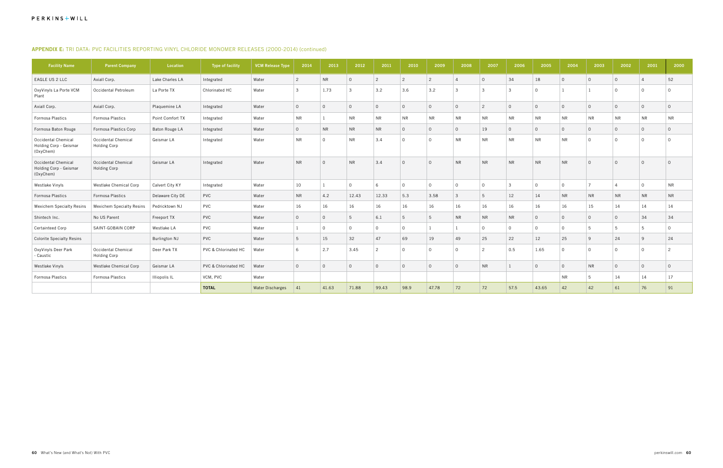| <b>Facility Name</b>                                       | <b>Parent Company</b>                      | Location             | <b>Type of facility</b> | <b>VCM Release Type</b> | 2014           | 2013           | 2012           | 2011           | 2010           | 2009        | 2008           | 2007           | 2006           | 2005           | 2004           | 2003           | 2002           | 2001           | 2000           |
|------------------------------------------------------------|--------------------------------------------|----------------------|-------------------------|-------------------------|----------------|----------------|----------------|----------------|----------------|-------------|----------------|----------------|----------------|----------------|----------------|----------------|----------------|----------------|----------------|
| EAGLE US 2 LLC                                             | Axiall Corp.                               | Lake Charles LA      | Integrated              | Water                   | 2              | <b>NR</b>      | $\overline{0}$ | 2              | 2              | 2           | $\overline{4}$ | $\circ$        | 34             | 18             | $\overline{0}$ | $\overline{0}$ | $\overline{0}$ | $\overline{4}$ | 52             |
| OxyVinyls La Porte VCM<br>Plant                            | Occidental Petroleum                       | La Porte TX          | Chlorinated HC          | Water                   | $\mathbf{3}$   | 1.73           | $\mathbf{3}$   | 3.2            | 3.6            | 3.2         | $\mathbf{3}$   | $\mathbf{3}$   | $\overline{3}$ | $\Omega$       | $\mathbf{1}$   |                | $\mathbf 0$    | $\mathbf 0$    | $\mathbf 0$    |
| Axiall Corp.                                               | Axiall Corp.                               | Plaquemine LA        | Integrated              | Water                   | $\overline{0}$ | $\overline{0}$ | $\overline{0}$ | $\overline{0}$ | $\overline{0}$ | $\circ$     | $\circ$        | $\overline{c}$ | $\overline{0}$ | $\overline{0}$ | $\overline{0}$ | $\overline{0}$ | $\overline{0}$ | $\overline{0}$ | $\overline{0}$ |
| Formosa Plastics                                           | Formosa Plastics                           | Point Comfort TX     | Integrated              | Water                   | <b>NR</b>      |                | <b>NR</b>      | <b>NR</b>      | <b>NR</b>      | <b>NR</b>   | <b>NR</b>      | <b>NR</b>      | <b>NR</b>      | <b>NR</b>      | <b>NR</b>      | <b>NR</b>      | <b>NR</b>      | <b>NR</b>      | <b>NR</b>      |
| Formosa Baton Rouge                                        | Formosa Plastics Corp                      | Baton Rouge LA       | Integrated              | Water                   | $\overline{0}$ | <b>NR</b>      | <b>NR</b>      | <b>NR</b>      | $\overline{0}$ | $\circ$     | $\overline{0}$ | 19             | $\overline{0}$ | $\overline{0}$ | $\overline{0}$ | $\overline{0}$ | $\overline{0}$ | $\overline{0}$ | $\overline{0}$ |
| Occidental Chemical<br>Holding Corp - Geismar<br>(OxyChem) | Occidental Chemical<br><b>Holding Corp</b> | Geismar LA           | Integrated              | Water                   | <b>NR</b>      | $\Omega$       | <b>NR</b>      | 3.4            | $\overline{0}$ | $\Omega$    | <b>NR</b>      | <b>NR</b>      | <b>NR</b>      | <b>NR</b>      | <b>NR</b>      | $\Omega$       | $\mathbf 0$    | $\Omega$       | $\mathbf 0$    |
| Occidental Chemical<br>Holding Corp - Geismar<br>(OxyChem) | Occidental Chemical<br><b>Holding Corp</b> | Geismar LA           | Integrated              | Water                   | <b>NR</b>      | $\Omega$       | <b>NR</b>      | 3.4            | $\overline{0}$ | $\Omega$    | <b>NR</b>      | <b>NR</b>      | <b>NR</b>      | <b>NR</b>      | <b>NR</b>      | $\Omega$       | $\Omega$       | $\Omega$       | $\Omega$       |
| Westlake Vinyls                                            | Westlake Chemical Corp                     | Calvert City KY      | Integrated              | Water                   | $10\,$         |                | $\mathsf{O}$   | 6              | $\overline{0}$ | $\mathbf 0$ | $\mathsf 0$    | $\mathbf 0$    | $\overline{3}$ | $\circ$        | $\overline{0}$ | $\overline{7}$ | $\overline{4}$ | $\mathsf{O}$   | <b>NR</b>      |
| Formosa Plastics                                           | Formosa Plastics                           | Delaware City DE     | PVC                     | Water                   | <b>NR</b>      | 4.2            | 12.43          | 12.33          | 5.3            | 3.58        | $\mathbf{3}$   | -5             | 12             | 14             | <b>NR</b>      | <b>NR</b>      | <b>NR</b>      | <b>NR</b>      | <b>NR</b>      |
| <b>Mexichem Specialty Resins</b>                           | <b>Mexichem Specialty Resins</b>           | Pedricktown NJ       | PVC                     | Water                   | 16             | 16             | 16             | 16             | 16             | 16          | 16             | 16             | 16             | 16             | 16             | 15             | $14$           | 14             | $14$           |
| Shintech Inc.                                              | No US Parent                               | Freeport TX          | <b>PVC</b>              | Water                   | $\overline{0}$ | $\circ$        | 5              | 6.1            | 5              | -5          | <b>NR</b>      | <b>NR</b>      | <b>NR</b>      | $\overline{0}$ | $\overline{0}$ | $\overline{0}$ | $\overline{0}$ | 34             | 34             |
| Certainteed Corp                                           | SAINT-GOBAIN CORP                          | Westlake LA          | PVC                     | Water                   |                | $\circ$        | $\mathbf 0$    | $\overline{0}$ | $\overline{0}$ |             | $\mathbf{1}$   | $\circ$        | $\circ$        | $\Omega$       | $\overline{0}$ | 5              | 5              | 5              | $\mathsf{O}$   |
| <b>Colorite Specialty Resins</b>                           |                                            | <b>Burlington NJ</b> | PVC                     | Water                   | 5              | 15             | 32             | 47             | 69             | 19          | 49             | 25             | 22             | 12             | 25             | 9              | 24             | $\mathsf{Q}$   | 24             |
| OxyVinyls Deer Park<br>- Caustic                           | Occidental Chemical<br><b>Holding Corp</b> | Deer Park TX         | PVC & Chlorinated HC    | Water                   | 6              | 2.7            | 3.45           | $\overline{2}$ | $\overline{0}$ | $\Omega$    | $\Omega$       | $\overline{c}$ | 0.5            | 1.65           | $\mathbf 0$    | $\Omega$       | $\overline{0}$ | $\Omega$       | $\overline{c}$ |
| Westlake Vinyls                                            | Westlake Chemical Corp                     | Geismar LA           | PVC & Chlorinated HC    | Water                   | $\overline{0}$ | $\overline{0}$ | $\overline{0}$ | $\overline{0}$ | $\overline{0}$ | $\circ$     | $\circ$        | <b>NR</b>      | $\mathbf{1}$   | $\overline{0}$ | $\mathbf{0}$   | <b>NR</b>      | $\overline{0}$ | $\overline{0}$ | $\mathbf 0$    |
| Formosa Plastics                                           | Formosa Plastics                           | <b>Illiopolis IL</b> | VCM, PVC                | Water                   |                |                |                |                |                |             |                |                |                |                | <b>NR</b>      | 5              | 14             | 14             | $17\,$         |
|                                                            |                                            |                      | <b>TOTAL</b>            | <b>Water Discharges</b> | 41             | 41.63          | 71.88          | 99.43          | 98.9           | 47.78       | 72             | 72             | 57.5           | 43.65          | 42             | 42             | 61             | 76             | 91             |

#### **APPENDIX E:** TRI DATA: PVC FACILITIES REPORTING VINYL CHLORIDE MONOMER RELEASES (2000-2014) (continued)